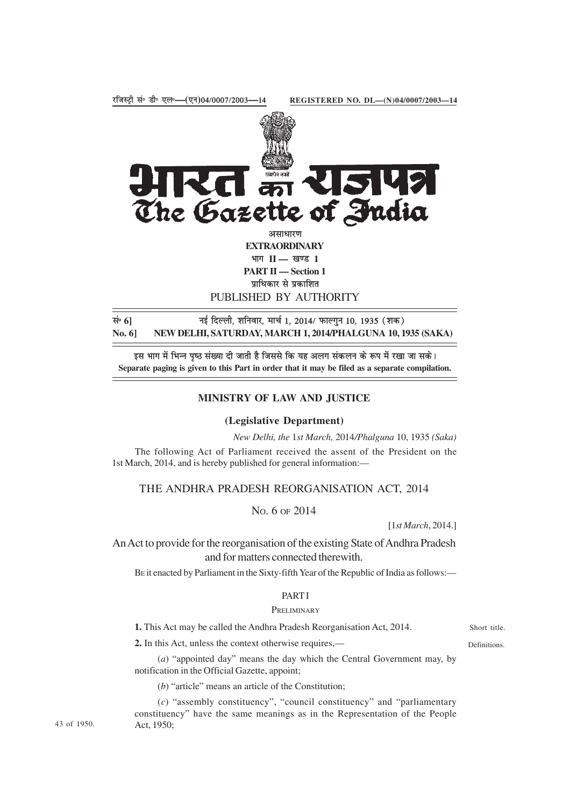

**PART II — Section 1** प्राधिकार से प्रकाशित

PUBLISHED BY AUTHORITY

सं• 6] <sup>मुं</sup> हिल्ली, शनिवार, मार्च 1, 2014/ फाल्गुन 10, 1935 (शक) **No. 6] NEW DELHI, SATURDAY, MARCH 1, 2014/PHALGUNA 10, 1935 (SAKA)**

इस भाग में भिन्न पष्ठ संख्या दी जाती है जिससे कि यह अलग संकलन के रूप में रखा जा सके। **Separate paging is given to this Part in order that it may be filed as a separate compilation.**

# **MINISTRY OF LAW AND JUSTICE**

### **(Legislative Department)**

*New Delhi, the* 1*st March,* 2014*/Phalguna* 10, 1935 *(Saka)*

The following Act of Parliament received the assent of the President on the 1st March, 2014, and is hereby published for general information:—

# THE ANDHRA PRADESH REORGANISATION ACT, 2014

NO. 6 OF 2014

[1*st March*, 2014.]

An Act to provide for the reorganisation of the existing State of Andhra Pradesh and for matters connected therewith.

BE it enacted by Parliament in the Sixty-fifth Year of the Republic of India as follows:—

# PART I

### PRELIMINARY

**1.** This Act may be called the Andhra Pradesh Reorganisation Act, 2014.

**2.** In this Act, unless the context otherwise requires,—

Short title. Definitions.

(*a*) "appointed day" means the day which the Central Government may, by notification in the Official Gazette, appoint;

(*b*) "article" means an article of the Constitution;

(*c*) "assembly constituency", "council constituency" and "parliamentary constituency" have the same meanings as in the Representation of the People Act, 1950;

43 of 1950.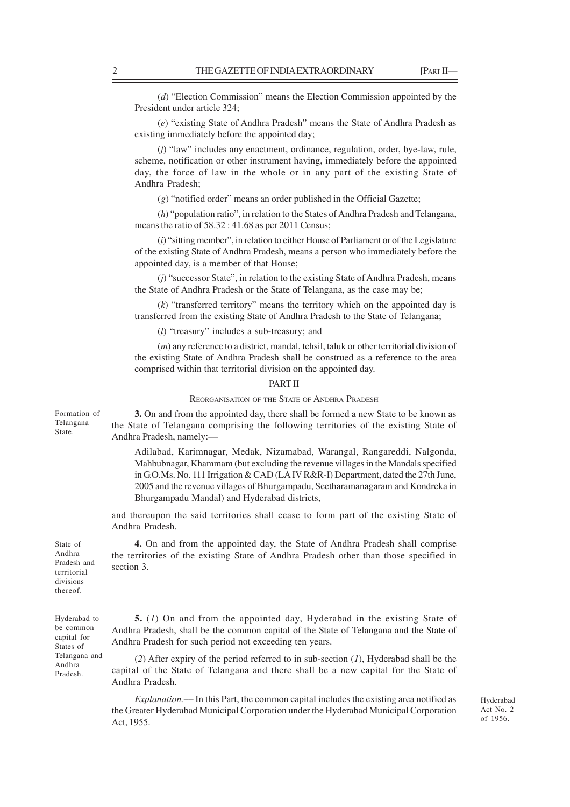(*d*) "Election Commission" means the Election Commission appointed by the President under article 324;

(*e*) "existing State of Andhra Pradesh" means the State of Andhra Pradesh as existing immediately before the appointed day;

(*f*) "law" includes any enactment, ordinance, regulation, order, bye-law, rule, scheme, notification or other instrument having, immediately before the appointed day, the force of law in the whole or in any part of the existing State of Andhra Pradesh;

(*g*) "notified order" means an order published in the Official Gazette;

(*h*) "population ratio", in relation to the States of Andhra Pradesh and Telangana, means the ratio of 58.32 : 41.68 as per 2011 Census;

(*i*) "sitting member", in relation to either House of Parliament or of the Legislature of the existing State of Andhra Pradesh, means a person who immediately before the appointed day, is a member of that House;

(*j*) "successor State", in relation to the existing State of Andhra Pradesh, means the State of Andhra Pradesh or the State of Telangana, as the case may be;

(*k*) "transferred territory" means the territory which on the appointed day is transferred from the existing State of Andhra Pradesh to the State of Telangana;

(*l*) "treasury" includes a sub-treasury; and

(*m*) any reference to a district, mandal, tehsil, taluk or other territorial division of the existing State of Andhra Pradesh shall be construed as a reference to the area comprised within that territorial division on the appointed day.

### PART II

### REORGANISATION OF THE STATE OF ANDHRA PRADESH

**3.** On and from the appointed day, there shall be formed a new State to be known as the State of Telangana comprising the following territories of the existing State of Andhra Pradesh, namely:—

Adilabad, Karimnagar, Medak, Nizamabad, Warangal, Rangareddi, Nalgonda, Mahbubnagar, Khammam (but excluding the revenue villages in the Mandals specified in G.O.Ms. No. 111 Irrigation & CAD (LA IV R&R-I) Department, dated the 27th June, 2005 and the revenue villages of Bhurgampadu, Seetharamanagaram and Kondreka in Bhurgampadu Mandal) and Hyderabad districts,

and thereupon the said territories shall cease to form part of the existing State of Andhra Pradesh.

**4.** On and from the appointed day, the State of Andhra Pradesh shall comprise the territories of the existing State of Andhra Pradesh other than those specified in section 3.

State of Andhra Pradesh and territorial divisions thereof.

Hyderabad to be common capital for States of Telangana and Andhra Pradesh.

**5.** (*1*) On and from the appointed day, Hyderabad in the existing State of Andhra Pradesh, shall be the common capital of the State of Telangana and the State of Andhra Pradesh for such period not exceeding ten years.

(*2*) After expiry of the period referred to in sub-section (*1*), Hyderabad shall be the capital of the State of Telangana and there shall be a new capital for the State of Andhra Pradesh.

*Explanation.*–– In this Part, the common capital includes the existing area notified as the Greater Hyderabad Municipal Corporation under the Hyderabad Municipal Corporation Act, 1955.

Hyderabad Act No. 2 of 1956.

Formation of Telangana State.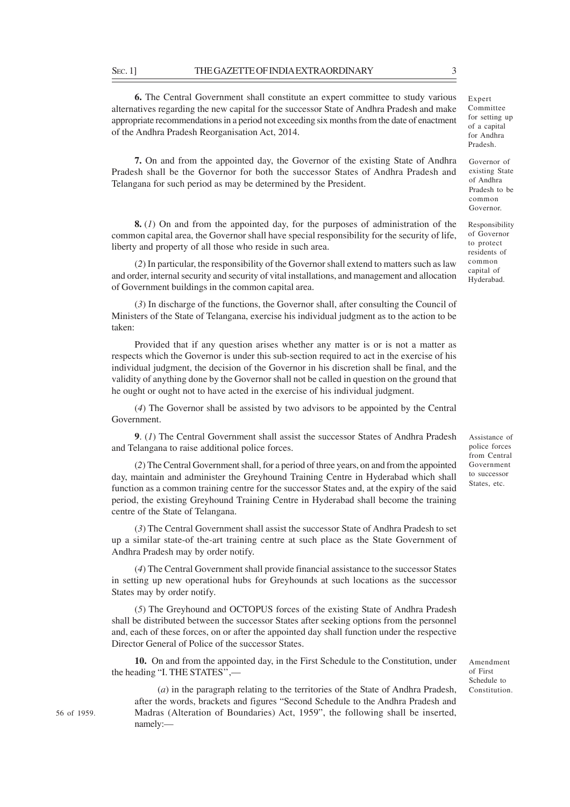**6.** The Central Government shall constitute an expert committee to study various alternatives regarding the new capital for the successor State of Andhra Pradesh and make appropriate recommendations in a period not exceeding six months from the date of enactment of the Andhra Pradesh Reorganisation Act, 2014.

**7.** On and from the appointed day, the Governor of the existing State of Andhra Pradesh shall be the Governor for both the successor States of Andhra Pradesh and Telangana for such period as may be determined by the President.

**8.** (*1*) On and from the appointed day, for the purposes of administration of the common capital area, the Governor shall have special responsibility for the security of life, liberty and property of all those who reside in such area.

(*2*) In particular, the responsibility of the Governor shall extend to matters such as law and order, internal security and security of vital installations, and management and allocation of Government buildings in the common capital area.

(*3*) In discharge of the functions, the Governor shall, after consulting the Council of Ministers of the State of Telangana, exercise his individual judgment as to the action to be taken:

Provided that if any question arises whether any matter is or is not a matter as respects which the Governor is under this sub-section required to act in the exercise of his individual judgment, the decision of the Governor in his discretion shall be final, and the validity of anything done by the Governor shall not be called in question on the ground that he ought or ought not to have acted in the exercise of his individual judgment.

(*4*) The Governor shall be assisted by two advisors to be appointed by the Central Government.

**9**. (*1*) The Central Government shall assist the successor States of Andhra Pradesh and Telangana to raise additional police forces.

(*2*) The Central Government shall, for a period of three years, on and from the appointed day, maintain and administer the Greyhound Training Centre in Hyderabad which shall function as a common training centre for the successor States and, at the expiry of the said period, the existing Greyhound Training Centre in Hyderabad shall become the training centre of the State of Telangana.

(*3*) The Central Government shall assist the successor State of Andhra Pradesh to set up a similar state-of the-art training centre at such place as the State Government of Andhra Pradesh may by order notify.

(*4*) The Central Government shall provide financial assistance to the successor States in setting up new operational hubs for Greyhounds at such locations as the successor States may by order notify.

(*5*) The Greyhound and OCTOPUS forces of the existing State of Andhra Pradesh shall be distributed between the successor States after seeking options from the personnel and, each of these forces, on or after the appointed day shall function under the respective Director General of Police of the successor States.

**10.** On and from the appointed day, in the First Schedule to the Constitution, under the heading "I. THE STATES'',––

(*a*) in the paragraph relating to the territories of the State of Andhra Pradesh, after the words, brackets and figures "Second Schedule to the Andhra Pradesh and Madras (Alteration of Boundaries) Act, 1959", the following shall be inserted, namely:—

Assistance of police forces from Central Government to successor States, etc.

Amendment of First Schedule to Constitution.

Expert Committee for setting up of a capital for Andhra Pradesh.

Governor of existing State of Andhra Pradesh to be common Governor.

Responsibility of Governor to protect residents of common capital of Hyderabad.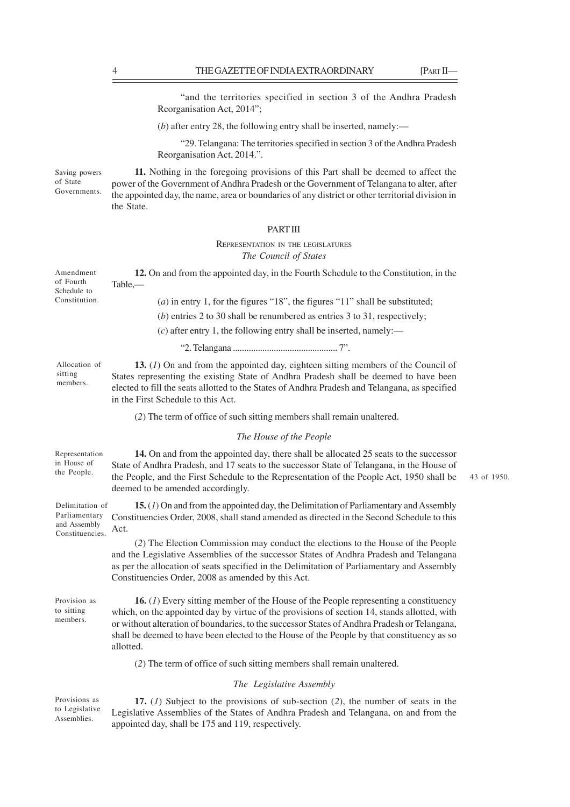"and the territories specified in section 3 of the Andhra Pradesh Reorganisation Act, 2014";

(*b*) after entry 28, the following entry shall be inserted, namely:—

"29. Telangana: The territories specified in section 3 of the Andhra Pradesh Reorganisation Act, 2014.".

Saving powers of State Governments.

**11.** Nothing in the foregoing provisions of this Part shall be deemed to affect the power of the Government of Andhra Pradesh or the Government of Telangana to alter, after the appointed day, the name, area or boundaries of any district or other territorial division in the State.

# **PART III**

## REPRESENTATION IN THE LEGISLATURES *The Council of States*

| Amendment<br>of Fourth<br>Schedule to                               | 12. On and from the appointed day, in the Fourth Schedule to the Constitution, in the<br>Table,-                                                                                                                                                                                                                                                                                                      |             |  |  |  |  |  |  |
|---------------------------------------------------------------------|-------------------------------------------------------------------------------------------------------------------------------------------------------------------------------------------------------------------------------------------------------------------------------------------------------------------------------------------------------------------------------------------------------|-------------|--|--|--|--|--|--|
| Constitution.                                                       | $(a)$ in entry 1, for the figures "18", the figures "11" shall be substituted;                                                                                                                                                                                                                                                                                                                        |             |  |  |  |  |  |  |
|                                                                     | (b) entries 2 to 30 shall be renumbered as entries 3 to 31, respectively;                                                                                                                                                                                                                                                                                                                             |             |  |  |  |  |  |  |
|                                                                     | $(c)$ after entry 1, the following entry shall be inserted, namely:—                                                                                                                                                                                                                                                                                                                                  |             |  |  |  |  |  |  |
|                                                                     |                                                                                                                                                                                                                                                                                                                                                                                                       |             |  |  |  |  |  |  |
| Allocation of<br>sitting<br>members.                                | 13. $(I)$ On and from the appointed day, eighteen sitting members of the Council of<br>States representing the existing State of Andhra Pradesh shall be deemed to have been<br>elected to fill the seats allotted to the States of Andhra Pradesh and Telangana, as specified<br>in the First Schedule to this Act.                                                                                  |             |  |  |  |  |  |  |
|                                                                     | (2) The term of office of such sitting members shall remain unaltered.                                                                                                                                                                                                                                                                                                                                |             |  |  |  |  |  |  |
|                                                                     | The House of the People                                                                                                                                                                                                                                                                                                                                                                               |             |  |  |  |  |  |  |
| Representation<br>in House of<br>the People.                        | 14. On and from the appointed day, there shall be allocated 25 seats to the successor<br>State of Andhra Pradesh, and 17 seats to the successor State of Telangana, in the House of<br>the People, and the First Schedule to the Representation of the People Act, 1950 shall be<br>deemed to be amended accordingly.                                                                                 | 43 of 1950. |  |  |  |  |  |  |
| Delimitation of<br>Parliamentary<br>and Assembly<br>Constituencies. | 15. $(I)$ On and from the appointed day, the Delimitation of Parliamentary and Assembly<br>Constituencies Order, 2008, shall stand amended as directed in the Second Schedule to this<br>Act.                                                                                                                                                                                                         |             |  |  |  |  |  |  |
|                                                                     | (2) The Election Commission may conduct the elections to the House of the People<br>and the Legislative Assemblies of the successor States of Andhra Pradesh and Telangana<br>as per the allocation of seats specified in the Delimitation of Parliamentary and Assembly<br>Constituencies Order, 2008 as amended by this Act.                                                                        |             |  |  |  |  |  |  |
| Provision as<br>to sitting<br>members.                              | <b>16.</b> (1) Every sitting member of the House of the People representing a constituency<br>which, on the appointed day by virtue of the provisions of section 14, stands allotted, with<br>or without alteration of boundaries, to the successor States of Andhra Pradesh or Telangana,<br>shall be deemed to have been elected to the House of the People by that constituency as so<br>allotted. |             |  |  |  |  |  |  |
|                                                                     | (2) The term of office of such sitting members shall remain unaltered.                                                                                                                                                                                                                                                                                                                                |             |  |  |  |  |  |  |
|                                                                     | The Legislative Assembly                                                                                                                                                                                                                                                                                                                                                                              |             |  |  |  |  |  |  |
| Provisions as<br>to Legislative                                     | 17. $(I)$ Subject to the provisions of sub-section $(2)$ , the number of seats in the<br>$\mathbf{T}$ and $\mathbf{L}$ are $\mathbf{L}$ and $\mathbf{L}$ and $\mathbf{L}$ are $\mathbf{L}$ and $\mathbf{L}$ are $\mathbf{L}$ and $\mathbf{L}$ and $\mathbf{L}$ are $\mathbf{L}$ and $\mathbf{L}$ and $\mathbf{L}$ are $\mathbf{L}$ and $\mathbf{L}$ are $\mathbf{L}$ and $\mathbf{L}$ are             |             |  |  |  |  |  |  |

Legislative Assemblies of the States of Andhra Pradesh and Telangana, on and from the appointed day, shall be 175 and 119, respectively. Assemblies.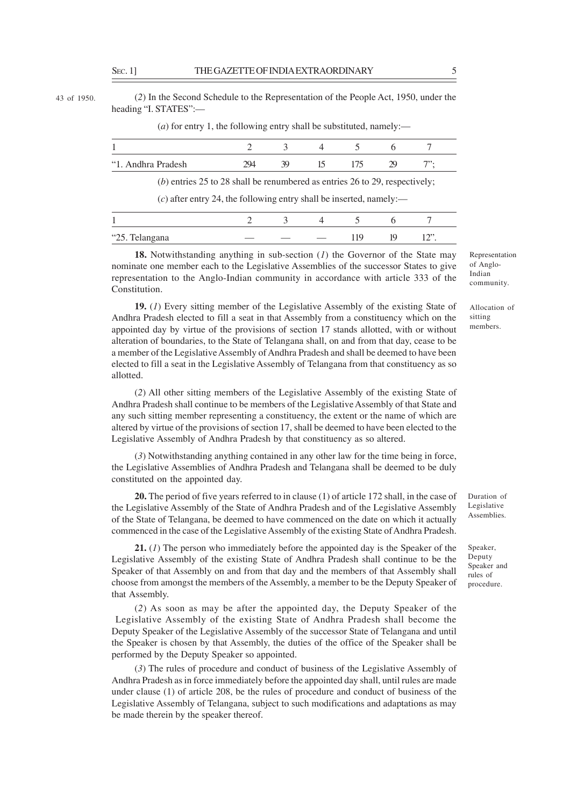43 of 1950.

(*2*) In the Second Schedule to the Representation of the People Act, 1950, under the heading "I. STATES":—

(*a*) for entry 1, the following entry shall be substituted, namely:—

| "1. Andhra Pradesh                                                          | 294 | 39 | - 15 | 175 | -79 |  |
|-----------------------------------------------------------------------------|-----|----|------|-----|-----|--|
| (b) entries 25 to 28 shall be renumbered as entries 26 to 29, respectively; |     |    |      |     |     |  |

 $(c)$  after entry 24, the following entry shall be inserted, namely:—

| л.             |  |  |           |
|----------------|--|--|-----------|
| "25. Telangana |  |  | $\bigcap$ |

**18.** Notwithstanding anything in sub-section (*1*) the Governor of the State may nominate one member each to the Legislative Assemblies of the successor States to give representation to the Anglo-Indian community in accordance with article 333 of the Constitution.

**19.** (*1*) Every sitting member of the Legislative Assembly of the existing State of Andhra Pradesh elected to fill a seat in that Assembly from a constituency which on the appointed day by virtue of the provisions of section 17 stands allotted, with or without alteration of boundaries, to the State of Telangana shall, on and from that day, cease to be a member of the Legislative Assembly of Andhra Pradesh and shall be deemed to have been elected to fill a seat in the Legislative Assembly of Telangana from that constituency as so allotted.

(*2*) All other sitting members of the Legislative Assembly of the existing State of Andhra Pradesh shall continue to be members of the Legislative Assembly of that State and any such sitting member representing a constituency, the extent or the name of which are altered by virtue of the provisions of section 17, shall be deemed to have been elected to the Legislative Assembly of Andhra Pradesh by that constituency as so altered.

(*3*) Notwithstanding anything contained in any other law for the time being in force, the Legislative Assemblies of Andhra Pradesh and Telangana shall be deemed to be duly constituted on the appointed day.

**20.** The period of five years referred to in clause (1) of article 172 shall, in the case of the Legislative Assembly of the State of Andhra Pradesh and of the Legislative Assembly of the State of Telangana, be deemed to have commenced on the date on which it actually commenced in the case of the Legislative Assembly of the existing State of Andhra Pradesh.

**21.** (*1*) The person who immediately before the appointed day is the Speaker of the Legislative Assembly of the existing State of Andhra Pradesh shall continue to be the Speaker of that Assembly on and from that day and the members of that Assembly shall choose from amongst the members of the Assembly, a member to be the Deputy Speaker of that Assembly.

(*2*) As soon as may be after the appointed day, the Deputy Speaker of the Legislative Assembly of the existing State of Andhra Pradesh shall become the Deputy Speaker of the Legislative Assembly of the successor State of Telangana and until the Speaker is chosen by that Assembly, the duties of the office of the Speaker shall be performed by the Deputy Speaker so appointed.

(*3*) The rules of procedure and conduct of business of the Legislative Assembly of Andhra Pradesh as in force immediately before the appointed day shall, until rules are made under clause (1) of article 208, be the rules of procedure and conduct of business of the Legislative Assembly of Telangana, subject to such modifications and adaptations as may be made therein by the speaker thereof.

Representation of Anglo-Indian community.

Allocation of sitting members.

Duration of Legislative **Assemblies** 

Speaker, Deputy Speaker and rules of procedure.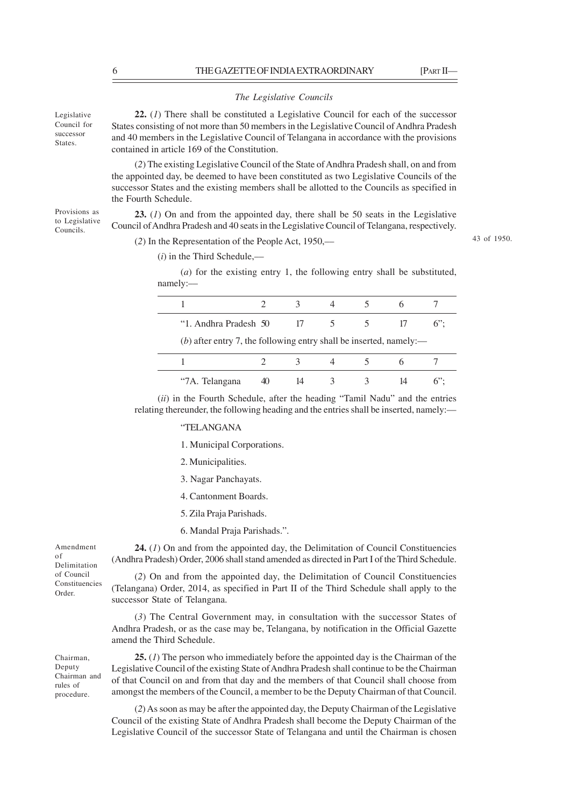#### *The Legislative Councils*

Legislative Council for successor States.

Provisions as to Legislative Councils.

**22.** (*1*) There shall be constituted a Legislative Council for each of the successor States consisting of not more than 50 members in the Legislative Council of Andhra Pradesh and 40 members in the Legislative Council of Telangana in accordance with the provisions contained in article 169 of the Constitution.

(*2*) The existing Legislative Council of the State of Andhra Pradesh shall, on and from the appointed day, be deemed to have been constituted as two Legislative Councils of the successor States and the existing members shall be allotted to the Councils as specified in the Fourth Schedule.

**23.** (*1*) On and from the appointed day, there shall be 50 seats in the Legislative Council of Andhra Pradesh and 40 seats in the Legislative Council of Telangana, respectively.

(*2*) In the Representation of the People Act, 1950,––

43 of 1950.

(*i*) in the Third Schedule,––

(*a*) for the existing entry 1, the following entry shall be substituted, namely:––

| "1. Andhra Pradesh 50                                              | -17 |  | $6$ " |
|--------------------------------------------------------------------|-----|--|-------|
| (b) after entry 7, the following entry shall be inserted, namely:— |     |  |       |
|                                                                    |     |  |       |
| "7A. Telangana                                                     |     |  |       |

(*ii*) in the Fourth Schedule, after the heading "Tamil Nadu" and the entries relating thereunder, the following heading and the entries shall be inserted, namely:—

"TELANGANA

1. Municipal Corporations.

2. Municipalities.

3. Nagar Panchayats.

4. Cantonment Boards.

5. Zila Praja Parishads.

6. Mandal Praja Parishads.".

**24.** (*1*) On and from the appointed day, the Delimitation of Council Constituencies (Andhra Pradesh) Order, 2006 shall stand amended as directed in Part I of the Third Schedule.

(*2*) On and from the appointed day, the Delimitation of Council Constituencies (Telangana) Order, 2014, as specified in Part II of the Third Schedule shall apply to the successor State of Telangana.

(*3*) The Central Government may, in consultation with the successor States of Andhra Pradesh, or as the case may be, Telangana, by notification in the Official Gazette amend the Third Schedule.

**25.** (*1*) The person who immediately before the appointed day is the Chairman of the Legislative Council of the existing State of Andhra Pradesh shall continue to be the Chairman of that Council on and from that day and the members of that Council shall choose from amongst the members of the Council, a member to be the Deputy Chairman of that Council.

(*2*) As soon as may be after the appointed day, the Deputy Chairman of the Legislative Council of the existing State of Andhra Pradesh shall become the Deputy Chairman of the Legislative Council of the successor State of Telangana and until the Chairman is chosen

Amendment of Delimitation of Council Constituencies Order.

Chairman, Deputy Chairman and rules of procedure.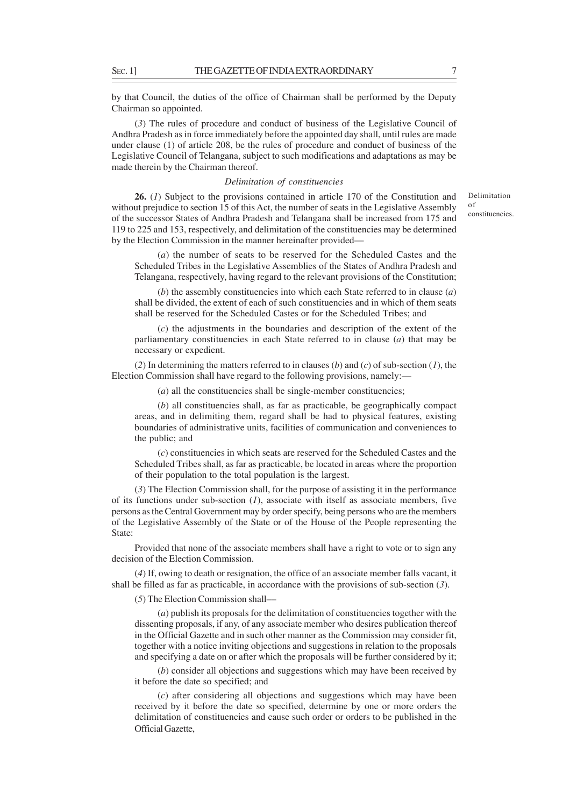by that Council, the duties of the office of Chairman shall be performed by the Deputy Chairman so appointed.

(*3*) The rules of procedure and conduct of business of the Legislative Council of Andhra Pradesh as in force immediately before the appointed day shall, until rules are made under clause (1) of article 208, be the rules of procedure and conduct of business of the Legislative Council of Telangana, subject to such modifications and adaptations as may be made therein by the Chairman thereof.

### *Delimitation of constituencies*

**26.** (*1*) Subject to the provisions contained in article 170 of the Constitution and without prejudice to section 15 of this Act, the number of seats in the Legislative Assembly of the successor States of Andhra Pradesh and Telangana shall be increased from 175 and 119 to 225 and 153, respectively, and delimitation of the constituencies may be determined by the Election Commission in the manner hereinafter provided—

(*a*) the number of seats to be reserved for the Scheduled Castes and the Scheduled Tribes in the Legislative Assemblies of the States of Andhra Pradesh and Telangana, respectively, having regard to the relevant provisions of the Constitution;

(*b*) the assembly constituencies into which each State referred to in clause (*a*) shall be divided, the extent of each of such constituencies and in which of them seats shall be reserved for the Scheduled Castes or for the Scheduled Tribes; and

(*c*) the adjustments in the boundaries and description of the extent of the parliamentary constituencies in each State referred to in clause (*a*) that may be necessary or expedient.

(*2*) In determining the matters referred to in clauses (*b*) and (*c*) of sub-section (*1*), the Election Commission shall have regard to the following provisions, namely:—

(*a*) all the constituencies shall be single-member constituencies;

(*b*) all constituencies shall, as far as practicable, be geographically compact areas, and in delimiting them, regard shall be had to physical features, existing boundaries of administrative units, facilities of communication and conveniences to the public; and

(*c*) constituencies in which seats are reserved for the Scheduled Castes and the Scheduled Tribes shall, as far as practicable, be located in areas where the proportion of their population to the total population is the largest.

(*3*) The Election Commission shall, for the purpose of assisting it in the performance of its functions under sub-section  $(I)$ , associate with itself as associate members, five persons as the Central Government may by order specify, being persons who are the members of the Legislative Assembly of the State or of the House of the People representing the State:

Provided that none of the associate members shall have a right to vote or to sign any decision of the Election Commission.

(*4*) If, owing to death or resignation, the office of an associate member falls vacant, it shall be filled as far as practicable, in accordance with the provisions of sub-section (*3*).

(*5*) The Election Commission shall––

(*a*) publish its proposals for the delimitation of constituencies together with the dissenting proposals, if any, of any associate member who desires publication thereof in the Official Gazette and in such other manner as the Commission may consider fit, together with a notice inviting objections and suggestions in relation to the proposals and specifying a date on or after which the proposals will be further considered by it;

(*b*) consider all objections and suggestions which may have been received by it before the date so specified; and

(*c*) after considering all objections and suggestions which may have been received by it before the date so specified, determine by one or more orders the delimitation of constituencies and cause such order or orders to be published in the Official Gazette,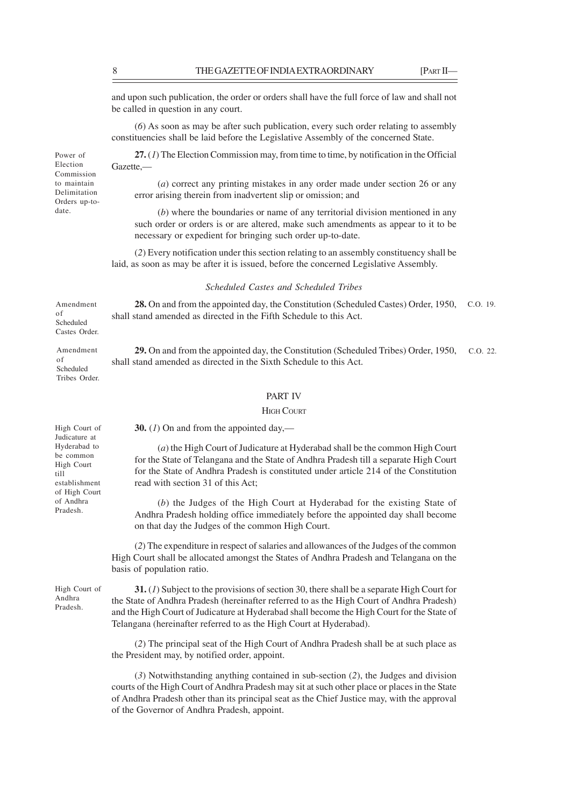and upon such publication, the order or orders shall have the full force of law and shall not be called in question in any court.

(*6*) As soon as may be after such publication, every such order relating to assembly constituencies shall be laid before the Legislative Assembly of the concerned State.

**27.** (*1*) The Election Commission may, from time to time, by notification in the Official Gazette,—

(*a*) correct any printing mistakes in any order made under section 26 or any error arising therein from inadvertent slip or omission; and

(*b*) where the boundaries or name of any territorial division mentioned in any such order or orders is or are altered, make such amendments as appear to it to be necessary or expedient for bringing such order up-to-date.

(*2*) Every notification under this section relating to an assembly constituency shall be laid, as soon as may be after it is issued, before the concerned Legislative Assembly.

### *Scheduled Castes and Scheduled Tribes*

28. On and from the appointed day, the Constitution (Scheduled Castes) Order, 1950, C.O. 19. shall stand amended as directed in the Fifth Schedule to this Act. Amendment Scheduled

> 29. On and from the appointed day, the Constitution (Scheduled Tribes) Order, 1950, c.o. 22. shall stand amended as directed in the Sixth Schedule to this Act.

#### PART IV

### **HIGH COURT**

**30.** (*1*) On and from the appointed day,––

(*a*) the High Court of Judicature at Hyderabad shall be the common High Court for the State of Telangana and the State of Andhra Pradesh till a separate High Court for the State of Andhra Pradesh is constituted under article 214 of the Constitution read with section 31 of this Act;

(*b*) the Judges of the High Court at Hyderabad for the existing State of Andhra Pradesh holding office immediately before the appointed day shall become on that day the Judges of the common High Court.

(*2*) The expenditure in respect of salaries and allowances of the Judges of the common High Court shall be allocated amongst the States of Andhra Pradesh and Telangana on the basis of population ratio.

High Court of Andhra Pradesh.

**31.** (*1*) Subject to the provisions of section 30, there shall be a separate High Court for the State of Andhra Pradesh (hereinafter referred to as the High Court of Andhra Pradesh) and the High Court of Judicature at Hyderabad shall become the High Court for the State of Telangana (hereinafter referred to as the High Court at Hyderabad).

(*2*) The principal seat of the High Court of Andhra Pradesh shall be at such place as the President may, by notified order, appoint.

(*3*) Notwithstanding anything contained in sub-section (*2*), the Judges and division courts of the High Court of Andhra Pradesh may sit at such other place or places in the State of Andhra Pradesh other than its principal seat as the Chief Justice may, with the approval of the Governor of Andhra Pradesh, appoint.

Election Commission to maintain Delimitation Orders up-todate.

of

of Scheduled Tribes Order.

Castes Order. Amendment

Power of

High Court of Judicature at Hyderabad to be common High Court till establishment of High Court of Andhra Pradesh.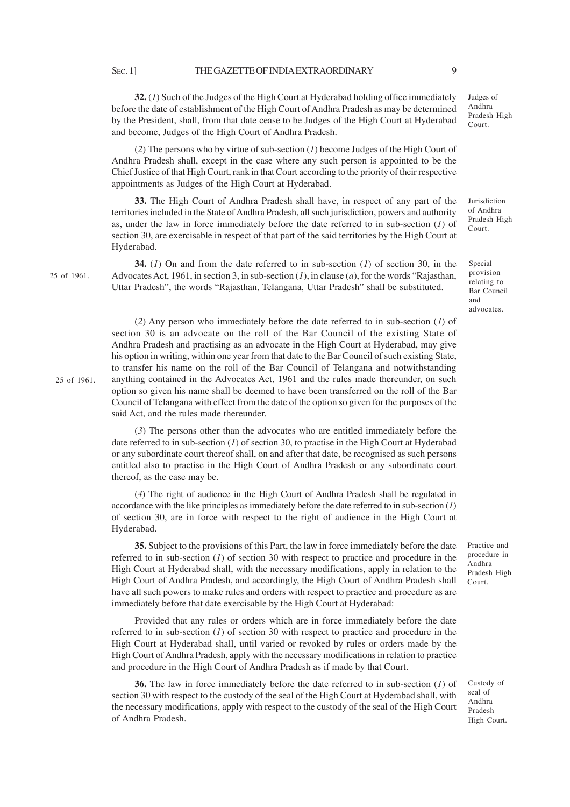**32.** (*1*) Such of the Judges of the High Court at Hyderabad holding office immediately before the date of establishment of the High Court of Andhra Pradesh as may be determined by the President, shall, from that date cease to be Judges of the High Court at Hyderabad and become, Judges of the High Court of Andhra Pradesh.

(*2*) The persons who by virtue of sub-section (*1*) become Judges of the High Court of Andhra Pradesh shall, except in the case where any such person is appointed to be the Chief Justice of that High Court, rank in that Court according to the priority of their respective appointments as Judges of the High Court at Hyderabad.

**33.** The High Court of Andhra Pradesh shall have, in respect of any part of the territories included in the State of Andhra Pradesh, all such jurisdiction, powers and authority as, under the law in force immediately before the date referred to in sub-section (*1*) of section 30, are exercisable in respect of that part of the said territories by the High Court at Hyderabad.

25 of 1961.

25 of 1961.

**34.** (*1*) On and from the date referred to in sub-section (*1*) of section 30, in the Advocates Act, 1961, in section 3, in sub-section (*1*), in clause (*a*), for the words "Rajasthan, Uttar Pradesh", the words "Rajasthan, Telangana, Uttar Pradesh" shall be substituted.

(*2*) Any person who immediately before the date referred to in sub-section (*1*) of section 30 is an advocate on the roll of the Bar Council of the existing State of Andhra Pradesh and practising as an advocate in the High Court at Hyderabad, may give his option in writing, within one year from that date to the Bar Council of such existing State, to transfer his name on the roll of the Bar Council of Telangana and notwithstanding anything contained in the Advocates Act, 1961 and the rules made thereunder, on such option so given his name shall be deemed to have been transferred on the roll of the Bar Council of Telangana with effect from the date of the option so given for the purposes of the said Act, and the rules made thereunder.

(*3*) The persons other than the advocates who are entitled immediately before the date referred to in sub-section (*1*) of section 30, to practise in the High Court at Hyderabad or any subordinate court thereof shall, on and after that date, be recognised as such persons entitled also to practise in the High Court of Andhra Pradesh or any subordinate court thereof, as the case may be.

(*4*) The right of audience in the High Court of Andhra Pradesh shall be regulated in accordance with the like principles as immediately before the date referred to in sub-section (*1*) of section 30, are in force with respect to the right of audience in the High Court at Hyderabad.

**35.** Subject to the provisions of this Part, the law in force immediately before the date referred to in sub-section (*1*) of section 30 with respect to practice and procedure in the High Court at Hyderabad shall, with the necessary modifications, apply in relation to the High Court of Andhra Pradesh, and accordingly, the High Court of Andhra Pradesh shall have all such powers to make rules and orders with respect to practice and procedure as are immediately before that date exercisable by the High Court at Hyderabad:

Provided that any rules or orders which are in force immediately before the date referred to in sub-section (*1*) of section 30 with respect to practice and procedure in the High Court at Hyderabad shall, until varied or revoked by rules or orders made by the High Court of Andhra Pradesh, apply with the necessary modifications in relation to practice and procedure in the High Court of Andhra Pradesh as if made by that Court.

**36.** The law in force immediately before the date referred to in sub-section (*1*) of section 30 with respect to the custody of the seal of the High Court at Hyderabad shall, with the necessary modifications, apply with respect to the custody of the seal of the High Court of Andhra Pradesh.

Custody of seal of Andhra Pradesh

High Court.

Practice and procedure in Andhra Pradesh High Court.

Judges of Andhra Pradesh High Court.

Jurisdiction of Andhra Pradesh High Court.

Special provision relating to Bar Council and advocates.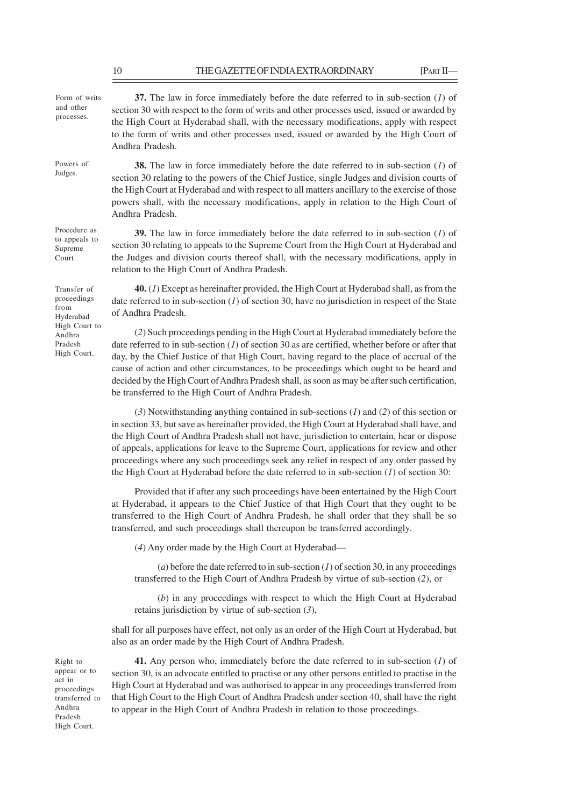**37.** The law in force immediately before the date referred to in sub-section (*1*) of section 30 with respect to the form of writs and other processes used, issued or awarded by the High Court at Hyderabad shall, with the necessary modifications, apply with respect to the form of writs and other processes used, issued or awarded by the High Court of Andhra Pradesh. **38.** The law in force immediately before the date referred to in sub-section (*1*) of section 30 relating to the powers of the Chief Justice, single Judges and division courts of the High Court at Hyderabad and with respect to all matters ancillary to the exercise of those powers shall, with the necessary modifications, apply in relation to the High Court of Andhra Pradesh. **39.** The law in force immediately before the date referred to in sub-section (*1*) of section 30 relating to appeals to the Supreme Court from the High Court at Hyderabad and the Judges and division courts thereof shall, with the necessary modifications, apply in relation to the High Court of Andhra Pradesh. **40.** (*1*) Except as hereinafter provided, the High Court at Hyderabad shall, as from the date referred to in sub-section (*1*) of section 30, have no jurisdiction in respect of the State of Andhra Pradesh. (*2*) Such proceedings pending in the High Court at Hyderabad immediately before the Form of writs and other processes. Powers of Judges. Procedure as to appeals to Supreme Court. Transfer of proceedings from Hyderabad High Court to Andhra Pradesh High Court.

date referred to in sub-section (*1*) of section 30 as are certified, whether before or after that day, by the Chief Justice of that High Court, having regard to the place of accrual of the cause of action and other circumstances, to be proceedings which ought to be heard and decided by the High Court of Andhra Pradesh shall, as soon as may be after such certification, be transferred to the High Court of Andhra Pradesh.

(*3*) Notwithstanding anything contained in sub-sections (*1*) and (*2*) of this section or in section 33, but save as hereinafter provided, the High Court at Hyderabad shall have, and the High Court of Andhra Pradesh shall not have, jurisdiction to entertain, hear or dispose of appeals, applications for leave to the Supreme Court, applications for review and other proceedings where any such proceedings seek any relief in respect of any order passed by the High Court at Hyderabad before the date referred to in sub-section (*1*) of section 30:

Provided that if after any such proceedings have been entertained by the High Court at Hyderabad, it appears to the Chief Justice of that High Court that they ought to be transferred to the High Court of Andhra Pradesh, he shall order that they shall be so transferred, and such proceedings shall thereupon be transferred accordingly.

(*4*) Any order made by the High Court at Hyderabad––

 $(a)$  before the date referred to in sub-section  $(I)$  of section 30, in any proceedings transferred to the High Court of Andhra Pradesh by virtue of sub-section (*2*), or

(*b*) in any proceedings with respect to which the High Court at Hyderabad retains jurisdiction by virtue of sub-section (*3*),

shall for all purposes have effect, not only as an order of the High Court at Hyderabad, but also as an order made by the High Court of Andhra Pradesh.

Right to appear or to act in proceedings transferred to Andhra Pradesh High Court.

**41.** Any person who, immediately before the date referred to in sub-section (*1*) of section 30, is an advocate entitled to practise or any other persons entitled to practise in the High Court at Hyderabad and was authorised to appear in any proceedings transferred from that High Court to the High Court of Andhra Pradesh under section 40, shall have the right to appear in the High Court of Andhra Pradesh in relation to those proceedings.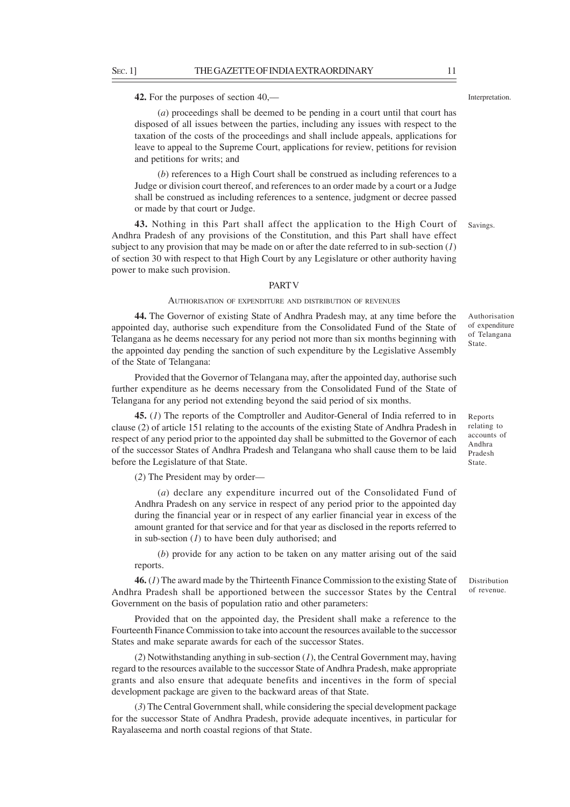**42.** For the purposes of section 40,––

(*a*) proceedings shall be deemed to be pending in a court until that court has disposed of all issues between the parties, including any issues with respect to the taxation of the costs of the proceedings and shall include appeals, applications for leave to appeal to the Supreme Court, applications for review, petitions for revision and petitions for writs; and

(*b*) references to a High Court shall be construed as including references to a Judge or division court thereof, and references to an order made by a court or a Judge shall be construed as including references to a sentence, judgment or decree passed or made by that court or Judge.

**43.** Nothing in this Part shall affect the application to the High Court of Andhra Pradesh of any provisions of the Constitution, and this Part shall have effect subject to any provision that may be made on or after the date referred to in sub-section (*1*) of section 30 with respect to that High Court by any Legislature or other authority having power to make such provision. Savings.

#### **PART V**

### AUTHORISATION OF EXPENDITURE AND DISTRIBUTION OF REVENUES

**44.** The Governor of existing State of Andhra Pradesh may, at any time before the appointed day, authorise such expenditure from the Consolidated Fund of the State of Telangana as he deems necessary for any period not more than six months beginning with the appointed day pending the sanction of such expenditure by the Legislative Assembly of the State of Telangana:

Provided that the Governor of Telangana may, after the appointed day, authorise such further expenditure as he deems necessary from the Consolidated Fund of the State of Telangana for any period not extending beyond the said period of six months.

**45.** (*1*) The reports of the Comptroller and Auditor-General of India referred to in clause (2) of article 151 relating to the accounts of the existing State of Andhra Pradesh in respect of any period prior to the appointed day shall be submitted to the Governor of each of the successor States of Andhra Pradesh and Telangana who shall cause them to be laid before the Legislature of that State.

(*2*) The President may by order––

(*a*) declare any expenditure incurred out of the Consolidated Fund of Andhra Pradesh on any service in respect of any period prior to the appointed day during the financial year or in respect of any earlier financial year in excess of the amount granted for that service and for that year as disclosed in the reports referred to in sub-section (*1*) to have been duly authorised; and

(*b*) provide for any action to be taken on any matter arising out of the said reports.

**46.** (*1*) The award made by the Thirteenth Finance Commission to the existing State of Andhra Pradesh shall be apportioned between the successor States by the Central Government on the basis of population ratio and other parameters:

Provided that on the appointed day, the President shall make a reference to the Fourteenth Finance Commission to take into account the resources available to the successor States and make separate awards for each of the successor States.

(*2*) Notwithstanding anything in sub-section (*1*), the Central Government may, having regard to the resources available to the successor State of Andhra Pradesh, make appropriate grants and also ensure that adequate benefits and incentives in the form of special development package are given to the backward areas of that State.

(*3*) The Central Government shall, while considering the special development package for the successor State of Andhra Pradesh, provide adequate incentives, in particular for Rayalaseema and north coastal regions of that State.

Reports relating to accounts of Andhra Pradesh State.

Authorisation of expenditure of Telangana State.

Distribution of revenue.

Interpretation.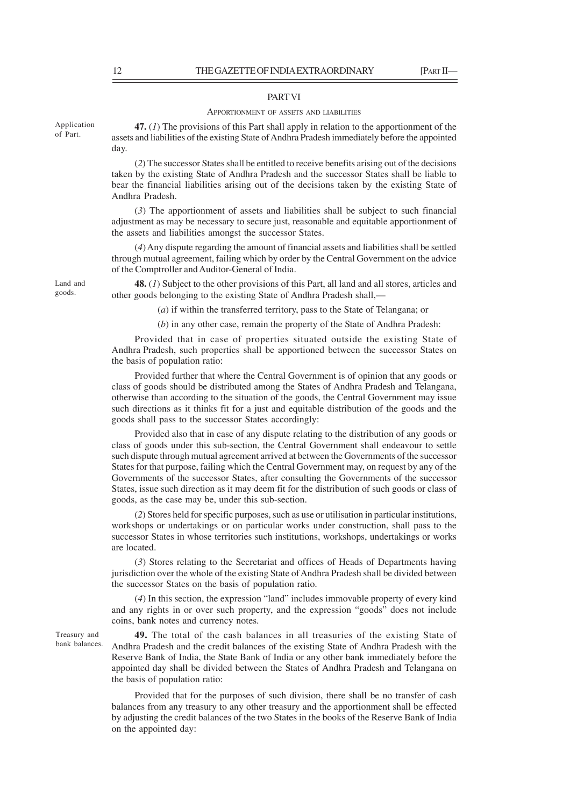#### PART VI

#### APPORTIONMENT OF ASSETS AND LIABILITIES

**47.** (*1*) The provisions of this Part shall apply in relation to the apportionment of the assets and liabilities of the existing State of Andhra Pradesh immediately before the appointed day.

(*2*) The successor States shall be entitled to receive benefits arising out of the decisions taken by the existing State of Andhra Pradesh and the successor States shall be liable to bear the financial liabilities arising out of the decisions taken by the existing State of Andhra Pradesh.

(*3*) The apportionment of assets and liabilities shall be subject to such financial adjustment as may be necessary to secure just, reasonable and equitable apportionment of the assets and liabilities amongst the successor States.

(*4*) Any dispute regarding the amount of financial assets and liabilities shall be settled through mutual agreement, failing which by order by the Central Government on the advice of the Comptroller and Auditor-General of India.

**48.** (*1*) Subject to the other provisions of this Part, all land and all stores, articles and other goods belonging to the existing State of Andhra Pradesh shall,—

(*a*) if within the transferred territory, pass to the State of Telangana; or

(*b*) in any other case, remain the property of the State of Andhra Pradesh:

Provided that in case of properties situated outside the existing State of Andhra Pradesh, such properties shall be apportioned between the successor States on the basis of population ratio:

Provided further that where the Central Government is of opinion that any goods or class of goods should be distributed among the States of Andhra Pradesh and Telangana, otherwise than according to the situation of the goods, the Central Government may issue such directions as it thinks fit for a just and equitable distribution of the goods and the goods shall pass to the successor States accordingly:

Provided also that in case of any dispute relating to the distribution of any goods or class of goods under this sub-section, the Central Government shall endeavour to settle such dispute through mutual agreement arrived at between the Governments of the successor States for that purpose, failing which the Central Government may, on request by any of the Governments of the successor States, after consulting the Governments of the successor States, issue such direction as it may deem fit for the distribution of such goods or class of goods, as the case may be, under this sub-section.

(*2*) Stores held for specific purposes, such as use or utilisation in particular institutions, workshops or undertakings or on particular works under construction, shall pass to the successor States in whose territories such institutions, workshops, undertakings or works are located.

(*3*) Stores relating to the Secretariat and offices of Heads of Departments having jurisdiction over the whole of the existing State of Andhra Pradesh shall be divided between the successor States on the basis of population ratio.

(*4*) In this section, the expression "land" includes immovable property of every kind and any rights in or over such property, and the expression "goods" does not include coins, bank notes and currency notes.

**49.** The total of the cash balances in all treasuries of the existing State of Andhra Pradesh and the credit balances of the existing State of Andhra Pradesh with the Reserve Bank of India, the State Bank of India or any other bank immediately before the appointed day shall be divided between the States of Andhra Pradesh and Telangana on the basis of population ratio:

Provided that for the purposes of such division, there shall be no transfer of cash balances from any treasury to any other treasury and the apportionment shall be effected by adjusting the credit balances of the two States in the books of the Reserve Bank of India on the appointed day:

Application of Part.

Land and goods.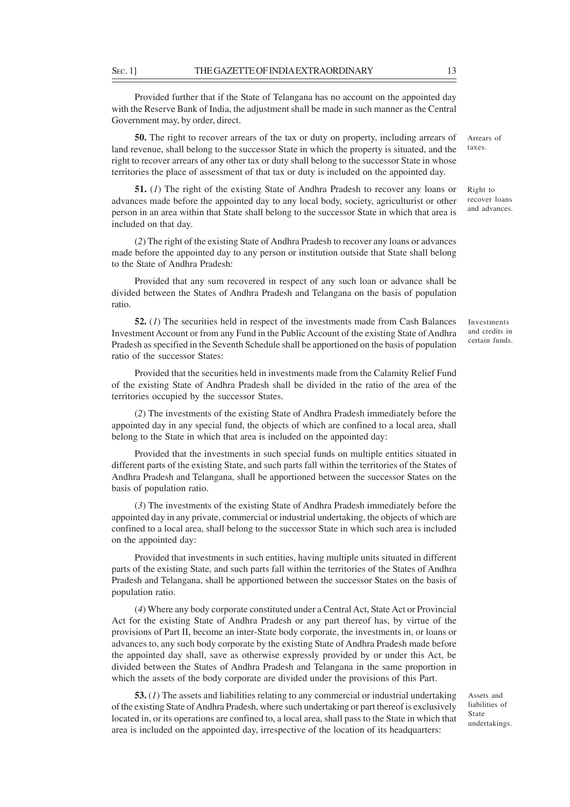Provided further that if the State of Telangana has no account on the appointed day with the Reserve Bank of India, the adjustment shall be made in such manner as the Central Government may, by order, direct.

**50.** The right to recover arrears of the tax or duty on property, including arrears of land revenue, shall belong to the successor State in which the property is situated, and the right to recover arrears of any other tax or duty shall belong to the successor State in whose territories the place of assessment of that tax or duty is included on the appointed day.

**51.** (*1*) The right of the existing State of Andhra Pradesh to recover any loans or advances made before the appointed day to any local body, society, agriculturist or other person in an area within that State shall belong to the successor State in which that area is included on that day.

(*2*) The right of the existing State of Andhra Pradesh to recover any loans or advances made before the appointed day to any person or institution outside that State shall belong to the State of Andhra Pradesh:

Provided that any sum recovered in respect of any such loan or advance shall be divided between the States of Andhra Pradesh and Telangana on the basis of population ratio.

**52.** (*1*) The securities held in respect of the investments made from Cash Balances Investment Account or from any Fund in the Public Account of the existing State of Andhra Pradesh as specified in the Seventh Schedule shall be apportioned on the basis of population ratio of the successor States:

Provided that the securities held in investments made from the Calamity Relief Fund of the existing State of Andhra Pradesh shall be divided in the ratio of the area of the territories occupied by the successor States.

(*2*) The investments of the existing State of Andhra Pradesh immediately before the appointed day in any special fund, the objects of which are confined to a local area, shall belong to the State in which that area is included on the appointed day:

Provided that the investments in such special funds on multiple entities situated in different parts of the existing State, and such parts fall within the territories of the States of Andhra Pradesh and Telangana, shall be apportioned between the successor States on the basis of population ratio.

(*3*) The investments of the existing State of Andhra Pradesh immediately before the appointed day in any private, commercial or industrial undertaking, the objects of which are confined to a local area, shall belong to the successor State in which such area is included on the appointed day:

Provided that investments in such entities, having multiple units situated in different parts of the existing State, and such parts fall within the territories of the States of Andhra Pradesh and Telangana, shall be apportioned between the successor States on the basis of population ratio.

(*4*) Where any body corporate constituted under a Central Act, State Act or Provincial Act for the existing State of Andhra Pradesh or any part thereof has, by virtue of the provisions of Part II, become an inter-State body corporate, the investments in, or loans or advances to, any such body corporate by the existing State of Andhra Pradesh made before the appointed day shall, save as otherwise expressly provided by or under this Act, be divided between the States of Andhra Pradesh and Telangana in the same proportion in which the assets of the body corporate are divided under the provisions of this Part.

**53.** (*1*) The assets and liabilities relating to any commercial or industrial undertaking of the existing State of Andhra Pradesh, where such undertaking or part thereof is exclusively located in, or its operations are confined to, a local area, shall pass to the State in which that area is included on the appointed day, irrespective of the location of its headquarters:

Assets and liabilities of State undertakings.

Right to recover loans and advances.

Investments and credits in certain funds.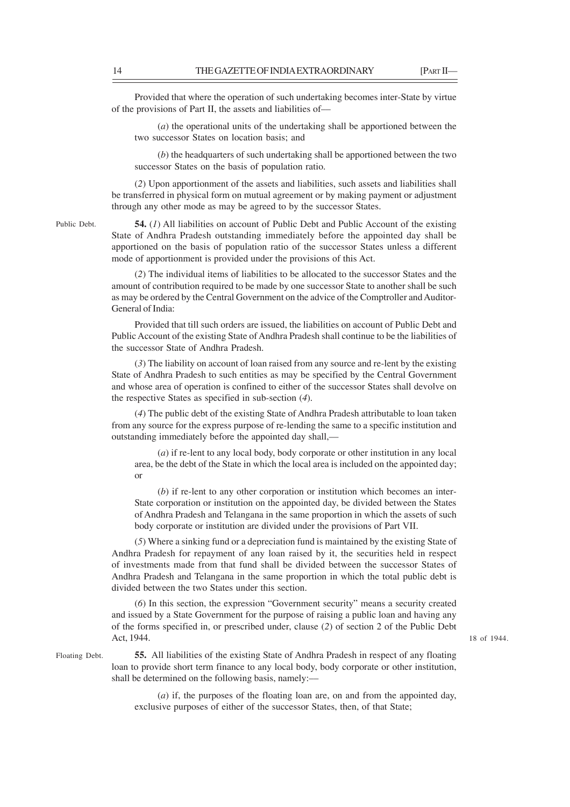18 of 1944.

Provided that where the operation of such undertaking becomes inter-State by virtue of the provisions of Part II, the assets and liabilities of––

(*a*) the operational units of the undertaking shall be apportioned between the two successor States on location basis; and

(*b*) the headquarters of such undertaking shall be apportioned between the two successor States on the basis of population ratio.

(*2*) Upon apportionment of the assets and liabilities, such assets and liabilities shall be transferred in physical form on mutual agreement or by making payment or adjustment through any other mode as may be agreed to by the successor States.

Public Debt.

**54.** (*1*) All liabilities on account of Public Debt and Public Account of the existing State of Andhra Pradesh outstanding immediately before the appointed day shall be apportioned on the basis of population ratio of the successor States unless a different mode of apportionment is provided under the provisions of this Act.

(*2*) The individual items of liabilities to be allocated to the successor States and the amount of contribution required to be made by one successor State to another shall be such as may be ordered by the Central Government on the advice of the Comptroller and Auditor-General of India:

Provided that till such orders are issued, the liabilities on account of Public Debt and Public Account of the existing State of Andhra Pradesh shall continue to be the liabilities of the successor State of Andhra Pradesh.

(*3*) The liability on account of loan raised from any source and re-lent by the existing State of Andhra Pradesh to such entities as may be specified by the Central Government and whose area of operation is confined to either of the successor States shall devolve on the respective States as specified in sub-section (*4*).

(*4*) The public debt of the existing State of Andhra Pradesh attributable to loan taken from any source for the express purpose of re-lending the same to a specific institution and outstanding immediately before the appointed day shall,—

(*a*) if re-lent to any local body, body corporate or other institution in any local area, be the debt of the State in which the local area is included on the appointed day; or

(*b*) if re-lent to any other corporation or institution which becomes an inter-State corporation or institution on the appointed day, be divided between the States of Andhra Pradesh and Telangana in the same proportion in which the assets of such body corporate or institution are divided under the provisions of Part VII.

(*5*) Where a sinking fund or a depreciation fund is maintained by the existing State of Andhra Pradesh for repayment of any loan raised by it, the securities held in respect of investments made from that fund shall be divided between the successor States of Andhra Pradesh and Telangana in the same proportion in which the total public debt is divided between the two States under this section.

(*6*) In this section, the expression "Government security" means a security created and issued by a State Government for the purpose of raising a public loan and having any of the forms specified in, or prescribed under, clause (*2*) of section 2 of the Public Debt Act, 1944.

Floating Debt.

**55.** All liabilities of the existing State of Andhra Pradesh in respect of any floating loan to provide short term finance to any local body, body corporate or other institution, shall be determined on the following basis, namely:––

(*a*) if, the purposes of the floating loan are, on and from the appointed day, exclusive purposes of either of the successor States, then, of that State;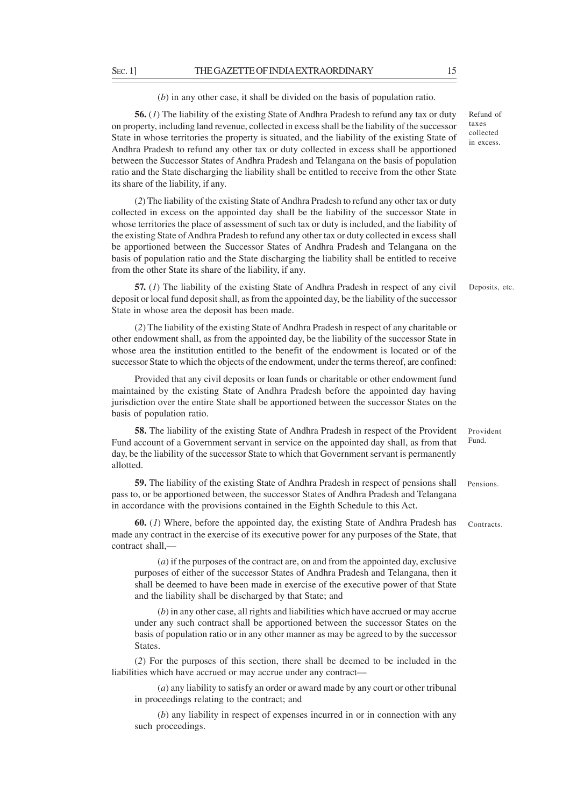(*b*) in any other case, it shall be divided on the basis of population ratio.

**56.** (*1*) The liability of the existing State of Andhra Pradesh to refund any tax or duty on property, including land revenue, collected in excess shall be the liability of the successor State in whose territories the property is situated, and the liability of the existing State of Andhra Pradesh to refund any other tax or duty collected in excess shall be apportioned between the Successor States of Andhra Pradesh and Telangana on the basis of population ratio and the State discharging the liability shall be entitled to receive from the other State its share of the liability, if any.

(*2*) The liability of the existing State of Andhra Pradesh to refund any other tax or duty collected in excess on the appointed day shall be the liability of the successor State in whose territories the place of assessment of such tax or duty is included, and the liability of the existing State of Andhra Pradesh to refund any other tax or duty collected in excess shall be apportioned between the Successor States of Andhra Pradesh and Telangana on the basis of population ratio and the State discharging the liability shall be entitled to receive from the other State its share of the liability, if any.

**57.** (*1*) The liability of the existing State of Andhra Pradesh in respect of any civil deposit or local fund deposit shall, as from the appointed day, be the liability of the successor State in whose area the deposit has been made. Deposits, etc.

(*2*) The liability of the existing State of Andhra Pradesh in respect of any charitable or other endowment shall, as from the appointed day, be the liability of the successor State in whose area the institution entitled to the benefit of the endowment is located or of the successor State to which the objects of the endowment, under the terms thereof, are confined:

Provided that any civil deposits or loan funds or charitable or other endowment fund maintained by the existing State of Andhra Pradesh before the appointed day having jurisdiction over the entire State shall be apportioned between the successor States on the basis of population ratio.

**58.** The liability of the existing State of Andhra Pradesh in respect of the Provident Fund account of a Government servant in service on the appointed day shall, as from that day, be the liability of the successor State to which that Government servant is permanently allotted. Provident Fund.

**59.** The liability of the existing State of Andhra Pradesh in respect of pensions shall pass to, or be apportioned between, the successor States of Andhra Pradesh and Telangana in accordance with the provisions contained in the Eighth Schedule to this Act. Pensions.

**60.** (*1*) Where, before the appointed day, the existing State of Andhra Pradesh has made any contract in the exercise of its executive power for any purposes of the State, that contract shall,–– Contracts.

(*a*) if the purposes of the contract are, on and from the appointed day, exclusive purposes of either of the successor States of Andhra Pradesh and Telangana, then it shall be deemed to have been made in exercise of the executive power of that State and the liability shall be discharged by that State; and

(*b*) in any other case, all rights and liabilities which have accrued or may accrue under any such contract shall be apportioned between the successor States on the basis of population ratio or in any other manner as may be agreed to by the successor States.

(*2*) For the purposes of this section, there shall be deemed to be included in the liabilities which have accrued or may accrue under any contract––

(*a*) any liability to satisfy an order or award made by any court or other tribunal in proceedings relating to the contract; and

(*b*) any liability in respect of expenses incurred in or in connection with any such proceedings.

Refund of taxes collected in excess.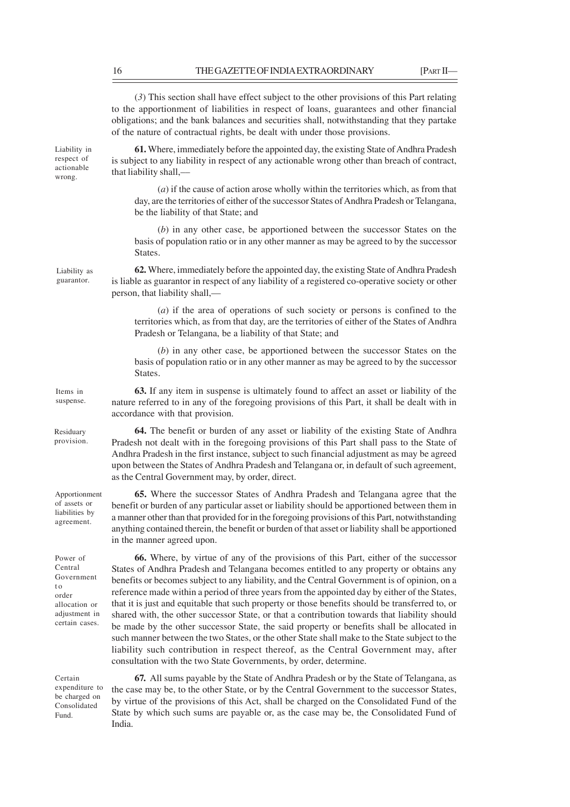(*3*) This section shall have effect subject to the other provisions of this Part relating to the apportionment of liabilities in respect of loans, guarantees and other financial obligations; and the bank balances and securities shall, notwithstanding that they partake of the nature of contractual rights, be dealt with under those provisions.

Liability in respect of actionable wrong.

**61.** Where, immediately before the appointed day, the existing State of Andhra Pradesh is subject to any liability in respect of any actionable wrong other than breach of contract, that liability shall,––

(*a*) if the cause of action arose wholly within the territories which, as from that day, are the territories of either of the successor States of Andhra Pradesh or Telangana, be the liability of that State; and

(*b*) in any other case, be apportioned between the successor States on the basis of population ratio or in any other manner as may be agreed to by the successor States.

**62.** Where, immediately before the appointed day, the existing State of Andhra Pradesh is liable as guarantor in respect of any liability of a registered co-operative society or other person, that liability shall,—

(*a*) if the area of operations of such society or persons is confined to the territories which, as from that day, are the territories of either of the States of Andhra Pradesh or Telangana, be a liability of that State; and

(*b*) in any other case, be apportioned between the successor States on the basis of population ratio or in any other manner as may be agreed to by the successor States.

**63.** If any item in suspense is ultimately found to affect an asset or liability of the nature referred to in any of the foregoing provisions of this Part, it shall be dealt with in accordance with that provision. suspense.

**64.** The benefit or burden of any asset or liability of the existing State of Andhra Pradesh not dealt with in the foregoing provisions of this Part shall pass to the State of Andhra Pradesh in the first instance, subject to such financial adjustment as may be agreed upon between the States of Andhra Pradesh and Telangana or, in default of such agreement, as the Central Government may, by order, direct.

**65.** Where the successor States of Andhra Pradesh and Telangana agree that the benefit or burden of any particular asset or liability should be apportioned between them in a manner other than that provided for in the foregoing provisions of this Part, notwithstanding anything contained therein, the benefit or burden of that asset or liability shall be apportioned in the manner agreed upon. Apportionment

Power of Central Government t o order allocation or adjustment in certain cases.

**66.** Where, by virtue of any of the provisions of this Part, either of the successor States of Andhra Pradesh and Telangana becomes entitled to any property or obtains any benefits or becomes subject to any liability, and the Central Government is of opinion, on a reference made within a period of three years from the appointed day by either of the States, that it is just and equitable that such property or those benefits should be transferred to, or shared with, the other successor State, or that a contribution towards that liability should be made by the other successor State, the said property or benefits shall be allocated in such manner between the two States, or the other State shall make to the State subject to the liability such contribution in respect thereof, as the Central Government may, after consultation with the two State Governments, by order, determine.

Certain expenditure to be charged on Consolidated Fund.

**67.** All sums payable by the State of Andhra Pradesh or by the State of Telangana, as the case may be, to the other State, or by the Central Government to the successor States, by virtue of the provisions of this Act, shall be charged on the Consolidated Fund of the State by which such sums are payable or, as the case may be, the Consolidated Fund of India.

Liability as guarantor.

Items in

Residuary provision.

of assets or liabilities by agreement.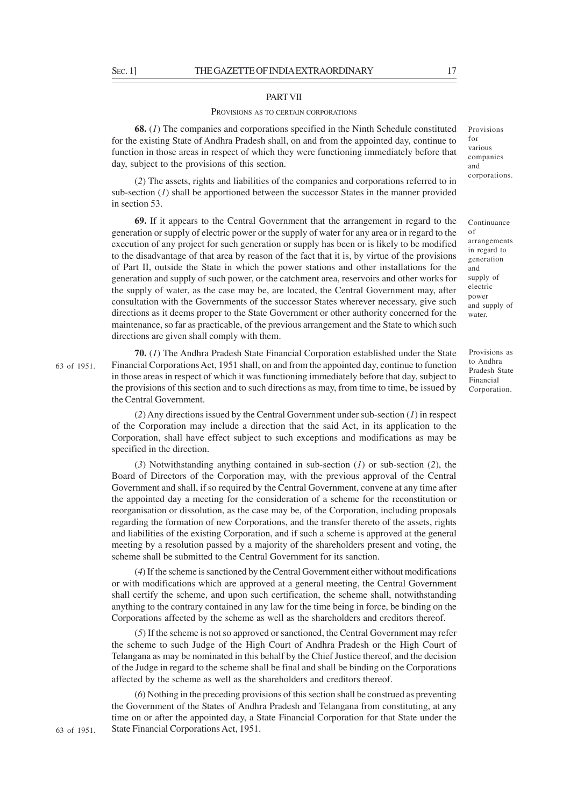#### PART VII

#### PROVISIONS AS TO CERTAIN CORPORATIONS

**68.** (*1*) The companies and corporations specified in the Ninth Schedule constituted for the existing State of Andhra Pradesh shall, on and from the appointed day, continue to function in those areas in respect of which they were functioning immediately before that day, subject to the provisions of this section.

(*2*) The assets, rights and liabilities of the companies and corporations referred to in sub-section (*1*) shall be apportioned between the successor States in the manner provided in section 53.

**69.** If it appears to the Central Government that the arrangement in regard to the generation or supply of electric power or the supply of water for any area or in regard to the execution of any project for such generation or supply has been or is likely to be modified to the disadvantage of that area by reason of the fact that it is, by virtue of the provisions of Part II, outside the State in which the power stations and other installations for the generation and supply of such power, or the catchment area, reservoirs and other works for the supply of water, as the case may be, are located, the Central Government may, after consultation with the Governments of the successor States wherever necessary, give such directions as it deems proper to the State Government or other authority concerned for the maintenance, so far as practicable, of the previous arrangement and the State to which such directions are given shall comply with them.

**70.** (*1*) The Andhra Pradesh State Financial Corporation established under the State Financial Corporations Act, 1951 shall, on and from the appointed day, continue to function in those areas in respect of which it was functioning immediately before that day, subject to the provisions of this section and to such directions as may, from time to time, be issued by the Central Government.

(*2*) Any directions issued by the Central Government under sub-section (*1*) in respect of the Corporation may include a direction that the said Act, in its application to the Corporation, shall have effect subject to such exceptions and modifications as may be specified in the direction.

(*3*) Notwithstanding anything contained in sub-section (*1*) or sub-section (*2*), the Board of Directors of the Corporation may, with the previous approval of the Central Government and shall, if so required by the Central Government, convene at any time after the appointed day a meeting for the consideration of a scheme for the reconstitution or reorganisation or dissolution, as the case may be, of the Corporation, including proposals regarding the formation of new Corporations, and the transfer thereto of the assets, rights and liabilities of the existing Corporation, and if such a scheme is approved at the general meeting by a resolution passed by a majority of the shareholders present and voting, the scheme shall be submitted to the Central Government for its sanction.

(*4*) If the scheme is sanctioned by the Central Government either without modifications or with modifications which are approved at a general meeting, the Central Government shall certify the scheme, and upon such certification, the scheme shall, notwithstanding anything to the contrary contained in any law for the time being in force, be binding on the Corporations affected by the scheme as well as the shareholders and creditors thereof.

(*5*) If the scheme is not so approved or sanctioned, the Central Government may refer the scheme to such Judge of the High Court of Andhra Pradesh or the High Court of Telangana as may be nominated in this behalf by the Chief Justice thereof, and the decision of the Judge in regard to the scheme shall be final and shall be binding on the Corporations affected by the scheme as well as the shareholders and creditors thereof.

(*6*) Nothing in the preceding provisions of this section shall be construed as preventing the Government of the States of Andhra Pradesh and Telangana from constituting, at any time on or after the appointed day, a State Financial Corporation for that State under the State Financial Corporations Act, 1951.

63 of 1951.

Provisions for various companies and corporations.

Continuance of arrangements in regard to generation and supply of electric power and supply of water.

Provisions as to Andhra Pradesh State Financial Corporation.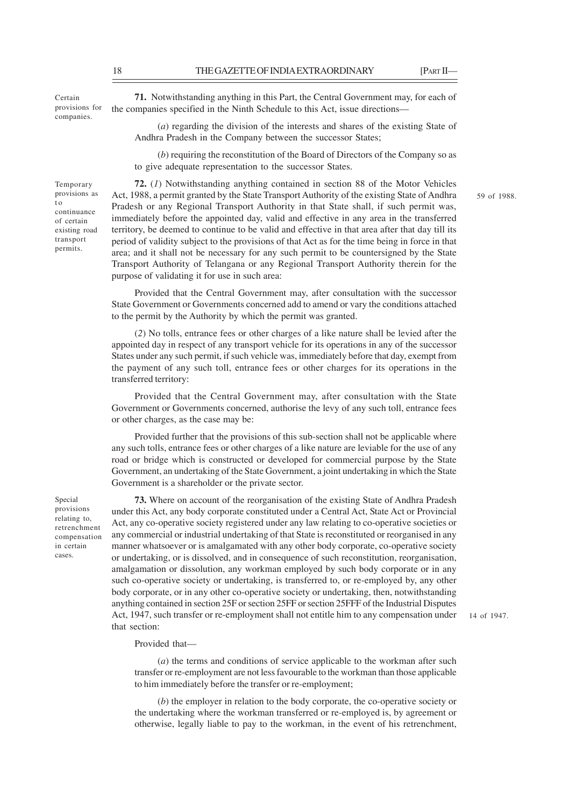Certain provisions for companies.

Temporary provisions as t o continuance of certain existing road transport permits.

**71.** Notwithstanding anything in this Part, the Central Government may, for each of the companies specified in the Ninth Schedule to this Act, issue directions––

(*a*) regarding the division of the interests and shares of the existing State of Andhra Pradesh in the Company between the successor States;

(*b*) requiring the reconstitution of the Board of Directors of the Company so as to give adequate representation to the successor States.

**72.** (*1*) Notwithstanding anything contained in section 88 of the Motor Vehicles Act, 1988, a permit granted by the State Transport Authority of the existing State of Andhra Pradesh or any Regional Transport Authority in that State shall, if such permit was, immediately before the appointed day, valid and effective in any area in the transferred territory, be deemed to continue to be valid and effective in that area after that day till its period of validity subject to the provisions of that Act as for the time being in force in that area; and it shall not be necessary for any such permit to be countersigned by the State Transport Authority of Telangana or any Regional Transport Authority therein for the purpose of validating it for use in such area:

Provided that the Central Government may, after consultation with the successor State Government or Governments concerned add to amend or vary the conditions attached to the permit by the Authority by which the permit was granted.

(*2*) No tolls, entrance fees or other charges of a like nature shall be levied after the appointed day in respect of any transport vehicle for its operations in any of the successor States under any such permit, if such vehicle was, immediately before that day, exempt from the payment of any such toll, entrance fees or other charges for its operations in the transferred territory:

Provided that the Central Government may, after consultation with the State Government or Governments concerned, authorise the levy of any such toll, entrance fees or other charges, as the case may be:

Provided further that the provisions of this sub-section shall not be applicable where any such tolls, entrance fees or other charges of a like nature are leviable for the use of any road or bridge which is constructed or developed for commercial purpose by the State Government, an undertaking of the State Government, a joint undertaking in which the State Government is a shareholder or the private sector.

Special provisions relating to, retrenchment compensation in certain cases.

**73.** Where on account of the reorganisation of the existing State of Andhra Pradesh under this Act, any body corporate constituted under a Central Act, State Act or Provincial Act, any co-operative society registered under any law relating to co-operative societies or any commercial or industrial undertaking of that State is reconstituted or reorganised in any manner whatsoever or is amalgamated with any other body corporate, co-operative society or undertaking, or is dissolved, and in consequence of such reconstitution, reorganisation, amalgamation or dissolution, any workman employed by such body corporate or in any such co-operative society or undertaking, is transferred to, or re-employed by, any other body corporate, or in any other co-operative society or undertaking, then, notwithstanding anything contained in section 25F or section 25FF or section 25FFF of the Industrial Disputes Act, 1947, such transfer or re-employment shall not entitle him to any compensation under that section:

14 of 1947.

Provided that—

(*a*) the terms and conditions of service applicable to the workman after such transfer or re-employment are not less favourable to the workman than those applicable to him immediately before the transfer or re-employment;

(*b*) the employer in relation to the body corporate, the co-operative society or the undertaking where the workman transferred or re-employed is, by agreement or otherwise, legally liable to pay to the workman, in the event of his retrenchment,

59 of 1988.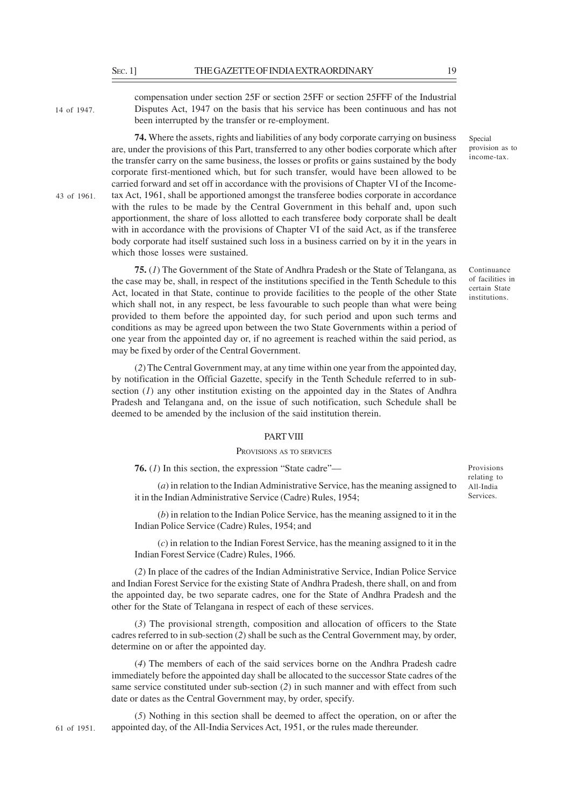14 of 1947.

43 of 1961.

compensation under section 25F or section 25FF or section 25FFF of the Industrial Disputes Act, 1947 on the basis that his service has been continuous and has not been interrupted by the transfer or re-employment.

**74.** Where the assets, rights and liabilities of any body corporate carrying on business are, under the provisions of this Part, transferred to any other bodies corporate which after the transfer carry on the same business, the losses or profits or gains sustained by the body corporate first-mentioned which, but for such transfer, would have been allowed to be carried forward and set off in accordance with the provisions of Chapter VI of the Incometax Act, 1961, shall be apportioned amongst the transferee bodies corporate in accordance with the rules to be made by the Central Government in this behalf and, upon such apportionment, the share of loss allotted to each transferee body corporate shall be dealt with in accordance with the provisions of Chapter VI of the said Act, as if the transferee body corporate had itself sustained such loss in a business carried on by it in the years in which those losses were sustained.

**75.** (*1*) The Government of the State of Andhra Pradesh or the State of Telangana, as the case may be, shall, in respect of the institutions specified in the Tenth Schedule to this Act, located in that State, continue to provide facilities to the people of the other State which shall not, in any respect, be less favourable to such people than what were being provided to them before the appointed day, for such period and upon such terms and conditions as may be agreed upon between the two State Governments within a period of one year from the appointed day or, if no agreement is reached within the said period, as may be fixed by order of the Central Government.

(*2*) The Central Government may, at any time within one year from the appointed day, by notification in the Official Gazette, specify in the Tenth Schedule referred to in subsection (*1*) any other institution existing on the appointed day in the States of Andhra Pradesh and Telangana and, on the issue of such notification, such Schedule shall be deemed to be amended by the inclusion of the said institution therein.

### PART VIII

### PROVISIONS AS TO SERVICES

**76.** (*1*) In this section, the expression "State cadre"––

(*a*) in relation to the Indian Administrative Service, has the meaning assigned to it in the Indian Administrative Service (Cadre) Rules, 1954;

(*b*) in relation to the Indian Police Service, has the meaning assigned to it in the Indian Police Service (Cadre) Rules, 1954; and

(*c*) in relation to the Indian Forest Service, has the meaning assigned to it in the Indian Forest Service (Cadre) Rules, 1966.

(*2*) In place of the cadres of the Indian Administrative Service, Indian Police Service and Indian Forest Service for the existing State of Andhra Pradesh, there shall, on and from the appointed day, be two separate cadres, one for the State of Andhra Pradesh and the other for the State of Telangana in respect of each of these services.

(*3*) The provisional strength, composition and allocation of officers to the State cadres referred to in sub-section (*2*) shall be such as the Central Government may, by order, determine on or after the appointed day.

(*4*) The members of each of the said services borne on the Andhra Pradesh cadre immediately before the appointed day shall be allocated to the successor State cadres of the same service constituted under sub-section (*2*) in such manner and with effect from such date or dates as the Central Government may, by order, specify.

(*5*) Nothing in this section shall be deemed to affect the operation, on or after the appointed day, of the All-India Services Act, 1951, or the rules made thereunder.

Provisions relating to All-India Services.

Special provision as to income-tax.

Continuance of facilities in certain State institutions.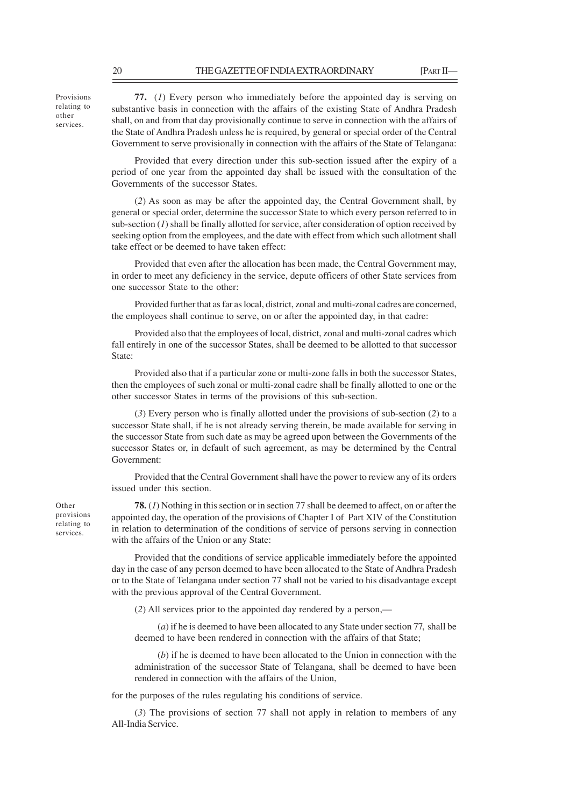Provisions relating to other services.

**77.** (*1*) Every person who immediately before the appointed day is serving on substantive basis in connection with the affairs of the existing State of Andhra Pradesh shall, on and from that day provisionally continue to serve in connection with the affairs of the State of Andhra Pradesh unless he is required, by general or special order of the Central Government to serve provisionally in connection with the affairs of the State of Telangana:

Provided that every direction under this sub-section issued after the expiry of a period of one year from the appointed day shall be issued with the consultation of the Governments of the successor States.

(*2*) As soon as may be after the appointed day, the Central Government shall, by general or special order, determine the successor State to which every person referred to in sub-section (*1*) shall be finally allotted for service, after consideration of option received by seeking option from the employees, and the date with effect from which such allotment shall take effect or be deemed to have taken effect:

Provided that even after the allocation has been made, the Central Government may, in order to meet any deficiency in the service, depute officers of other State services from one successor State to the other:

Provided further that as far as local, district, zonal and multi-zonal cadres are concerned, the employees shall continue to serve, on or after the appointed day, in that cadre:

Provided also that the employees of local, district, zonal and multi-zonal cadres which fall entirely in one of the successor States, shall be deemed to be allotted to that successor State:

Provided also that if a particular zone or multi-zone falls in both the successor States, then the employees of such zonal or multi-zonal cadre shall be finally allotted to one or the other successor States in terms of the provisions of this sub-section.

(*3*) Every person who is finally allotted under the provisions of sub-section (*2*) to a successor State shall, if he is not already serving therein, be made available for serving in the successor State from such date as may be agreed upon between the Governments of the successor States or, in default of such agreement, as may be determined by the Central Government:

Provided that the Central Government shall have the power to review any of its orders issued under this section.

**78.** (*1*) Nothing in this section or in section 77 shall be deemed to affect, on or after the appointed day, the operation of the provisions of Chapter I of Part XIV of the Constitution in relation to determination of the conditions of service of persons serving in connection with the affairs of the Union or any State:

Provided that the conditions of service applicable immediately before the appointed day in the case of any person deemed to have been allocated to the State of Andhra Pradesh or to the State of Telangana under section 77 shall not be varied to his disadvantage except with the previous approval of the Central Government.

(*2*) All services prior to the appointed day rendered by a person,—

(*a*) if he is deemed to have been allocated to any State under section 77, shall be deemed to have been rendered in connection with the affairs of that State;

(*b*) if he is deemed to have been allocated to the Union in connection with the administration of the successor State of Telangana, shall be deemed to have been rendered in connection with the affairs of the Union,

for the purposes of the rules regulating his conditions of service.

(*3*) The provisions of section 77 shall not apply in relation to members of any All-India Service.

Other provisions relating to services.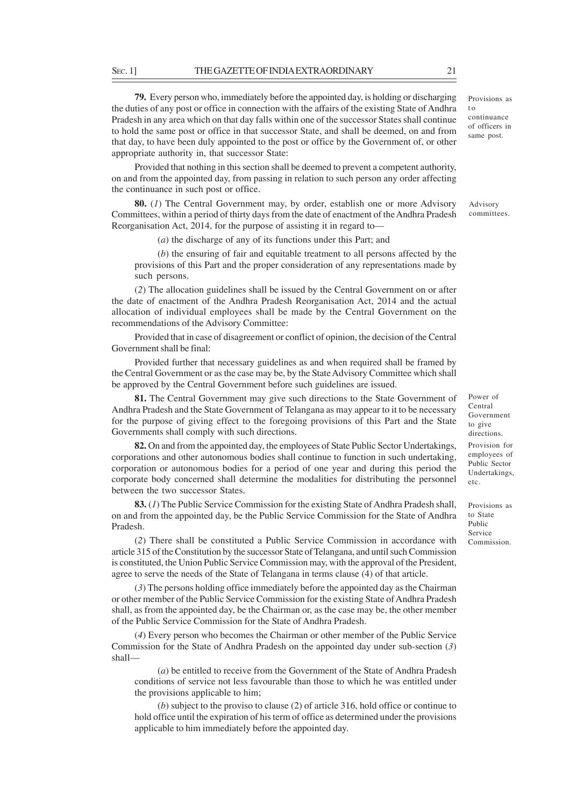**79.** Every person who, immediately before the appointed day, is holding or discharging the duties of any post or office in connection with the affairs of the existing State of Andhra Pradesh in any area which on that day falls within one of the successor States shall continue to hold the same post or office in that successor State, and shall be deemed, on and from that day, to have been duly appointed to the post or office by the Government of, or other appropriate authority in, that successor State:

Provided that nothing in this section shall be deemed to prevent a competent authority, on and from the appointed day, from passing in relation to such person any order affecting the continuance in such post or office.

**80.** (*1*) The Central Government may, by order, establish one or more Advisory Committees, within a period of thirty days from the date of enactment of the Andhra Pradesh Reorganisation Act, 2014, for the purpose of assisting it in regard to––

(*a*) the discharge of any of its functions under this Part; and

(*b*) the ensuring of fair and equitable treatment to all persons affected by the provisions of this Part and the proper consideration of any representations made by such persons.

(*2*) The allocation guidelines shall be issued by the Central Government on or after the date of enactment of the Andhra Pradesh Reorganisation Act, 2014 and the actual allocation of individual employees shall be made by the Central Government on the recommendations of the Advisory Committee:

Provided that in case of disagreement or conflict of opinion, the decision of the Central Government shall be final:

Provided further that necessary guidelines as and when required shall be framed by the Central Government or as the case may be, by the State Advisory Committee which shall be approved by the Central Government before such guidelines are issued.

**81.** The Central Government may give such directions to the State Government of Andhra Pradesh and the State Government of Telangana as may appear to it to be necessary for the purpose of giving effect to the foregoing provisions of this Part and the State Governments shall comply with such directions.

**82.** On and from the appointed day, the employees of State Public Sector Undertakings, corporations and other autonomous bodies shall continue to function in such undertaking, corporation or autonomous bodies for a period of one year and during this period the corporate body concerned shall determine the modalities for distributing the personnel between the two successor States.

**83.** (*1*) The Public Service Commission for the existing State of Andhra Pradesh shall, on and from the appointed day, be the Public Service Commission for the State of Andhra Pradesh.

(*2*) There shall be constituted a Public Service Commission in accordance with article 315 of the Constitution by the successor State of Telangana, and until such Commission is constituted, the Union Public Service Commission may, with the approval of the President, agree to serve the needs of the State of Telangana in terms clause (4) of that article.

(*3*) The persons holding office immediately before the appointed day as the Chairman or other member of the Public Service Commission for the existing State of Andhra Pradesh shall, as from the appointed day, be the Chairman or, as the case may be, the other member of the Public Service Commission for the State of Andhra Pradesh.

(*4*) Every person who becomes the Chairman or other member of the Public Service Commission for the State of Andhra Pradesh on the appointed day under sub-section (*3*) shall––

(*a*) be entitled to receive from the Government of the State of Andhra Pradesh conditions of service not less favourable than those to which he was entitled under the provisions applicable to him;

(*b*) subject to the proviso to clause (2) of article 316, hold office or continue to hold office until the expiration of his term of office as determined under the provisions applicable to him immediately before the appointed day.

Power of Central Government to give directions. Provision for employees of Public Sector Undertakings, etc.

Provisions as to State Public Service Commission.

Provisions as t o continuance of officers in

same post.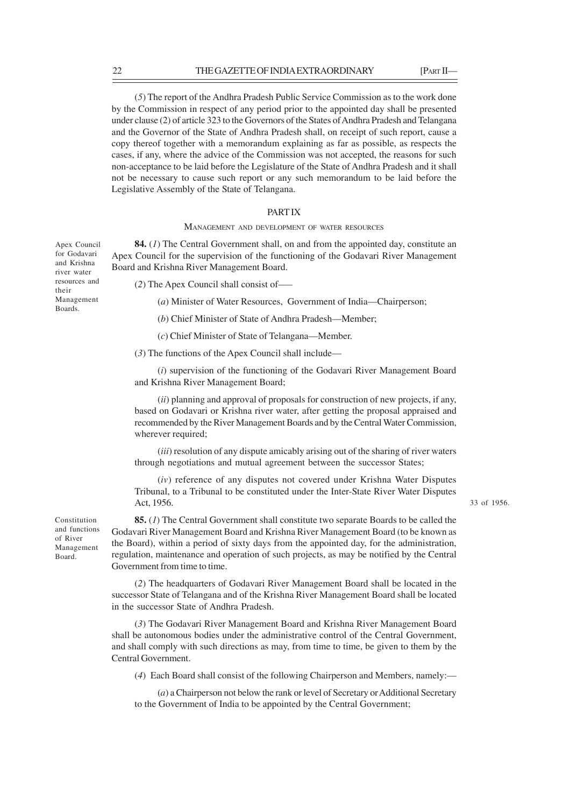(*5*) The report of the Andhra Pradesh Public Service Commission as to the work done by the Commission in respect of any period prior to the appointed day shall be presented under clause (2) of article 323 to the Governors of the States of Andhra Pradesh and Telangana and the Governor of the State of Andhra Pradesh shall, on receipt of such report, cause a copy thereof together with a memorandum explaining as far as possible, as respects the cases, if any, where the advice of the Commission was not accepted, the reasons for such non-acceptance to be laid before the Legislature of the State of Andhra Pradesh and it shall not be necessary to cause such report or any such memorandum to be laid before the Legislative Assembly of the State of Telangana.

### PART IX

MANAGEMENT AND DEVELOPMENT OF WATER RESOURCES

**84.** (*1*) The Central Government shall, on and from the appointed day, constitute an Apex Council for the supervision of the functioning of the Godavari River Management Board and Krishna River Management Board.

(*2*) The Apex Council shall consist of–––

(*a*) Minister of Water Resources, Government of India—Chairperson;

(*b*) Chief Minister of State of Andhra Pradesh—Member;

(*c*) Chief Minister of State of Telangana—Member.

(*3*) The functions of the Apex Council shall include––

(*i*) supervision of the functioning of the Godavari River Management Board and Krishna River Management Board;

(*ii*) planning and approval of proposals for construction of new projects, if any, based on Godavari or Krishna river water, after getting the proposal appraised and recommended by the River Management Boards and by the Central Water Commission, wherever required;

(*iii*) resolution of any dispute amicably arising out of the sharing of river waters through negotiations and mutual agreement between the successor States;

(*iv*) reference of any disputes not covered under Krishna Water Disputes Tribunal, to a Tribunal to be constituted under the Inter-State River Water Disputes Act, 1956.

33 of 1956.

Constitution and functions of River Management Board.

**85.** (*1*) The Central Government shall constitute two separate Boards to be called the Godavari River Management Board and Krishna River Management Board (to be known as the Board), within a period of sixty days from the appointed day, for the administration, regulation, maintenance and operation of such projects, as may be notified by the Central Government from time to time.

(*2*) The headquarters of Godavari River Management Board shall be located in the successor State of Telangana and of the Krishna River Management Board shall be located in the successor State of Andhra Pradesh.

(*3*) The Godavari River Management Board and Krishna River Management Board shall be autonomous bodies under the administrative control of the Central Government, and shall comply with such directions as may, from time to time, be given to them by the Central Government.

(*4*) Each Board shall consist of the following Chairperson and Members, namely:––

(*a*) a Chairperson not below the rank or level of Secretary or Additional Secretary to the Government of India to be appointed by the Central Government;

for Godavari and Krishna river water resources and their Management Boards.

Apex Council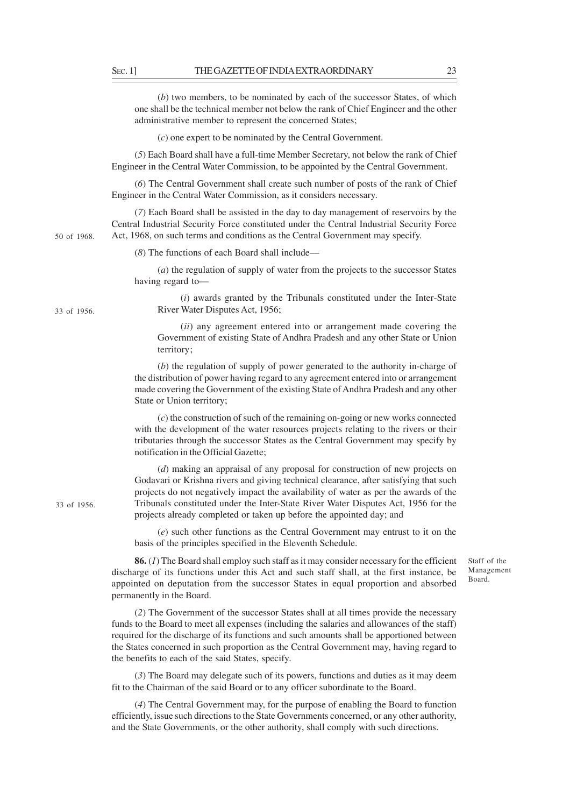(*b*) two members, to be nominated by each of the successor States, of which one shall be the technical member not below the rank of Chief Engineer and the other administrative member to represent the concerned States;

(*c*) one expert to be nominated by the Central Government.

(*5*) Each Board shall have a full-time Member Secretary, not below the rank of Chief Engineer in the Central Water Commission, to be appointed by the Central Government.

(*6*) The Central Government shall create such number of posts of the rank of Chief Engineer in the Central Water Commission, as it considers necessary.

(*7*) Each Board shall be assisted in the day to day management of reservoirs by the Central Industrial Security Force constituted under the Central Industrial Security Force Act, 1968, on such terms and conditions as the Central Government may specify.

(*8*) The functions of each Board shall include––

(*a*) the regulation of supply of water from the projects to the successor States having regard to––

(*i*) awards granted by the Tribunals constituted under the Inter-State River Water Disputes Act, 1956;

(*ii*) any agreement entered into or arrangement made covering the Government of existing State of Andhra Pradesh and any other State or Union territory;

(*b*) the regulation of supply of power generated to the authority in-charge of the distribution of power having regard to any agreement entered into or arrangement made covering the Government of the existing State of Andhra Pradesh and any other State or Union territory;

(*c*) the construction of such of the remaining on-going or new works connected with the development of the water resources projects relating to the rivers or their tributaries through the successor States as the Central Government may specify by notification in the Official Gazette;

(*d*) making an appraisal of any proposal for construction of new projects on Godavari or Krishna rivers and giving technical clearance, after satisfying that such projects do not negatively impact the availability of water as per the awards of the Tribunals constituted under the Inter-State River Water Disputes Act, 1956 for the projects already completed or taken up before the appointed day; and

(*e*) such other functions as the Central Government may entrust to it on the basis of the principles specified in the Eleventh Schedule.

**86.** (*1*) The Board shall employ such staff as it may consider necessary for the efficient discharge of its functions under this Act and such staff shall, at the first instance, be appointed on deputation from the successor States in equal proportion and absorbed permanently in the Board.

(*2*) The Government of the successor States shall at all times provide the necessary funds to the Board to meet all expenses (including the salaries and allowances of the staff) required for the discharge of its functions and such amounts shall be apportioned between the States concerned in such proportion as the Central Government may, having regard to the benefits to each of the said States, specify.

(*3*) The Board may delegate such of its powers, functions and duties as it may deem fit to the Chairman of the said Board or to any officer subordinate to the Board.

(*4*) The Central Government may, for the purpose of enabling the Board to function efficiently, issue such directions to the State Governments concerned, or any other authority, and the State Governments, or the other authority, shall comply with such directions.

Staff of the Management Board.

50 of 1968.

33 of 1956.

33 of 1956.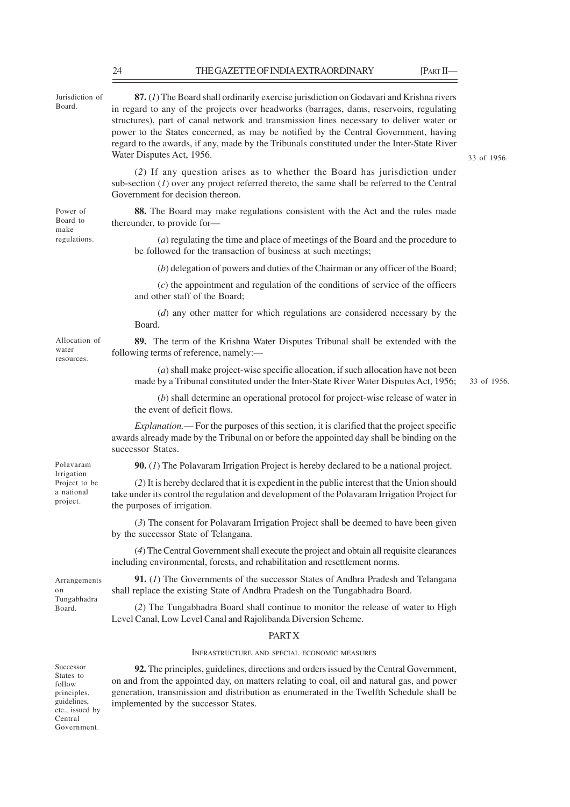| Jurisdiction of<br>Board.                                                                                   | 87. (1) The Board shall ordinarily exercise jurisdiction on Godavari and Krishna rivers<br>in regard to any of the projects over headworks (barrages, dams, reservoirs, regulating<br>structures), part of canal network and transmission lines necessary to deliver water or<br>power to the States concerned, as may be notified by the Central Government, having<br>regard to the awards, if any, made by the Tribunals constituted under the Inter-State River<br>Water Disputes Act, 1956.<br>33 of 1956. |             |  |  |  |  |
|-------------------------------------------------------------------------------------------------------------|-----------------------------------------------------------------------------------------------------------------------------------------------------------------------------------------------------------------------------------------------------------------------------------------------------------------------------------------------------------------------------------------------------------------------------------------------------------------------------------------------------------------|-------------|--|--|--|--|
|                                                                                                             | (2) If any question arises as to whether the Board has jurisdiction under<br>sub-section $(I)$ over any project referred thereto, the same shall be referred to the Central<br>Government for decision thereon.                                                                                                                                                                                                                                                                                                 |             |  |  |  |  |
| Power of<br>Board to<br>make                                                                                | 88. The Board may make regulations consistent with the Act and the rules made<br>thereunder, to provide for-                                                                                                                                                                                                                                                                                                                                                                                                    |             |  |  |  |  |
| regulations.                                                                                                | (a) regulating the time and place of meetings of the Board and the procedure to<br>be followed for the transaction of business at such meetings;                                                                                                                                                                                                                                                                                                                                                                |             |  |  |  |  |
|                                                                                                             | (b) delegation of powers and duties of the Chairman or any officer of the Board;                                                                                                                                                                                                                                                                                                                                                                                                                                |             |  |  |  |  |
|                                                                                                             | $(c)$ the appointment and regulation of the conditions of service of the officers<br>and other staff of the Board;                                                                                                                                                                                                                                                                                                                                                                                              |             |  |  |  |  |
|                                                                                                             | $(d)$ any other matter for which regulations are considered necessary by the<br>Board.                                                                                                                                                                                                                                                                                                                                                                                                                          |             |  |  |  |  |
| Allocation of<br>water<br>resources.                                                                        | 89. The term of the Krishna Water Disputes Tribunal shall be extended with the<br>following terms of reference, namely:-                                                                                                                                                                                                                                                                                                                                                                                        |             |  |  |  |  |
|                                                                                                             | $(a)$ shall make project-wise specific allocation, if such allocation have not been<br>made by a Tribunal constituted under the Inter-State River Water Disputes Act, 1956;                                                                                                                                                                                                                                                                                                                                     | 33 of 1956. |  |  |  |  |
|                                                                                                             | $(b)$ shall determine an operational protocol for project-wise release of water in<br>the event of deficit flows.                                                                                                                                                                                                                                                                                                                                                                                               |             |  |  |  |  |
|                                                                                                             | <i>Explanation</i> .— For the purposes of this section, it is clarified that the project specific<br>awards already made by the Tribunal on or before the appointed day shall be binding on the<br>successor States.                                                                                                                                                                                                                                                                                            |             |  |  |  |  |
| Polavaram                                                                                                   | <b>90.</b> (1) The Polavaram Irrigation Project is hereby declared to be a national project.                                                                                                                                                                                                                                                                                                                                                                                                                    |             |  |  |  |  |
| Irrigation<br>Project to be<br>a national<br>project.                                                       | (2) It is hereby declared that it is expedient in the public interest that the Union should<br>take under its control the regulation and development of the Polavaram Irrigation Project for<br>the purposes of irrigation.                                                                                                                                                                                                                                                                                     |             |  |  |  |  |
|                                                                                                             | (3) The consent for Polavaram Irrigation Project shall be deemed to have been given<br>by the successor State of Telangana.                                                                                                                                                                                                                                                                                                                                                                                     |             |  |  |  |  |
|                                                                                                             | (4) The Central Government shall execute the project and obtain all requisite clearances<br>including environmental, forests, and rehabilitation and resettlement norms.                                                                                                                                                                                                                                                                                                                                        |             |  |  |  |  |
| Arrangements<br>o n<br>Tungabhadra                                                                          | 91. (1) The Governments of the successor States of Andhra Pradesh and Telangana<br>shall replace the existing State of Andhra Pradesh on the Tungabhadra Board.                                                                                                                                                                                                                                                                                                                                                 |             |  |  |  |  |
| Board.                                                                                                      | (2) The Tungabhadra Board shall continue to monitor the release of water to High<br>Level Canal, Low Level Canal and Rajolibanda Diversion Scheme.                                                                                                                                                                                                                                                                                                                                                              |             |  |  |  |  |
|                                                                                                             | <b>PARTX</b>                                                                                                                                                                                                                                                                                                                                                                                                                                                                                                    |             |  |  |  |  |
|                                                                                                             | INFRASTRUCTURE AND SPECIAL ECONOMIC MEASURES                                                                                                                                                                                                                                                                                                                                                                                                                                                                    |             |  |  |  |  |
| Successor<br>States to<br>follow<br>principles,<br>guidelines,<br>etc., issued by<br>Central<br>Government. | 92. The principles, guidelines, directions and orders issued by the Central Government,<br>on and from the appointed day, on matters relating to coal, oil and natural gas, and power<br>generation, transmission and distribution as enumerated in the Twelfth Schedule shall be<br>implemented by the successor States.                                                                                                                                                                                       |             |  |  |  |  |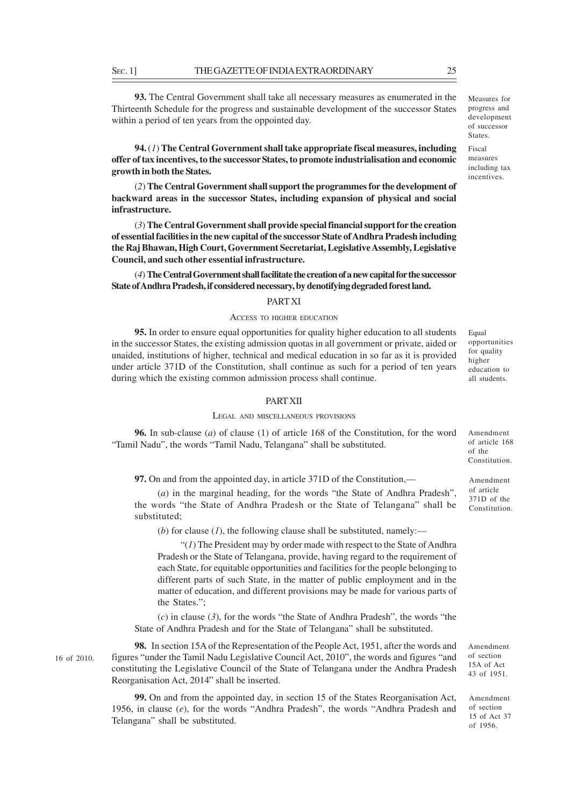**93.** The Central Government shall take all necessary measures as enumerated in the Thirteenth Schedule for the progress and sustainable development of the successor States within a period of ten years from the oppointed day.

**94.** (*1*) **The Central Government shall take appropriate fiscal measures, including offer of tax incentives, to the successor States, to promote industrialisation and economic growth in both the States.**

(*2*) **The Central Government shall support the programmes for the development of backward areas in the successor States, including expansion of physical and social infrastructure.**

(*3*) **The Central Government shall provide special financial support for the creation of essential facilities in the new capital of the successor State of Andhra Pradesh including the Raj Bhawan, High Court, Government Secretariat, Legislative Assembly, Legislative Council, and such other essential infrastructure.**

(*4*) **The Central Government shall facilitate the creation of a new capital for the successor State of Andhra Pradesh, if considered necessary, by denotifying degraded forest land.**

# PART XI

#### ACCESS TO HIGHER EDUCATION

**95.** In order to ensure equal opportunities for quality higher education to all students in the successor States, the existing admission quotas in all government or private, aided or unaided, institutions of higher, technical and medical education in so far as it is provided under article 371D of the Constitution, shall continue as such for a period of ten years during which the existing common admission process shall continue.

#### PART XII

#### LEGAL AND MISCELLANEOUS PROVISIONS

**96.** In sub-clause (*a*) of clause (1) of article 168 of the Constitution, for the word "Tamil Nadu", the words "Tamil Nadu, Telangana" shall be substituted.

**97.** On and from the appointed day, in article 371D of the Constitution,––

(*a*) in the marginal heading, for the words "the State of Andhra Pradesh", the words "the State of Andhra Pradesh or the State of Telangana" shall be substituted;

(*b*) for clause (*l*), the following clause shall be substituted, namely:—

"(*1*) The President may by order made with respect to the State of Andhra Pradesh or the State of Telangana, provide, having regard to the requirement of each State, for equitable opportunities and facilities for the people belonging to different parts of such State, in the matter of public employment and in the matter of education, and different provisions may be made for various parts of the States.";

(*c*) in clause (*3*), for the words "the State of Andhra Pradesh", the words "the State of Andhra Pradesh and for the State of Telangana" shall be substituted.

**98.** In section 15A of the Representation of the People Act, 1951, after the words and figures "under the Tamil Nadu Legislative Council Act, 2010", the words and figures "and constituting the Legislative Council of the State of Telangana under the Andhra Pradesh Reorganisation Act, 2014" shall be inserted. 16 of 2010.

> **99.** On and from the appointed day, in section 15 of the States Reorganisation Act, 1956, in clause (*e*), for the words "Andhra Pradesh", the words "Andhra Pradesh and Telangana" shall be substituted.

Amendment of section 15A of Act 43 of 1951.

Amendment of section 15 of Act 37 of 1956.

Amendment of article 371D of the Constitution.

Amendment of article 168 of the Constitution.

Measures for progress and development of successor **States**.

Fiscal measures including tax incentives.

Equal opportunities for quality higher education to all students.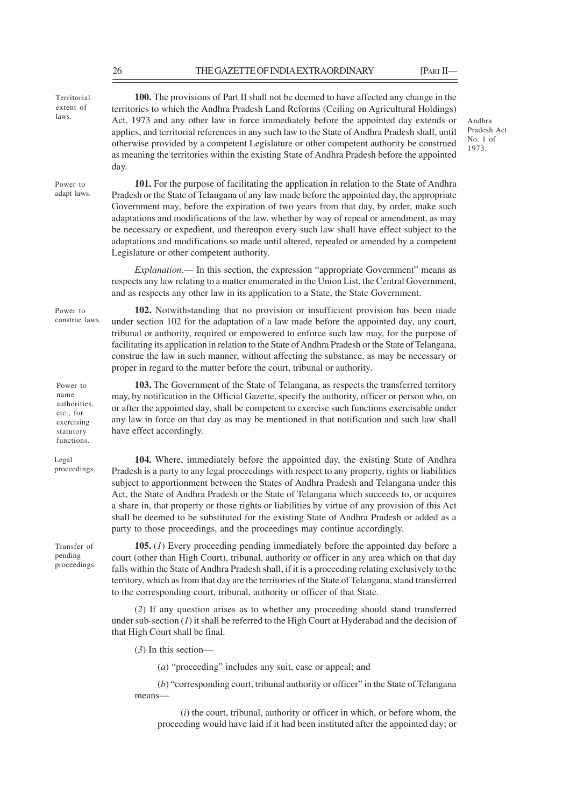| Territorial<br>extent of<br>laws.                                                      | <b>100.</b> The provisions of Part II shall not be deemed to have affected any change in the<br>territories to which the Andhra Pradesh Land Reforms (Ceiling on Agricultural Holdings)<br>Act, 1973 and any other law in force immediately before the appointed day extends or<br>applies, and territorial references in any such law to the State of Andhra Pradesh shall, until<br>otherwise provided by a competent Legislature or other competent authority be construed<br>as meaning the territories within the existing State of Andhra Pradesh before the appointed<br>day.                                                                 | Andhra<br>Pradesh /<br>No. $1$ of<br>1973. |
|----------------------------------------------------------------------------------------|------------------------------------------------------------------------------------------------------------------------------------------------------------------------------------------------------------------------------------------------------------------------------------------------------------------------------------------------------------------------------------------------------------------------------------------------------------------------------------------------------------------------------------------------------------------------------------------------------------------------------------------------------|--------------------------------------------|
| Power to<br>adapt laws.                                                                | 101. For the purpose of facilitating the application in relation to the State of Andhra<br>Pradesh or the State of Telangana of any law made before the appointed day, the appropriate<br>Government may, before the expiration of two years from that day, by order, make such<br>adaptations and modifications of the law, whether by way of repeal or amendment, as may<br>be necessary or expedient, and thereupon every such law shall have effect subject to the<br>adaptations and modifications so made until altered, repealed or amended by a competent<br>Legislature or other competent authority.                                       |                                            |
|                                                                                        | <i>Explanation</i> .— In this section, the expression "appropriate Government" means as<br>respects any law relating to a matter enumerated in the Union List, the Central Government,<br>and as respects any other law in its application to a State, the State Government.                                                                                                                                                                                                                                                                                                                                                                         |                                            |
| Power to<br>construe laws.                                                             | 102. Notwithstanding that no provision or insufficient provision has been made<br>under section 102 for the adaptation of a law made before the appointed day, any court,<br>tribunal or authority, required or empowered to enforce such law may, for the purpose of<br>facilitating its application in relation to the State of Andhra Pradesh or the State of Telangana,<br>construe the law in such manner, without affecting the substance, as may be necessary or<br>proper in regard to the matter before the court, tribunal or authority.                                                                                                   |                                            |
| Power to<br>name<br>authorities,<br>etc., for<br>exercising<br>statutory<br>functions. | 103. The Government of the State of Telangana, as respects the transferred territory<br>may, by notification in the Official Gazette, specify the authority, officer or person who, on<br>or after the appointed day, shall be competent to exercise such functions exercisable under<br>any law in force on that day as may be mentioned in that notification and such law shall<br>have effect accordingly.                                                                                                                                                                                                                                        |                                            |
| Legal<br>proceedings.                                                                  | 104. Where, immediately before the appointed day, the existing State of Andhra<br>Pradesh is a party to any legal proceedings with respect to any property, rights or liabilities<br>subject to apportionment between the States of Andhra Pradesh and Telangana under this<br>Act, the State of Andhra Pradesh or the State of Telangana which succeeds to, or acquires<br>a share in, that property or those rights or liabilities by virtue of any provision of this Act<br>shall be deemed to be substituted for the existing State of Andhra Pradesh or added as a<br>party to those proceedings, and the proceedings may continue accordingly. |                                            |
| Transfer of<br>pending<br>proceedings.                                                 | <b>105.</b> (1) Every proceeding pending immediately before the appointed day before a<br>court (other than High Court), tribunal, authority or officer in any area which on that day<br>falls within the State of Andhra Pradesh shall, if it is a proceeding relating exclusively to the<br>territory, which as from that day are the territories of the State of Telangana, stand transferred<br>to the corresponding court, tribunal, authority or officer of that State.                                                                                                                                                                        |                                            |
|                                                                                        | (2) If any question arises as to whether any proceeding should stand transferred<br>under sub-section $(I)$ it shall be referred to the High Court at Hyderabad and the decision of<br>that High Court shall be final.                                                                                                                                                                                                                                                                                                                                                                                                                               |                                            |
|                                                                                        | $(3)$ In this section-                                                                                                                                                                                                                                                                                                                                                                                                                                                                                                                                                                                                                               |                                            |

(*a*) "proceeding" includes any suit, case or appeal; and

(*b*) "corresponding court, tribunal authority or officer" in the State of Telangana means––

(*i*) the court, tribunal, authority or officer in which, or before whom, the proceeding would have laid if it had been instituted after the appointed day; or

26 THE GAZETTE OF INDIA EXTRAORDINARY [PART II—

Act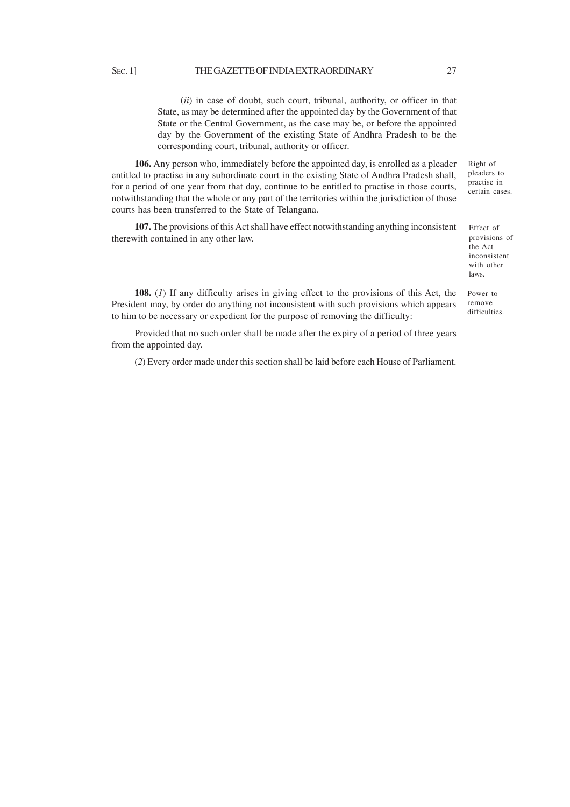(*ii*) in case of doubt, such court, tribunal, authority, or officer in that State, as may be determined after the appointed day by the Government of that State or the Central Government, as the case may be, or before the appointed day by the Government of the existing State of Andhra Pradesh to be the corresponding court, tribunal, authority or officer.

**106.** Any person who, immediately before the appointed day, is enrolled as a pleader entitled to practise in any subordinate court in the existing State of Andhra Pradesh shall, for a period of one year from that day, continue to be entitled to practise in those courts, notwithstanding that the whole or any part of the territories within the jurisdiction of those courts has been transferred to the State of Telangana.

**107.** The provisions of this Act shall have effect notwithstanding anything inconsistent therewith contained in any other law.

**108.** (*1*) If any difficulty arises in giving effect to the provisions of this Act, the President may, by order do anything not inconsistent with such provisions which appears to him to be necessary or expedient for the purpose of removing the difficulty:

Provided that no such order shall be made after the expiry of a period of three years from the appointed day.

(*2*) Every order made under this section shall be laid before each House of Parliament.

Effect of provisions of the Act inconsistent with other laws.

Power to remove difficulties.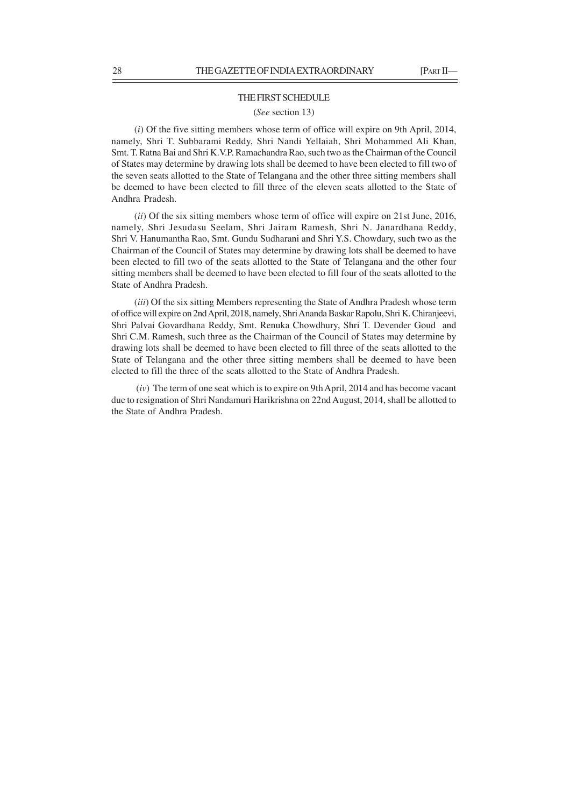# THE FIRST SCHEDULE (*See* section 13)

(*i*) Of the five sitting members whose term of office will expire on 9th April, 2014, namely, Shri T. Subbarami Reddy, Shri Nandi Yellaiah, Shri Mohammed Ali Khan, Smt. T. Ratna Bai and Shri K.V.P. Ramachandra Rao, such two as the Chairman of the Council of States may determine by drawing lots shall be deemed to have been elected to fill two of the seven seats allotted to the State of Telangana and the other three sitting members shall be deemed to have been elected to fill three of the eleven seats allotted to the State of Andhra Pradesh.

(*ii*) Of the six sitting members whose term of office will expire on 21st June, 2016, namely, Shri Jesudasu Seelam, Shri Jairam Ramesh, Shri N. Janardhana Reddy, Shri V. Hanumantha Rao, Smt. Gundu Sudharani and Shri Y.S. Chowdary, such two as the Chairman of the Council of States may determine by drawing lots shall be deemed to have been elected to fill two of the seats allotted to the State of Telangana and the other four sitting members shall be deemed to have been elected to fill four of the seats allotted to the State of Andhra Pradesh.

(*iii*) Of the six sitting Members representing the State of Andhra Pradesh whose term of office will expire on 2nd April, 2018, namely, Shri Ananda Baskar Rapolu, Shri K. Chiranjeevi, Shri Palvai Govardhana Reddy, Smt. Renuka Chowdhury, Shri T. Devender Goud and Shri C.M. Ramesh, such three as the Chairman of the Council of States may determine by drawing lots shall be deemed to have been elected to fill three of the seats allotted to the State of Telangana and the other three sitting members shall be deemed to have been elected to fill the three of the seats allotted to the State of Andhra Pradesh.

 (*iv*) The term of one seat which is to expire on 9th April, 2014 and has become vacant due to resignation of Shri Nandamuri Harikrishna on 22nd August, 2014, shall be allotted to the State of Andhra Pradesh.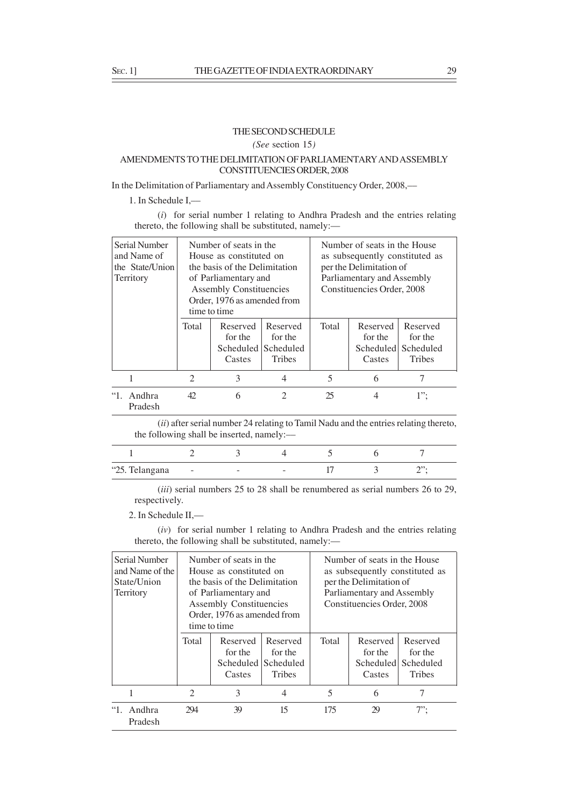# THE SECOND SCHEDULE

*(See* section 15*)*

# AMENDMENTS TO THE DELIMITATION OF PARLIAMENTARY AND ASSEMBLY CONSTITUENCIES ORDER, 2008

In the Delimitation of Parliamentary and Assembly Constituency Order, 2008,––

1. In Schedule I,––

(*i*) for serial number 1 relating to Andhra Pradesh and the entries relating thereto, the following shall be substituted, namely:-

| Serial Number<br>and Name of<br>the State/Union<br>Territory | Number of seats in the<br>House as constituted on<br>the basis of the Delimitation<br>of Parliamentary and<br><b>Assembly Constituencies</b><br>Order, 1976 as amended from<br>time to time |                               |                                                             | Number of seats in the House<br>as subsequently constituted as<br>per the Delimitation of<br>Parliamentary and Assembly<br>Constituencies Order, 2008 |                               |                                                             |
|--------------------------------------------------------------|---------------------------------------------------------------------------------------------------------------------------------------------------------------------------------------------|-------------------------------|-------------------------------------------------------------|-------------------------------------------------------------------------------------------------------------------------------------------------------|-------------------------------|-------------------------------------------------------------|
|                                                              | <b>Total</b>                                                                                                                                                                                | Reserved<br>for the<br>Castes | Reserved<br>for the<br>Scheduled Scheduled<br><b>Tribes</b> | Total                                                                                                                                                 | Reserved<br>for the<br>Castes | Reserved<br>for the<br>Scheduled Scheduled<br><b>Tribes</b> |
|                                                              | $\mathfrak{D}$                                                                                                                                                                              | 3                             | 4                                                           | 5                                                                                                                                                     | 6                             |                                                             |
| $\lq\lq\lq\lq$<br>Andhra<br>Pradesh                          | 42                                                                                                                                                                                          | 6                             | $\mathfrak{D}$                                              | 25                                                                                                                                                    | 4                             | $1$ ";                                                      |

(*ii*) after serial number 24 relating to Tamil Nadu and the entries relating thereto, the following shall be inserted, namely:––

| "25. Telangana | $\sim$ $-$ | - | - |  |  |
|----------------|------------|---|---|--|--|

(*iii*) serial numbers 25 to 28 shall be renumbered as serial numbers 26 to 29, respectively.

2. In Schedule II,––

(*iv*) for serial number 1 relating to Andhra Pradesh and the entries relating thereto, the following shall be substituted, namely:-

| Serial Number<br>and Name of the<br>State/Union<br>Territory | Number of seats in the<br>House as constituted on<br>the basis of the Delimitation<br>of Parliamentary and<br><b>Assembly Constituencies</b><br>Order, 1976 as amended from<br>time to time |                               |                                                             | Number of seats in the House<br>as subsequently constituted as<br>per the Delimitation of<br>Parliamentary and Assembly<br>Constituencies Order, 2008 |                                            |                                                   |
|--------------------------------------------------------------|---------------------------------------------------------------------------------------------------------------------------------------------------------------------------------------------|-------------------------------|-------------------------------------------------------------|-------------------------------------------------------------------------------------------------------------------------------------------------------|--------------------------------------------|---------------------------------------------------|
|                                                              | Total                                                                                                                                                                                       | Reserved<br>for the<br>Castes | Reserved<br>for the<br>Scheduled Scheduled<br><b>Tribes</b> | Total                                                                                                                                                 | Reserved<br>for the<br>Scheduled<br>Castes | Reserved<br>for the<br>Scheduled<br><b>Tribes</b> |
| 1                                                            | 2                                                                                                                                                                                           | 3                             | 4                                                           | 5                                                                                                                                                     | 6                                          | 7                                                 |
| Andhra<br>Pradesh                                            | 294                                                                                                                                                                                         | 39                            | 15                                                          | 175                                                                                                                                                   | 29                                         | $7$ ";                                            |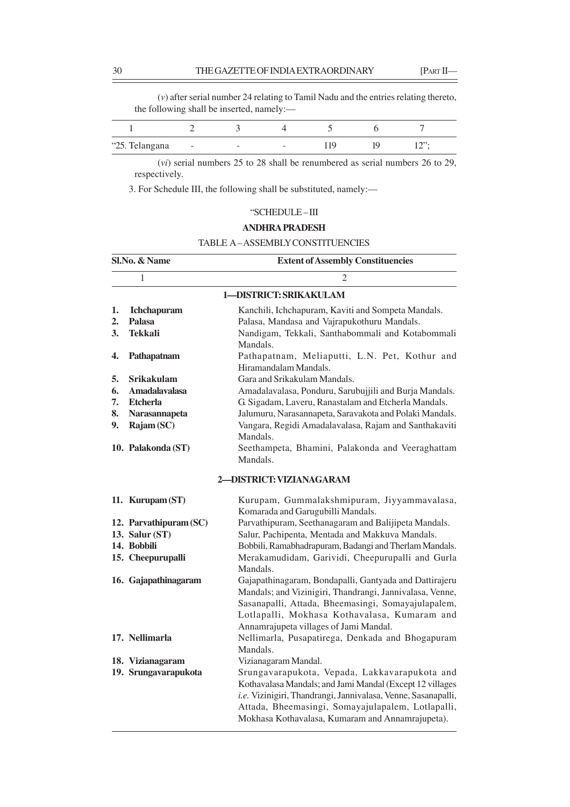(*v*) after serial number 24 relating to Tamil Nadu and the entries relating thereto, the following shall be inserted, namely:––

| "25. Telangana | <b>Service</b> | $\sim$ | $\sim$ |  |  |
|----------------|----------------|--------|--------|--|--|

(*vi*) serial numbers 25 to 28 shall be renumbered as serial numbers 26 to 29, respectively.

3. For Schedule III, the following shall be substituted, namely:––

# "SCHEDULE – III

# **ANDHRA PRADESH**

# TABLE A – ASSEMBLY CONSTITUENCIES

|    | Sl.No. & Name          | <b>Extent of Assembly Constituencies</b>                          |  |  |  |  |
|----|------------------------|-------------------------------------------------------------------|--|--|--|--|
|    | 1                      | 2                                                                 |  |  |  |  |
|    |                        | 1-DISTRICT: SRIKAKULAM                                            |  |  |  |  |
| 1. | <b>Ichchapuram</b>     | Kanchili, Ichchapuram, Kaviti and Sompeta Mandals.                |  |  |  |  |
| 2. | <b>Palasa</b>          | Palasa, Mandasa and Vajrapukothuru Mandals.                       |  |  |  |  |
| 3. | <b>Tekkali</b>         | Nandigam, Tekkali, Santhabommali and Kotabommali<br>Mandals.      |  |  |  |  |
| 4. | Pathapatnam            | Pathapatnam, Meliaputti, L.N. Pet, Kothur and                     |  |  |  |  |
|    |                        | Hiramandalam Mandals.                                             |  |  |  |  |
| 5. | <b>Srikakulam</b>      | Gara and Srikakulam Mandals.                                      |  |  |  |  |
| 6. | <b>Amadalavalasa</b>   | Amadalavalasa, Ponduru, Sarubujjili and Burja Mandals.            |  |  |  |  |
| 7. | <b>Etcherla</b>        | G. Sigadam, Laveru, Ranastalam and Etcherla Mandals.              |  |  |  |  |
| 8. | Narasannapeta          | Jalumuru, Narasannapeta, Saravakota and Polaki Mandals.           |  |  |  |  |
| 9. | Rajam (SC)             | Vangara, Regidi Amadalavalasa, Rajam and Santhakaviti<br>Mandals. |  |  |  |  |
|    | 10. Palakonda (ST)     | Seethampeta, Bhamini, Palakonda and Veeraghattam                  |  |  |  |  |
|    |                        | Mandals.                                                          |  |  |  |  |
|    |                        | 2-DISTRICT: VIZIANAGARAM                                          |  |  |  |  |
|    | 11. Kurupam (ST)       | Kurupam, Gummalakshmipuram, Jiyyammavalasa,                       |  |  |  |  |
|    |                        | Komarada and Garugubilli Mandals.                                 |  |  |  |  |
|    | 12. Parvathipuram (SC) | Parvathipuram, Seethanagaram and Balijipeta Mandals.              |  |  |  |  |
|    | 13. Salur (ST)         | Salur, Pachipenta, Mentada and Makkuva Mandals.                   |  |  |  |  |
|    | 14. Bobbili            | Bobbili, Ramabhadrapuram, Badangi and Therlam Mandals.            |  |  |  |  |
|    | 15. Cheepurupalli      | Merakamudidam, Garividi, Cheepurupalli and Gurla<br>Mandals.      |  |  |  |  |
|    | 16. Gajapathinagaram   | Gajapathinagaram, Bondapalli, Gantyada and Dattirajeru            |  |  |  |  |
|    |                        | Mandals; and Vizinigiri, Thandrangi, Jannivalasa, Venne,          |  |  |  |  |
|    |                        | Sasanapalli, Attada, Bheemasingi, Somayajulapalem,                |  |  |  |  |
|    |                        | Lotlapalli, Mokhasa Kothavalasa, Kumaram and                      |  |  |  |  |
|    |                        | Annamrajupeta villages of Jami Mandal.                            |  |  |  |  |
|    | 17. Nellimarla         | Nellimarla, Pusapatirega, Denkada and Bhogapuram                  |  |  |  |  |
|    |                        | Mandals.                                                          |  |  |  |  |
|    | 18. Vizianagaram       | Vizianagaram Mandal.                                              |  |  |  |  |
|    | 19. Srungavarapukota   | Srungavarapukota, Vepada, Lakkavarapukota and                     |  |  |  |  |
|    |                        | Kothavalasa Mandals; and Jami Mandal (Except 12 villages          |  |  |  |  |
|    |                        | i.e. Vizinigiri, Thandrangi, Jannivalasa, Venne, Sasanapalli,     |  |  |  |  |
|    |                        | Attada, Bheemasingi, Somayajulapalem, Lotlapalli,                 |  |  |  |  |
|    |                        | Mokhasa Kothavalasa, Kumaram and Annamrajupeta).                  |  |  |  |  |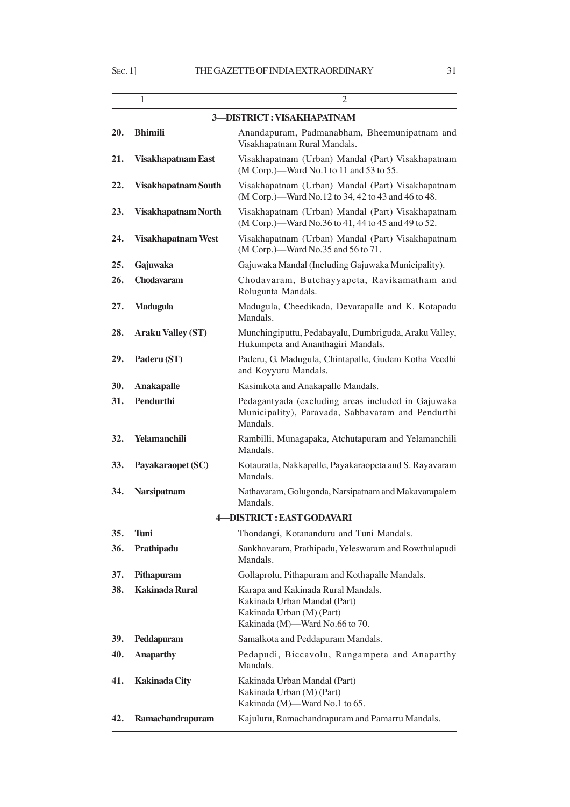|     | 1                          | $\overline{c}$                                                                                                                    |
|-----|----------------------------|-----------------------------------------------------------------------------------------------------------------------------------|
|     |                            | 3-DISTRICT: VISAKHAPATNAM                                                                                                         |
| 20. | <b>Bhimili</b>             | Anandapuram, Padmanabham, Bheemunipatnam and<br>Visakhapatnam Rural Mandals.                                                      |
| 21. | <b>Visakhapatnam East</b>  | Visakhapatnam (Urban) Mandal (Part) Visakhapatnam<br>(M Corp.)—Ward No.1 to 11 and 53 to 55.                                      |
| 22. | <b>Visakhapatnam South</b> | Visakhapatnam (Urban) Mandal (Part) Visakhapatnam<br>(M Corp.)—Ward No.12 to 34, 42 to 43 and 46 to 48.                           |
| 23. | Visakhapatnam North        | Visakhapatnam (Urban) Mandal (Part) Visakhapatnam<br>(M Corp.)—Ward No.36 to 41, 44 to 45 and 49 to 52.                           |
| 24. | <b>Visakhapatnam West</b>  | Visakhapatnam (Urban) Mandal (Part) Visakhapatnam<br>(M Corp.)—Ward No.35 and 56 to 71.                                           |
| 25. | Gajuwaka                   | Gajuwaka Mandal (Including Gajuwaka Municipality).                                                                                |
| 26. | <b>Chodavaram</b>          | Chodavaram, Butchayyapeta, Ravikamatham and<br>Rolugunta Mandals.                                                                 |
| 27. | <b>Madugula</b>            | Madugula, Cheedikada, Devarapalle and K. Kotapadu<br>Mandals.                                                                     |
| 28. | <b>Araku Valley (ST)</b>   | Munchingiputtu, Pedabayalu, Dumbriguda, Araku Valley,<br>Hukumpeta and Ananthagiri Mandals.                                       |
| 29. | Paderu (ST)                | Paderu, G. Madugula, Chintapalle, Gudem Kotha Veedhi<br>and Koyyuru Mandals.                                                      |
| 30. | <b>Anakapalle</b>          | Kasimkota and Anakapalle Mandals.                                                                                                 |
| 31. | Pendurthi                  | Pedagantyada (excluding areas included in Gajuwaka<br>Municipality), Paravada, Sabbavaram and Pendurthi<br>Mandals.               |
| 32. | Yelamanchili               | Rambilli, Munagapaka, Atchutapuram and Yelamanchili<br>Mandals.                                                                   |
| 33. | Payakaraopet (SC)          | Kotauratla, Nakkapalle, Payakaraopeta and S. Rayavaram<br>Mandals.                                                                |
| 34. | <b>Narsipatnam</b>         | Nathavaram, Golugonda, Narsipatnam and Makavarapalem<br>Mandals.                                                                  |
|     |                            | 4-DISTRICT: EAST GODAVARI                                                                                                         |
| 35. | <b>Tuni</b>                | Thondangi, Kotananduru and Tuni Mandals.                                                                                          |
| 36. | Prathipadu                 | Sankhavaram, Prathipadu, Yeleswaram and Rowthulapudi<br>Mandals.                                                                  |
| 37. | Pithapuram                 | Gollaprolu, Pithapuram and Kothapalle Mandals.                                                                                    |
| 38. | <b>Kakinada Rural</b>      | Karapa and Kakinada Rural Mandals.<br>Kakinada Urban Mandal (Part)<br>Kakinada Urban (M) (Part)<br>Kakinada (M)-Ward No.66 to 70. |
| 39. | Peddapuram                 | Samalkota and Peddapuram Mandals.                                                                                                 |
| 40. | <b>Anaparthy</b>           | Pedapudi, Biccavolu, Rangampeta and Anaparthy<br>Mandals.                                                                         |
| 41. | <b>Kakinada City</b>       | Kakinada Urban Mandal (Part)<br>Kakinada Urban (M) (Part)<br>Kakinada (M)-Ward No.1 to 65.                                        |
| 42. | Ramachandrapuram           | Kajuluru, Ramachandrapuram and Pamarru Mandals.                                                                                   |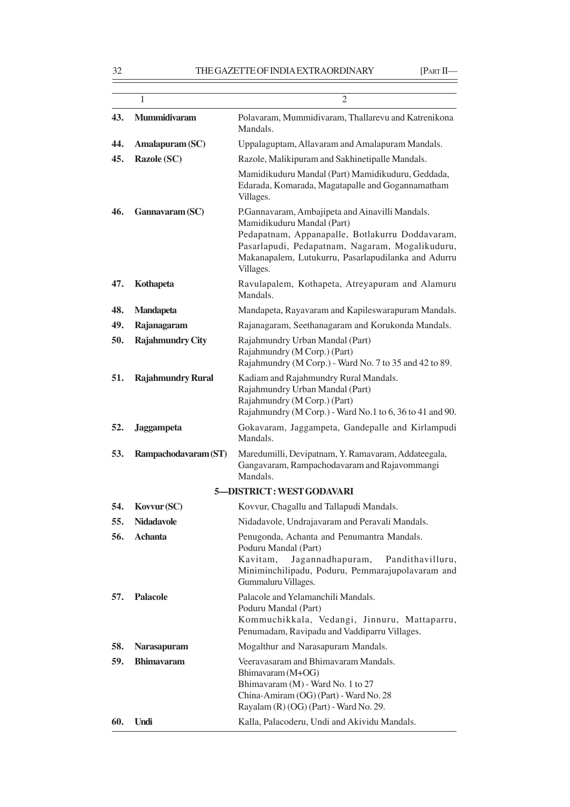|     | 1                        | 2                                                                                                                                                                                                                                                       |
|-----|--------------------------|---------------------------------------------------------------------------------------------------------------------------------------------------------------------------------------------------------------------------------------------------------|
| 43. | <b>Mummidivaram</b>      | Polavaram, Mummidivaram, Thallarevu and Katrenikona<br>Mandals.                                                                                                                                                                                         |
| 44. | Amalapuram (SC)          | Uppalaguptam, Allavaram and Amalapuram Mandals.                                                                                                                                                                                                         |
| 45. | <b>Razole (SC)</b>       | Razole, Malikipuram and Sakhinetipalle Mandals.                                                                                                                                                                                                         |
|     |                          | Mamidikuduru Mandal (Part) Mamidikuduru, Geddada,<br>Edarada, Komarada, Magatapalle and Gogannamatham<br>Villages.                                                                                                                                      |
| 46. | Gannavaram (SC)          | P.Gannavaram, Ambajipeta and Ainavilli Mandals.<br>Mamidikuduru Mandal (Part)<br>Pedapatnam, Appanapalle, Botlakurru Doddavaram,<br>Pasarlapudi, Pedapatnam, Nagaram, Mogalikuduru,<br>Makanapalem, Lutukurru, Pasarlapudilanka and Adurru<br>Villages. |
| 47. | Kothapeta                | Ravulapalem, Kothapeta, Atreyapuram and Alamuru<br>Mandals.                                                                                                                                                                                             |
| 48. | <b>Mandapeta</b>         | Mandapeta, Rayavaram and Kapileswarapuram Mandals.                                                                                                                                                                                                      |
| 49. | Rajanagaram              | Rajanagaram, Seethanagaram and Korukonda Mandals.                                                                                                                                                                                                       |
| 50. | <b>Rajahmundry City</b>  | Rajahmundry Urban Mandal (Part)<br>Rajahmundry (M Corp.) (Part)<br>Rajahmundry (M Corp.) - Ward No. 7 to 35 and 42 to 89.                                                                                                                               |
| 51. | <b>Rajahmundry Rural</b> | Kadiam and Rajahmundry Rural Mandals.<br>Rajahmundry Urban Mandal (Part)<br>Rajahmundry (M Corp.) (Part)<br>Rajahmundry (M Corp.) - Ward No.1 to 6, 36 to 41 and 90.                                                                                    |
| 52. | <b>Jaggampeta</b>        | Gokavaram, Jaggampeta, Gandepalle and Kirlampudi<br>Mandals.                                                                                                                                                                                            |
| 53. | Rampachodavaram (ST)     | Maredumilli, Devipatnam, Y. Ramavaram, Addateegala,<br>Gangavaram, Rampachodavaram and Rajavommangi<br>Mandals.                                                                                                                                         |
|     |                          | 5-DISTRICT: WEST GODAVARI                                                                                                                                                                                                                               |
| 54. | Kovvur (SC)              | Kovvur, Chagallu and Tallapudi Mandals.                                                                                                                                                                                                                 |
| 55. | <b>Nidadavole</b>        | Nidadavole, Undrajavaram and Peravali Mandals.                                                                                                                                                                                                          |
| 56. | <b>Achanta</b>           | Penugonda, Achanta and Penumantra Mandals.<br>Poduru Mandal (Part)<br>Jagannadhapuram,<br>Kavitam,<br>Pandithavilluru,<br>Miniminchilipadu, Poduru, Pemmarajupolavaram and<br>Gummaluru Villages.                                                       |
| 57. | <b>Palacole</b>          | Palacole and Yelamanchili Mandals.<br>Poduru Mandal (Part)<br>Kommuchikkala, Vedangi, Jinnuru, Mattaparru,<br>Penumadam, Ravipadu and Vaddiparru Villages.                                                                                              |
| 58. | <b>Narasapuram</b>       | Mogalthur and Narasapuram Mandals.                                                                                                                                                                                                                      |
| 59. | <b>Bhimayaram</b>        | Veeravasaram and Bhimavaram Mandals.<br>Bhimavaram (M+OG)<br>Bhimavaram (M) - Ward No. 1 to 27<br>China-Amiram (OG) (Part) - Ward No. 28<br>Rayalam $(R)$ (OG) (Part) - Ward No. 29.                                                                    |
| 60. | <b>Undi</b>              | Kalla, Palacoderu, Undi and Akividu Mandals.                                                                                                                                                                                                            |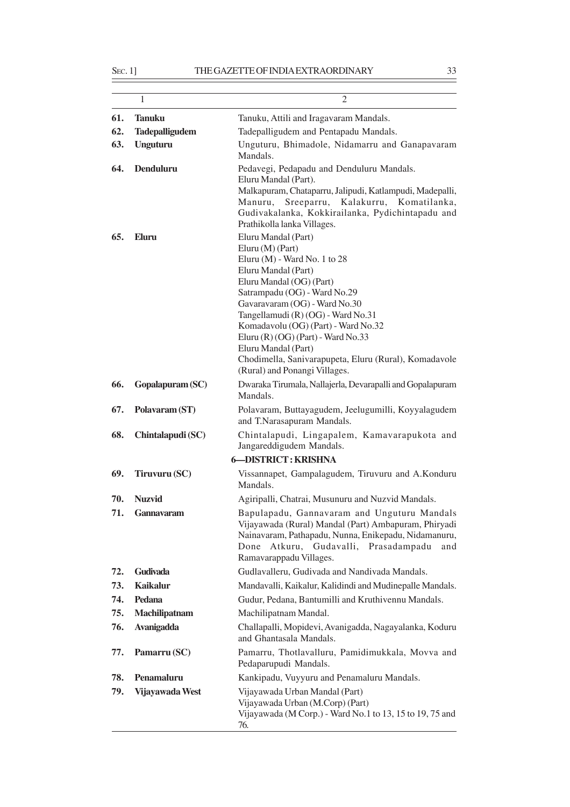|     | 1                     | $\overline{2}$                                                                                                                                                                                                                                                                                                                                                                                                                    |
|-----|-----------------------|-----------------------------------------------------------------------------------------------------------------------------------------------------------------------------------------------------------------------------------------------------------------------------------------------------------------------------------------------------------------------------------------------------------------------------------|
| 61. | <b>Tanuku</b>         | Tanuku, Attili and Iragavaram Mandals.                                                                                                                                                                                                                                                                                                                                                                                            |
| 62. | <b>Tadepalligudem</b> | Tadepalligudem and Pentapadu Mandals.                                                                                                                                                                                                                                                                                                                                                                                             |
| 63. | <b>Unguturu</b>       | Unguturu, Bhimadole, Nidamarru and Ganapavaram<br>Mandals.                                                                                                                                                                                                                                                                                                                                                                        |
| 64. | Denduluru             | Pedavegi, Pedapadu and Denduluru Mandals.<br>Eluru Mandal (Part).<br>Malkapuram, Chataparru, Jalipudi, Katlampudi, Madepalli,<br>Sreeparru, Kalakurru, Komatilanka,<br>Manuru,<br>Gudivakalanka, Kokkirailanka, Pydichintapadu and<br>Prathikolla lanka Villages.                                                                                                                                                                 |
| 65. | Eluru                 | Eluru Mandal (Part)<br>Eluru (M) (Part)<br>Eluru (M) - Ward No. 1 to 28<br>Eluru Mandal (Part)<br>Eluru Mandal (OG) (Part)<br>Satrampadu (OG) - Ward No.29<br>Gavaravaram (OG) - Ward No.30<br>Tangellamudi (R) (OG) - Ward No.31<br>Komadavolu (OG) (Part) - Ward No.32<br>Eluru (R) $(OG)$ (Part) - Ward No.33<br>Eluru Mandal (Part)<br>Chodimella, Sanivarapupeta, Eluru (Rural), Komadavole<br>(Rural) and Ponangi Villages. |
| 66. | Gopalapuram (SC)      | Dwaraka Tirumala, Nallajerla, Devarapalli and Gopalapuram<br>Mandals.                                                                                                                                                                                                                                                                                                                                                             |
| 67. | Polavaram (ST)        | Polavaram, Buttayagudem, Jeelugumilli, Koyyalagudem<br>and T.Narasapuram Mandals.                                                                                                                                                                                                                                                                                                                                                 |
| 68. | Chintalapudi (SC)     | Chintalapudi, Lingapalem, Kamavarapukota and<br>Jangareddigudem Mandals.                                                                                                                                                                                                                                                                                                                                                          |
|     |                       | <b>6-DISTRICT: KRISHNA</b>                                                                                                                                                                                                                                                                                                                                                                                                        |
| 69. | Tiruvuru (SC)         | Vissannapet, Gampalagudem, Tiruvuru and A.Konduru<br>Mandals.                                                                                                                                                                                                                                                                                                                                                                     |
| 70. | <b>Nuzvid</b>         | Agiripalli, Chatrai, Musunuru and Nuzvid Mandals.                                                                                                                                                                                                                                                                                                                                                                                 |
| 71. | Gannavaram            | Bapulapadu, Gannavaram and Unguturu Mandals<br>Vijayawada (Rural) Mandal (Part) Ambapuram, Phiryadi<br>Nainavaram, Pathapadu, Nunna, Enikepadu, Nidamanuru,<br>Atkuru,<br>Gudavalli,<br>Prasadampadu<br>Done<br>and<br>Ramavarappadu Villages.                                                                                                                                                                                    |
| 72. | <b>Gudivada</b>       | Gudlavalleru, Gudivada and Nandivada Mandals.                                                                                                                                                                                                                                                                                                                                                                                     |
| 73. | <b>Kaikalur</b>       | Mandavalli, Kaikalur, Kalidindi and Mudinepalle Mandals.                                                                                                                                                                                                                                                                                                                                                                          |
| 74. | Pedana                | Gudur, Pedana, Bantumilli and Kruthivennu Mandals.                                                                                                                                                                                                                                                                                                                                                                                |
| 75. | Machilipatnam         | Machilipatnam Mandal.                                                                                                                                                                                                                                                                                                                                                                                                             |
| 76. | <b>Avanigadda</b>     | Challapalli, Mopidevi, Avanigadda, Nagayalanka, Koduru<br>and Ghantasala Mandals.                                                                                                                                                                                                                                                                                                                                                 |
| 77. | Pamarru (SC)          | Pamarru, Thotlavalluru, Pamidimukkala, Movva and<br>Pedaparupudi Mandals.                                                                                                                                                                                                                                                                                                                                                         |
| 78. | Penamaluru            | Kankipadu, Vuyyuru and Penamaluru Mandals.                                                                                                                                                                                                                                                                                                                                                                                        |
| 79. | Vijayawada West       | Vijayawada Urban Mandal (Part)<br>Vijayawada Urban (M.Corp) (Part)<br>Vijayawada (M Corp.) - Ward No.1 to 13, 15 to 19, 75 and<br>76.                                                                                                                                                                                                                                                                                             |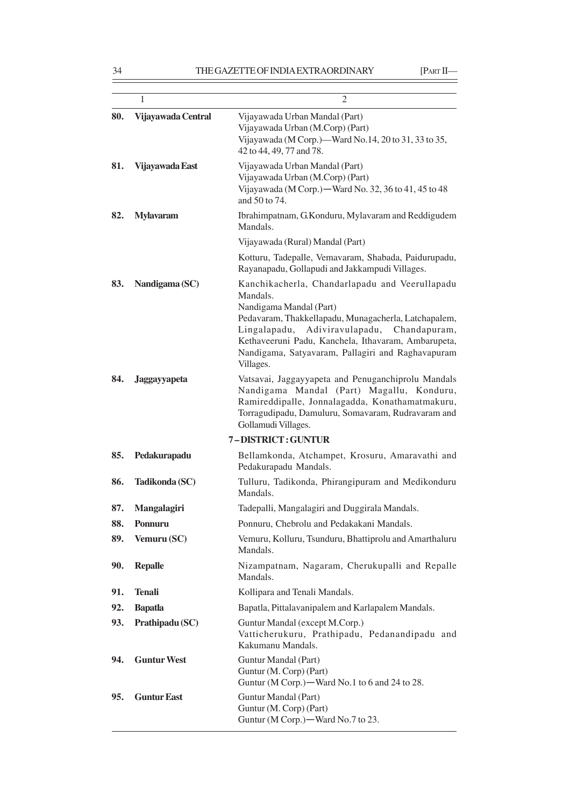|     | 1                  | $\overline{2}$                                                                                                                                                                                                                                                                                                          |
|-----|--------------------|-------------------------------------------------------------------------------------------------------------------------------------------------------------------------------------------------------------------------------------------------------------------------------------------------------------------------|
| 80. | Vijayawada Central | Vijayawada Urban Mandal (Part)<br>Vijayawada Urban (M.Corp) (Part)<br>Vijayawada (M Corp.)—Ward No.14, 20 to 31, 33 to 35,<br>42 to 44, 49, 77 and 78.                                                                                                                                                                  |
| 81. | Vijayawada East    | Vijayawada Urban Mandal (Part)<br>Vijayawada Urban (M.Corp) (Part)<br>Vijayawada (M Corp.) - Ward No. 32, 36 to 41, 45 to 48<br>and 50 to 74.                                                                                                                                                                           |
| 82. | <b>Mylavaram</b>   | Ibrahimpatnam, G.Konduru, Mylavaram and Reddigudem<br>Mandals.                                                                                                                                                                                                                                                          |
|     |                    | Vijayawada (Rural) Mandal (Part)                                                                                                                                                                                                                                                                                        |
|     |                    | Kotturu, Tadepalle, Vemavaram, Shabada, Paidurupadu,<br>Rayanapadu, Gollapudi and Jakkampudi Villages.                                                                                                                                                                                                                  |
| 83. | Nandigama (SC)     | Kanchikacherla, Chandarlapadu and Veerullapadu<br>Mandals.<br>Nandigama Mandal (Part)<br>Pedavaram, Thakkellapadu, Munagacherla, Latchapalem,<br>Adiviravulapadu, Chandapuram,<br>Lingalapadu,<br>Kethaveeruni Padu, Kanchela, Ithavaram, Ambarupeta,<br>Nandigama, Satyavaram, Pallagiri and Raghavapuram<br>Villages. |
| 84. | Jaggayyapeta       | Vatsavai, Jaggayyapeta and Penuganchiprolu Mandals<br>Nandigama Mandal (Part) Magallu, Konduru,<br>Ramireddipalle, Jonnalagadda, Konathamatmakuru,<br>Torragudipadu, Damuluru, Somavaram, Rudravaram and<br>Gollamudi Villages.                                                                                         |
|     |                    | 7-DISTRICT: GUNTUR                                                                                                                                                                                                                                                                                                      |
| 85. | Pedakurapadu       | Bellamkonda, Atchampet, Krosuru, Amaravathi and<br>Pedakurapadu Mandals.                                                                                                                                                                                                                                                |
| 86. | Tadikonda (SC)     | Tulluru, Tadikonda, Phirangipuram and Medikonduru<br>Mandals.                                                                                                                                                                                                                                                           |
| 87. | Mangalagiri        | Tadepalli, Mangalagiri and Duggirala Mandals.                                                                                                                                                                                                                                                                           |
| 88. | Ponnuru            | Ponnuru, Chebrolu and Pedakakani Mandals.                                                                                                                                                                                                                                                                               |
| 89. | Vemuru (SC)        | Vemuru, Kolluru, Tsunduru, Bhattiprolu and Amarthaluru<br>Mandals.                                                                                                                                                                                                                                                      |
| 90. | <b>Repalle</b>     | Nizampatnam, Nagaram, Cherukupalli and Repalle<br>Mandals.                                                                                                                                                                                                                                                              |
| 91. | <b>Tenali</b>      | Kollipara and Tenali Mandals.                                                                                                                                                                                                                                                                                           |
| 92. | <b>Bapatla</b>     | Bapatla, Pittalavanipalem and Karlapalem Mandals.                                                                                                                                                                                                                                                                       |
| 93. | Prathipadu (SC)    | Guntur Mandal (except M.Corp.)<br>Vatticherukuru, Prathipadu, Pedanandipadu and<br>Kakumanu Mandals.                                                                                                                                                                                                                    |
| 94. | <b>Guntur West</b> | Guntur Mandal (Part)<br>Guntur (M. Corp) (Part)<br>Guntur (M Corp.)—Ward No.1 to 6 and 24 to 28.                                                                                                                                                                                                                        |
| 95. | <b>Guntur East</b> | Guntur Mandal (Part)<br>Guntur (M. Corp) (Part)<br>Guntur (M Corp.) — Ward No.7 to 23.                                                                                                                                                                                                                                  |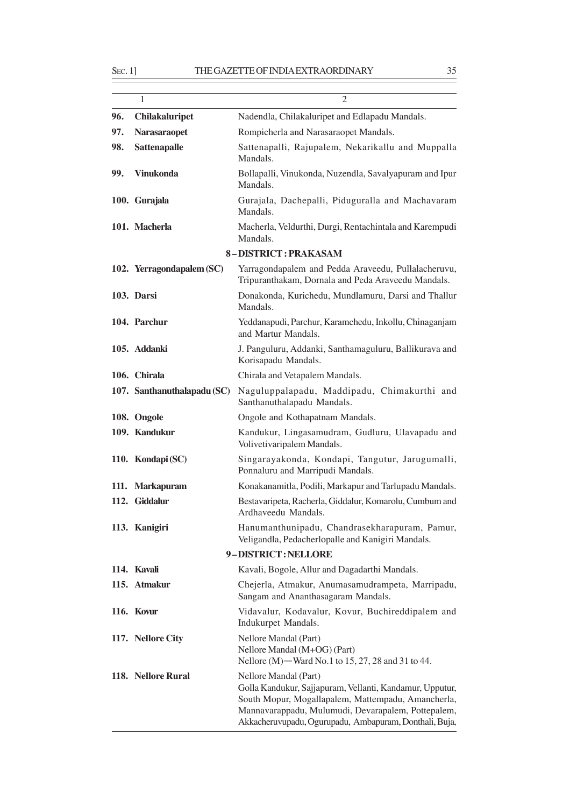|     | 1                           | $\overline{2}$                                                                                                                                                                                                                                          |
|-----|-----------------------------|---------------------------------------------------------------------------------------------------------------------------------------------------------------------------------------------------------------------------------------------------------|
| 96. | <b>Chilakaluripet</b>       | Nadendla, Chilakaluripet and Edlapadu Mandals.                                                                                                                                                                                                          |
| 97. | <b>Narasaraopet</b>         | Rompicherla and Narasaraopet Mandals.                                                                                                                                                                                                                   |
| 98. | Sattenapalle                | Sattenapalli, Rajupalem, Nekarikallu and Muppalla<br>Mandals.                                                                                                                                                                                           |
| 99. | <b>Vinukonda</b>            | Bollapalli, Vinukonda, Nuzendla, Savalyapuram and Ipur<br>Mandals.                                                                                                                                                                                      |
|     | 100. Gurajala               | Gurajala, Dachepalli, Piduguralla and Machavaram<br>Mandals.                                                                                                                                                                                            |
|     | 101. Macherla               | Macherla, Veldurthi, Durgi, Rentachintala and Karempudi<br>Mandals.                                                                                                                                                                                     |
|     |                             | 8-DISTRICT: PRAKASAM                                                                                                                                                                                                                                    |
|     | 102. Yerragondapalem (SC)   | Yarragondapalem and Pedda Araveedu, Pullalacheruvu,<br>Tripuranthakam, Dornala and Peda Araveedu Mandals.                                                                                                                                               |
|     | 103. Darsi                  | Donakonda, Kurichedu, Mundlamuru, Darsi and Thallur<br>Mandals.                                                                                                                                                                                         |
|     | 104. Parchur                | Yeddanapudi, Parchur, Karamchedu, Inkollu, Chinaganjam<br>and Martur Mandals.                                                                                                                                                                           |
|     | 105. Addanki                | J. Panguluru, Addanki, Santhamaguluru, Ballikurava and<br>Korisapadu Mandals.                                                                                                                                                                           |
|     | 106. Chirala                | Chirala and Vetapalem Mandals.                                                                                                                                                                                                                          |
|     | 107. Santhanuthalapadu (SC) | Naguluppalapadu, Maddipadu, Chimakurthi and<br>Santhanuthalapadu Mandals.                                                                                                                                                                               |
|     | 108. Ongole                 | Ongole and Kothapatnam Mandals.                                                                                                                                                                                                                         |
|     | 109. Kandukur               | Kandukur, Lingasamudram, Gudluru, Ulavapadu and<br>Volivetivaripalem Mandals.                                                                                                                                                                           |
|     | 110. Kondapi (SC)           | Singarayakonda, Kondapi, Tangutur, Jarugumalli,<br>Ponnaluru and Marripudi Mandals.                                                                                                                                                                     |
|     | 111. Markapuram             | Konakanamitla, Podili, Markapur and Tarlupadu Mandals.                                                                                                                                                                                                  |
|     | 112. Giddalur               | Bestavaripeta, Racherla, Giddalur, Komarolu, Cumbum and<br>Ardhaveedu Mandals.                                                                                                                                                                          |
|     | 113. Kanigiri               | Hanumanthunipadu, Chandrasekharapuram, Pamur,<br>Veligandla, Pedacherlopalle and Kanigiri Mandals.                                                                                                                                                      |
|     |                             | 9-DISTRICT: NELLORE                                                                                                                                                                                                                                     |
|     | 114. Kavali                 | Kavali, Bogole, Allur and Dagadarthi Mandals.                                                                                                                                                                                                           |
|     | 115. Atmakur                | Chejerla, Atmakur, Anumasamudrampeta, Marripadu,<br>Sangam and Ananthasagaram Mandals.                                                                                                                                                                  |
|     | 116. Kovur                  | Vidavalur, Kodavalur, Kovur, Buchireddipalem and<br>Indukurpet Mandals.                                                                                                                                                                                 |
|     | 117. Nellore City           | Nellore Mandal (Part)<br>Nellore Mandal (M+OG) (Part)<br>Nellore (M) – Ward No.1 to 15, 27, 28 and 31 to 44.                                                                                                                                            |
|     | 118. Nellore Rural          | Nellore Mandal (Part)<br>Golla Kandukur, Sajjapuram, Vellanti, Kandamur, Upputur,<br>South Mopur, Mogallapalem, Mattempadu, Amancherla,<br>Mannavarappadu, Mulumudi, Devarapalem, Pottepalem,<br>Akkacheruvupadu, Ogurupadu, Ambapuram, Donthali, Buja, |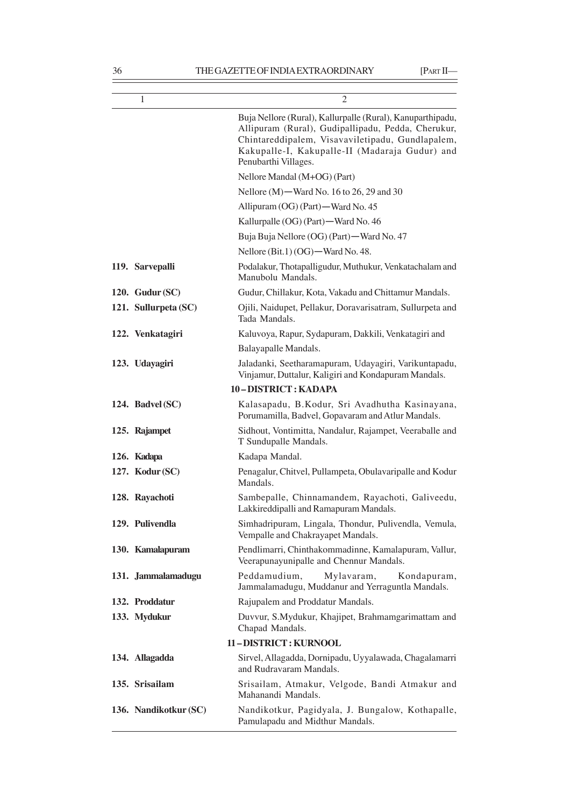| 1                     | 2                                                                                                                                                                                                                                              |
|-----------------------|------------------------------------------------------------------------------------------------------------------------------------------------------------------------------------------------------------------------------------------------|
|                       | Buja Nellore (Rural), Kallurpalle (Rural), Kanuparthipadu,<br>Allipuram (Rural), Gudipallipadu, Pedda, Cherukur,<br>Chintareddipalem, Visavaviletipadu, Gundlapalem,<br>Kakupalle-I, Kakupalle-II (Madaraja Gudur) and<br>Penubarthi Villages. |
|                       | Nellore Mandal (M+OG) (Part)                                                                                                                                                                                                                   |
|                       | Nellore $(M)$ —Ward No. 16 to 26, 29 and 30                                                                                                                                                                                                    |
|                       | Allipuram (OG) (Part) — Ward No. 45                                                                                                                                                                                                            |
|                       | Kallurpalle (OG) (Part) - Ward No. 46                                                                                                                                                                                                          |
|                       | Buja Buja Nellore (OG) (Part) - Ward No. 47                                                                                                                                                                                                    |
|                       | Nellore (Bit.1) (OG) - Ward No. 48.                                                                                                                                                                                                            |
| 119. Sarvepalli       | Podalakur, Thotapalligudur, Muthukur, Venkatachalam and<br>Manubolu Mandals.                                                                                                                                                                   |
| 120. Gudur $(SC)$     | Gudur, Chillakur, Kota, Vakadu and Chittamur Mandals.                                                                                                                                                                                          |
| 121. Sullurpeta (SC)  | Ojili, Naidupet, Pellakur, Doravarisatram, Sullurpeta and<br>Tada Mandals.                                                                                                                                                                     |
| 122. Venkatagiri      | Kaluvoya, Rapur, Sydapuram, Dakkili, Venkatagiri and                                                                                                                                                                                           |
|                       | Balayapalle Mandals.                                                                                                                                                                                                                           |
| 123. Udayagiri        | Jaladanki, Seetharamapuram, Udayagiri, Varikuntapadu,<br>Vinjamur, Duttalur, Kaligiri and Kondapuram Mandals.                                                                                                                                  |
|                       | 10-DISTRICT: KADAPA                                                                                                                                                                                                                            |
| 124. Badvel (SC)      | Kalasapadu, B.Kodur, Sri Avadhutha Kasinayana,<br>Porumamilla, Badvel, Gopavaram and Atlur Mandals.                                                                                                                                            |
| 125. Rajampet         | Sidhout, Vontimitta, Nandalur, Rajampet, Veeraballe and<br>T Sundupalle Mandals.                                                                                                                                                               |
| 126. Kadapa           | Kadapa Mandal.                                                                                                                                                                                                                                 |
| 127. Kodur (SC)       | Penagalur, Chitvel, Pullampeta, Obulavaripalle and Kodur<br>Mandals.                                                                                                                                                                           |
| 128. Rayachoti        | Sambepalle, Chinnamandem, Rayachoti, Galiveedu,<br>Lakkireddipalli and Ramapuram Mandals.                                                                                                                                                      |
| 129. Pulivendla       | Simhadripuram, Lingala, Thondur, Pulivendla, Vemula,<br>Vempalle and Chakrayapet Mandals.                                                                                                                                                      |
| 130. Kamalapuram      | Pendlimarri, Chinthakommadinne, Kamalapuram, Vallur,<br>Veerapunayunipalle and Chennur Mandals.                                                                                                                                                |
| 131. Jammalamadugu    | Peddamudium,<br>Mylavaram,<br>Kondapuram,<br>Jammalamadugu, Muddanur and Yerraguntla Mandals.                                                                                                                                                  |
| 132. Proddatur        | Rajupalem and Proddatur Mandals.                                                                                                                                                                                                               |
| 133. Mydukur          | Duvvur, S.Mydukur, Khajipet, Brahmamgarimattam and<br>Chapad Mandals.                                                                                                                                                                          |
|                       | 11-DISTRICT: KURNOOL                                                                                                                                                                                                                           |
| 134. Allagadda        | Sirvel, Allagadda, Dornipadu, Uyyalawada, Chagalamarri<br>and Rudravaram Mandals.                                                                                                                                                              |
| 135. Srisailam        | Srisailam, Atmakur, Velgode, Bandi Atmakur and<br>Mahanandi Mandals.                                                                                                                                                                           |
| 136. Nandikotkur (SC) | Nandikotkur, Pagidyala, J. Bungalow, Kothapalle,<br>Pamulapadu and Midthur Mandals.                                                                                                                                                            |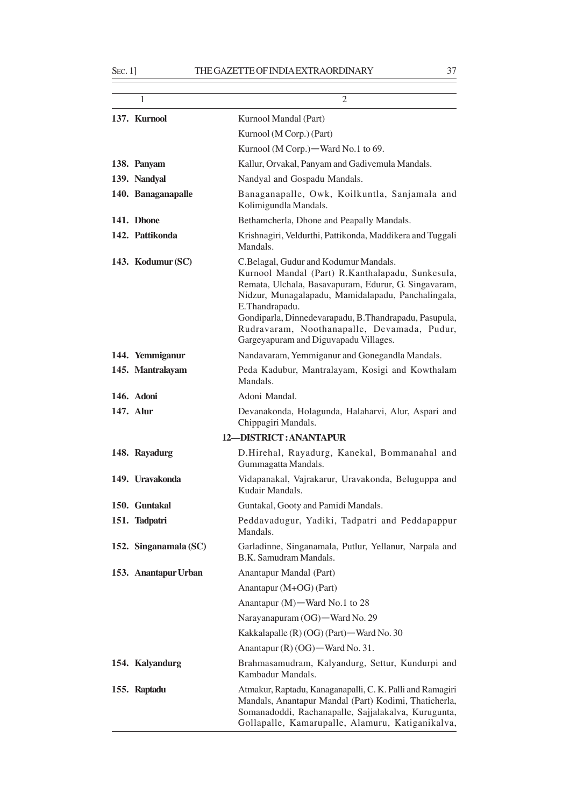| 1                     | 2                                                                                                                                                                                                                                                                                                                                                                          |
|-----------------------|----------------------------------------------------------------------------------------------------------------------------------------------------------------------------------------------------------------------------------------------------------------------------------------------------------------------------------------------------------------------------|
| 137. Kurnool          | Kurnool Mandal (Part)                                                                                                                                                                                                                                                                                                                                                      |
|                       | Kurnool (M Corp.) (Part)                                                                                                                                                                                                                                                                                                                                                   |
|                       | Kurnool (M Corp.) - Ward No.1 to 69.                                                                                                                                                                                                                                                                                                                                       |
| 138. Panyam           | Kallur, Orvakal, Panyam and Gadivemula Mandals.                                                                                                                                                                                                                                                                                                                            |
| 139. Nandyal          | Nandyal and Gospadu Mandals.                                                                                                                                                                                                                                                                                                                                               |
| 140. Banaganapalle    | Banaganapalle, Owk, Koilkuntla, Sanjamala and<br>Kolimigundla Mandals.                                                                                                                                                                                                                                                                                                     |
| 141. Dhone            | Bethamcherla, Dhone and Peapally Mandals.                                                                                                                                                                                                                                                                                                                                  |
| 142. Pattikonda       | Krishnagiri, Veldurthi, Pattikonda, Maddikera and Tuggali<br>Mandals.                                                                                                                                                                                                                                                                                                      |
| 143. Kodumur (SC)     | C.Belagal, Gudur and Kodumur Mandals.<br>Kurnool Mandal (Part) R.Kanthalapadu, Sunkesula,<br>Remata, Ulchala, Basavapuram, Edurur, G. Singavaram,<br>Nidzur, Munagalapadu, Mamidalapadu, Panchalingala,<br>E.Thandrapadu.<br>Gondiparla, Dinnedevarapadu, B.Thandrapadu, Pasupula,<br>Rudravaram, Noothanapalle, Devamada, Pudur,<br>Gargeyapuram and Diguvapadu Villages. |
| 144. Yemmiganur       | Nandavaram, Yemmiganur and Gonegandla Mandals.                                                                                                                                                                                                                                                                                                                             |
| 145. Mantralayam      | Peda Kadubur, Mantralayam, Kosigi and Kowthalam<br>Mandals.                                                                                                                                                                                                                                                                                                                |
| 146. Adoni            | Adoni Mandal.                                                                                                                                                                                                                                                                                                                                                              |
| 147. Alur             | Devanakonda, Holagunda, Halaharvi, Alur, Aspari and<br>Chippagiri Mandals.                                                                                                                                                                                                                                                                                                 |
|                       | 12-DISTRICT: ANANTAPUR                                                                                                                                                                                                                                                                                                                                                     |
| 148. Rayadurg         | D.Hirehal, Rayadurg, Kanekal, Bommanahal and<br>Gummagatta Mandals.                                                                                                                                                                                                                                                                                                        |
| 149. Uravakonda       | Vidapanakal, Vajrakarur, Uravakonda, Beluguppa and<br>Kudair Mandals.                                                                                                                                                                                                                                                                                                      |
| 150. Guntakal         | Guntakal, Gooty and Pamidi Mandals.                                                                                                                                                                                                                                                                                                                                        |
| 151. Tadpatri         | Peddavadugur, Yadiki, Tadpatri and Peddapappur<br>Mandals.                                                                                                                                                                                                                                                                                                                 |
| 152. Singanamala (SC) | Garladinne, Singanamala, Putlur, Yellanur, Narpala and<br>B.K. Samudram Mandals.                                                                                                                                                                                                                                                                                           |
| 153. Anantapur Urban  | Anantapur Mandal (Part)                                                                                                                                                                                                                                                                                                                                                    |
|                       | Anantapur (M+OG) (Part)                                                                                                                                                                                                                                                                                                                                                    |
|                       | Anantapur (M)-Ward No.1 to 28                                                                                                                                                                                                                                                                                                                                              |
|                       | Narayanapuram (OG)-Ward No. 29                                                                                                                                                                                                                                                                                                                                             |
|                       | Kakkalapalle (R) (OG) (Part) - Ward No. 30                                                                                                                                                                                                                                                                                                                                 |
|                       | Anantapur (R) (OG) - Ward No. 31.                                                                                                                                                                                                                                                                                                                                          |
| 154. Kalyandurg       | Brahmasamudram, Kalyandurg, Settur, Kundurpi and<br>Kambadur Mandals.                                                                                                                                                                                                                                                                                                      |
| 155. Raptadu          | Atmakur, Raptadu, Kanaganapalli, C. K. Palli and Ramagiri<br>Mandals, Anantapur Mandal (Part) Kodimi, Thaticherla,<br>Somanadoddi, Rachanapalle, Sajjalakalva, Kurugunta,<br>Gollapalle, Kamarupalle, Alamuru, Katiganikalva,                                                                                                                                              |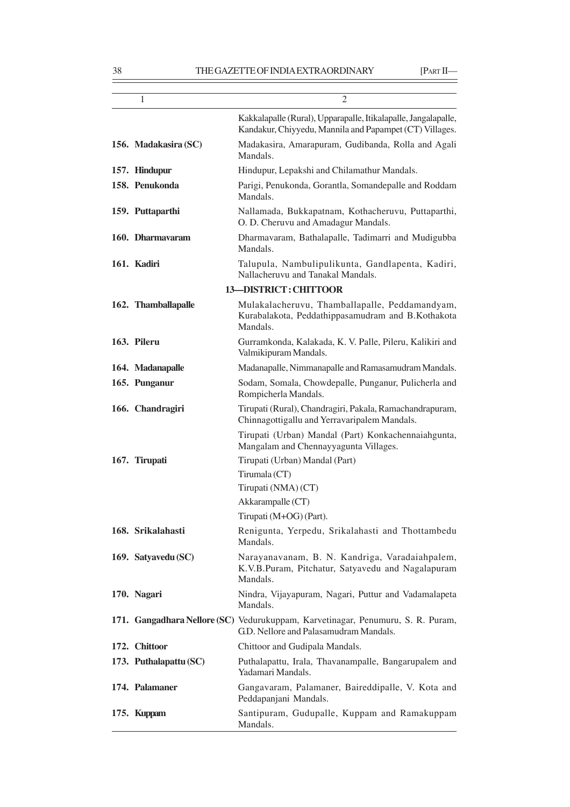| 1                      | 2                                                                                                                         |
|------------------------|---------------------------------------------------------------------------------------------------------------------------|
|                        | Kakkalapalle (Rural), Upparapalle, Itikalapalle, Jangalapalle,<br>Kandakur, Chiyyedu, Mannila and Papampet (CT) Villages. |
| 156. Madakasira (SC)   | Madakasira, Amarapuram, Gudibanda, Rolla and Agali<br>Mandals.                                                            |
| 157. Hindupur          | Hindupur, Lepakshi and Chilamathur Mandals.                                                                               |
| 158. Penukonda         | Parigi, Penukonda, Gorantla, Somandepalle and Roddam<br>Mandals.                                                          |
| 159. Puttaparthi       | Nallamada, Bukkapatnam, Kothacheruvu, Puttaparthi,<br>O. D. Cheruvu and Amadagur Mandals.                                 |
| 160. Dharmayaram       | Dharmavaram, Bathalapalle, Tadimarri and Mudigubba<br>Mandals.                                                            |
| 161. Kadiri            | Talupula, Nambulipulikunta, Gandlapenta, Kadiri,<br>Nallacheruvu and Tanakal Mandals.                                     |
|                        | <b>13-DISTRICT: CHITTOOR</b>                                                                                              |
| 162. Thamballapalle    | Mulakalacheruvu, Thamballapalle, Peddamandyam,<br>Kurabalakota, Peddathippasamudram and B.Kothakota<br>Mandals.           |
| 163. Pileru            | Gurramkonda, Kalakada, K. V. Palle, Pileru, Kalikiri and<br>Valmikipuram Mandals.                                         |
| 164. Madanapalle       | Madanapalle, Nimmanapalle and Ramasamudram Mandals.                                                                       |
| 165. Punganur          | Sodam, Somala, Chowdepalle, Punganur, Pulicherla and<br>Rompicherla Mandals.                                              |
| 166. Chandragiri       | Tirupati (Rural), Chandragiri, Pakala, Ramachandrapuram,<br>Chinnagottigallu and Yerravaripalem Mandals.                  |
|                        | Tirupati (Urban) Mandal (Part) Konkachennaiahgunta,<br>Mangalam and Chennayyagunta Villages.                              |
| 167. Tirupati          | Tirupati (Urban) Mandal (Part)                                                                                            |
|                        | Tirumala (CT)                                                                                                             |
|                        | Tirupati (NMA) (CT)                                                                                                       |
|                        | Akkarampalle (CT)                                                                                                         |
|                        | Tirupati (M+OG) (Part).                                                                                                   |
| 168. Srikalahasti      | Renigunta, Yerpedu, Srikalahasti and Thottambedu<br>Mandals.                                                              |
| 169. Satyavedu (SC)    | Narayanavanam, B. N. Kandriga, Varadaiahpalem,<br>K.V.B.Puram, Pitchatur, Satyavedu and Nagalapuram<br>Mandals.           |
| 170. Nagari            | Nindra, Vijayapuram, Nagari, Puttur and Vadamalapeta<br>Mandals.                                                          |
|                        | 171. Gangadhara Nellore (SC) Vedurukuppam, Karvetinagar, Penumuru, S. R. Puram,<br>G.D. Nellore and Palasamudram Mandals. |
| 172. Chittoor          | Chittoor and Gudipala Mandals.                                                                                            |
| 173. Puthalapattu (SC) | Puthalapattu, Irala, Thavanampalle, Bangarupalem and<br>Yadamari Mandals.                                                 |
| 174. Palamaner         | Gangavaram, Palamaner, Baireddipalle, V. Kota and<br>Peddapanjani Mandals.                                                |
| 175. Kuppam            | Santipuram, Gudupalle, Kuppam and Ramakuppam<br>Mandals.                                                                  |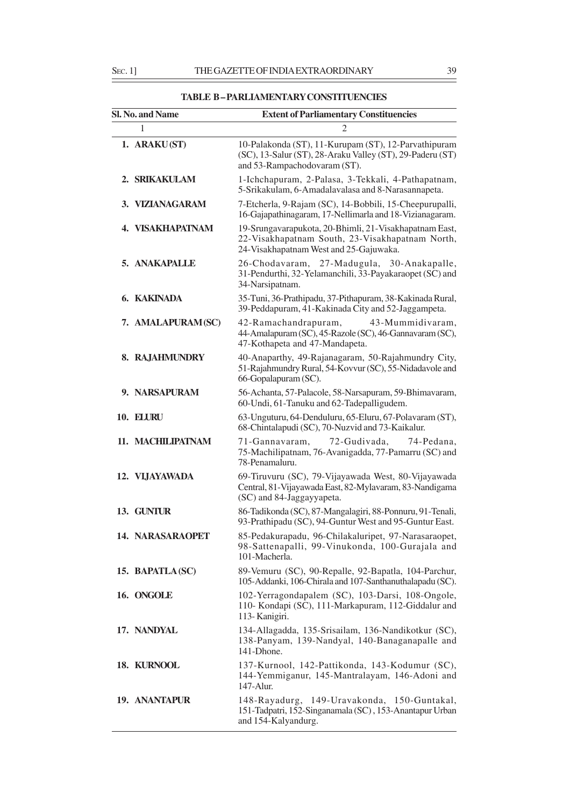**TABLE B – PARLIAMENTARY CONSTITUENCIES**

| Sl. No. and Name     | <b>Extent of Parliamentary Constituencies</b>                                                                                                       |
|----------------------|-----------------------------------------------------------------------------------------------------------------------------------------------------|
| 1                    | $\overline{2}$                                                                                                                                      |
| 1. ARAKU(ST)         | 10-Palakonda (ST), 11-Kurupam (ST), 12-Parvathipuram<br>(SC), 13-Salur (ST), 28-Araku Valley (ST), 29-Paderu (ST)<br>and 53-Rampachodovaram (ST).   |
| 2. SRIKAKULAM        | 1-Ichchapuram, 2-Palasa, 3-Tekkali, 4-Pathapatnam,<br>5-Srikakulam, 6-Amadalavalasa and 8-Narasannapeta.                                            |
| 3. VIZIANAGARAM      | 7-Etcherla, 9-Rajam (SC), 14-Bobbili, 15-Cheepurupalli,<br>16-Gajapathinagaram, 17-Nellimarla and 18-Vizianagaram.                                  |
| 4. VISAKHAPATNAM     | 19-Srungavarapukota, 20-Bhimli, 21-Visakhapatnam East,<br>22-Visakhapatnam South, 23-Visakhapatnam North,<br>24-Visakhapatnam West and 25-Gajuwaka. |
| 5. ANAKAPALLE        | 26-Chodavaram, 27-Madugula, 30-Anakapalle,<br>31-Pendurthi, 32-Yelamanchili, 33-Payakaraopet (SC) and<br>34-Narsipatnam.                            |
| 6. KAKINADA          | 35-Tuni, 36-Prathipadu, 37-Pithapuram, 38-Kakinada Rural,<br>39-Peddapuram, 41-Kakinada City and 52-Jaggampeta.                                     |
| 7. AMALAPURAM (SC)   | 43-Mummidivaram,<br>42-Ramachandrapuram,<br>44-Amalapuram (SC), 45-Razole (SC), 46-Gannavaram (SC),<br>47-Kothapeta and 47-Mandapeta.               |
| 8. RAJAHMUNDRY       | 40-Anaparthy, 49-Rajanagaram, 50-Rajahmundry City,<br>51-Rajahmundry Rural, 54-Kovvur (SC), 55-Nidadavole and<br>66-Gopalapuram (SC).               |
| 9. NARSAPURAM        | 56-Achanta, 57-Palacole, 58-Narsapuram, 59-Bhimavaram,<br>60-Undi, 61-Tanuku and 62-Tadepalligudem.                                                 |
| <b>10. ELURU</b>     | 63-Unguturu, 64-Denduluru, 65-Eluru, 67-Polavaram (ST),<br>68-Chintalapudi (SC), 70-Nuzvid and 73-Kaikalur.                                         |
| 11. MACHILIPATNAM    | 72-Gudivada,<br>74-Pedana,<br>71-Gannavaram,<br>75-Machilipatnam, 76-Avanigadda, 77-Pamarru (SC) and<br>78-Penamaluru.                              |
| 12. VIJAYAWADA       | 69-Tiruvuru (SC), 79-Vijayawada West, 80-Vijayawada<br>Central, 81-Vijayawada East, 82-Mylavaram, 83-Nandigama<br>(SC) and 84-Jaggayyapeta.         |
| 13. GUNTUR           | 86-Tadikonda (SC), 87-Mangalagiri, 88-Ponnuru, 91-Tenali,<br>93-Prathipadu (SC), 94-Guntur West and 95-Guntur East.                                 |
| 14. NARASARAOPET     | 85-Pedakurapadu, 96-Chilakaluripet, 97-Narasaraopet,<br>98-Sattenapalli, 99-Vinukonda, 100-Gurajala and<br>101-Macherla.                            |
| 15. BAPATLA (SC)     | 89-Vemuru (SC), 90-Repalle, 92-Bapatla, 104-Parchur,<br>105-Addanki, 106-Chirala and 107-Santhanuthalapadu (SC).                                    |
| 16. ONGOLE           | 102-Yerragondapalem (SC), 103-Darsi, 108-Ongole,<br>110- Kondapi (SC), 111-Markapuram, 112-Giddalur and<br>113- Kanigiri.                           |
| 17. NANDYAL          | 134-Allagadda, 135-Srisailam, 136-Nandikotkur (SC),<br>138-Panyam, 139-Nandyal, 140-Banaganapalle and<br>141-Dhone.                                 |
| 18. KURNOOL          | 137-Kurnool, 142-Pattikonda, 143-Kodumur (SC),<br>144-Yemmiganur, 145-Mantralayam, 146-Adoni and<br>147-Alur.                                       |
| <b>19. ANANTAPUR</b> | 148-Rayadurg, 149-Uravakonda, 150-Guntakal,<br>151-Tadpatri, 152-Singanamala (SC), 153-Anantapur Urban<br>and 154-Kalyandurg.                       |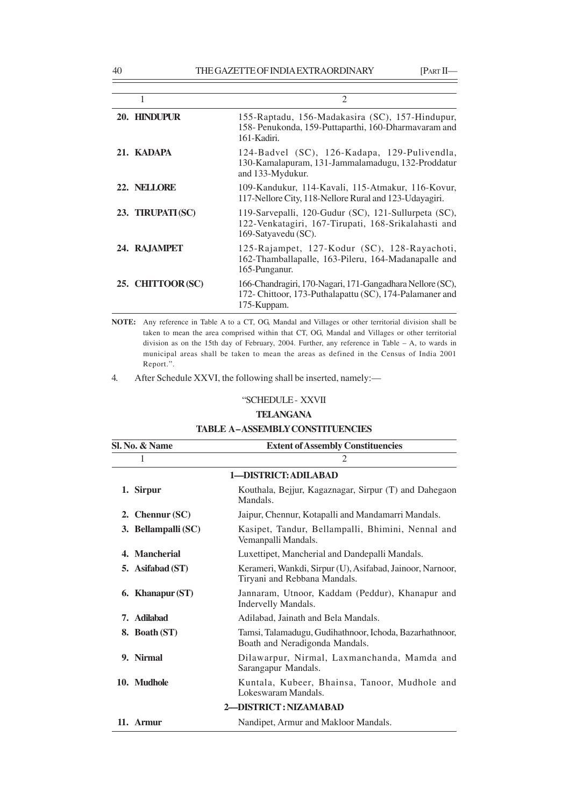|                   | $\mathcal{D}_{\mathcal{A}}$                                                                                                         |
|-------------------|-------------------------------------------------------------------------------------------------------------------------------------|
| 20. HINDUPUR      | 155-Raptadu, 156-Madakasira (SC), 157-Hindupur,<br>158- Penukonda, 159-Puttaparthi, 160-Dharmavaram and<br>161-Kadiri.              |
| 21. KADAPA        | 124-Badvel (SC), 126-Kadapa, 129-Pulivendla,<br>130-Kamalapuram, 131-Jammalamadugu, 132-Proddatur<br>and 133-Mydukur.               |
| 22. NELLORE       | 109-Kandukur, 114-Kavali, 115-Atmakur, 116-Kovur,<br>117-Nellore City, 118-Nellore Rural and 123-Udayagiri.                         |
| 23. TIRUPATI (SC) | 119-Sarvepalli, 120-Gudur (SC), 121-Sullurpeta (SC),<br>122-Venkatagiri, 167-Tirupati, 168-Srikalahasti and<br>169-Satyayedu (SC).  |
| 24. RAJAMPET      | 125-Rajampet, 127-Kodur (SC), 128-Rayachoti,<br>162-Thamballapalle, 163-Pileru, 164-Madanapalle and<br>165-Punganur.                |
| 25. CHITTOOR(SC)  | 166-Chandragiri, 170-Nagari, 171-Gangadhara Nellore (SC),<br>172- Chittoor, 173-Puthalapattu (SC), 174-Palamaner and<br>175-Kuppam. |

**NOTE:** Any reference in Table A to a CT, OG, Mandal and Villages or other territorial division shall be taken to mean the area comprised within that CT, OG, Mandal and Villages or other territorial division as on the 15th day of February, 2004. Further, any reference in Table – A, to wards in municipal areas shall be taken to mean the areas as defined in the Census of India 2001 Report.".

4. After Schedule XXVI, the following shall be inserted, namely:—

# "SCHEDULE - XXVII

# **TELANGANA**

| <b>TABLE A-ASSEMBLY CONSTITUENCIES</b> |
|----------------------------------------|
|                                        |

| Sl. No. & Name        |  | <b>Extent of Assembly Constituencies</b>                                                  |
|-----------------------|--|-------------------------------------------------------------------------------------------|
| 1                     |  | $\overline{c}$                                                                            |
|                       |  | 1-DISTRICT: ADILABAD                                                                      |
| 1. Sirpur             |  | Kouthala, Bejjur, Kagaznagar, Sirpur (T) and Dahegaon<br>Mandals.                         |
| 2. Chennur $SC$ )     |  | Jaipur, Chennur, Kotapalli and Mandamarri Mandals.                                        |
| 3. Bellampalli (SC)   |  | Kasipet, Tandur, Bellampalli, Bhimini, Nennal and<br>Vemanpalli Mandals.                  |
| 4. Mancherial         |  | Luxettipet, Mancherial and Dandepalli Mandals.                                            |
| 5. Asifabad (ST)      |  | Kerameri, Wankdi, Sirpur (U), Asifabad, Jainoor, Narnoor,<br>Tiryani and Rebbana Mandals. |
| 6. Khanapur (ST)      |  | Jannaram, Utnoor, Kaddam (Peddur), Khanapur and<br>Indervelly Mandals.                    |
| <b>Adilahad</b><br>7. |  | Adilabad, Jainath and Bela Mandals.                                                       |
| 8. Boath (ST)         |  | Tamsi, Talamadugu, Gudihathnoor, Ichoda, Bazarhathnoor,<br>Boath and Neradigonda Mandals. |
| 9. Nirmal             |  | Dilawarpur, Nirmal, Laxmanchanda, Mamda and<br>Sarangapur Mandals.                        |
| 10. Mudhole           |  | Kuntala, Kubeer, Bhainsa, Tanoor, Mudhole and<br>Lokeswaram Mandals.                      |
|                       |  | 2-DISTRICT: NIZAMABAD                                                                     |
| 11. Armur             |  | Nandipet, Armur and Makloor Mandals.                                                      |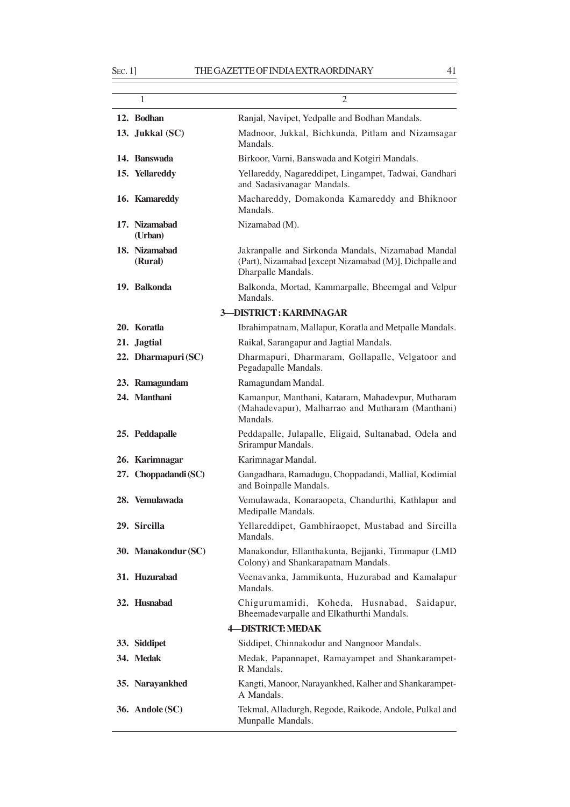12. Bodhan Ranjal, Navipet, Yedpalle and Bodhan Mandals. **13. Jukkal (SC)** Madnoor, Jukkal, Bichkunda, Pitlam and Nizamsagar Mandals. **14. Banswada** Birkoor, Varni, Banswada and Kotgiri Mandals. **15. Yellareddy** Yellareddy, Nagareddipet, Lingampet, Tadwai, Gandhari and Sadasivanagar Mandals. **16. Kamareddy** Machareddy, Domakonda Kamareddy and Bhiknoor Mandals. 17. Nizamabad Nizamabad (M). **(Urban) 18. Nizamabad** Jakranpalle and Sirkonda Mandals, Nizamabad Mandal **(Rural)** (Part), Nizamabad [except Nizamabad (M)], Dichpalle and Dharpalle Mandals. 19. Balkonda<br> **19. Balkonda** Balkonda, Mortad, Kammarpalle, Bheemgal and Velpur Mandals. **3—DISTRICT : KARIMNAGAR 20. Koratla** Ibrahimpatnam, Mallapur, Koratla and Metpalle Mandals. 21. **Jagtial** Raikal, Sarangapur and Jagtial Mandals. **22. Dharmapuri (SC)** Dharmapuri, Dharmaram, Gollapalle, Velgatoor and Pegadapalle Mandals. 23. Ramagundam Ramagundam Mandal. **24. Manthani** Kamanpur, Manthani, Kataram, Mahadevpur, Mutharam (Mahadevapur), Malharrao and Mutharam (Manthani) Mandals. **25. Peddapalle** Peddapalle, Julapalle, Eligaid, Sultanabad, Odela and Srirampur Mandals. **26. Karimnagar** Karimnagar Mandal. **27. Choppadandi (SC)** Gangadhara, Ramadugu, Choppadandi, Mallial, Kodimial and Boinpalle Mandals. **28. Vemulawada** Vemulawada, Konaraopeta, Chandurthi, Kathlapur and Medipalle Mandals. **29. Sircilla** Yellareddipet, Gambhiraopet, Mustabad and Sircilla Mandals. **30. Manakondur (SC)** Manakondur, Ellanthakunta, Bejjanki, Timmapur (LMD Colony) and Shankarapatnam Mandals. **31. Huzurabad** Veenavanka, Jammikunta, Huzurabad and Kamalapur Mandals. **32. Husnabad** Chigurumamidi, Koheda, Husnabad, Saidapur, Bheemadevarpalle and Elkathurthi Mandals. **4—DISTRICT: MEDAK 33. Siddipet** Siddipet, Chinnakodur and Nangnoor Mandals. 1 2

**34. Medak** Medak, Papannapet, Ramayampet and Shankarampet-R Mandals.

| 35. Narayankhed  | Kangti, Manoor, Narayankhed, Kalher and Shankarampet- |
|------------------|-------------------------------------------------------|
|                  | A Mandals.                                            |
| $26$ Andele (SC) | Tolemal Alledurgh Degode Deilsede Andele Dullsel and  |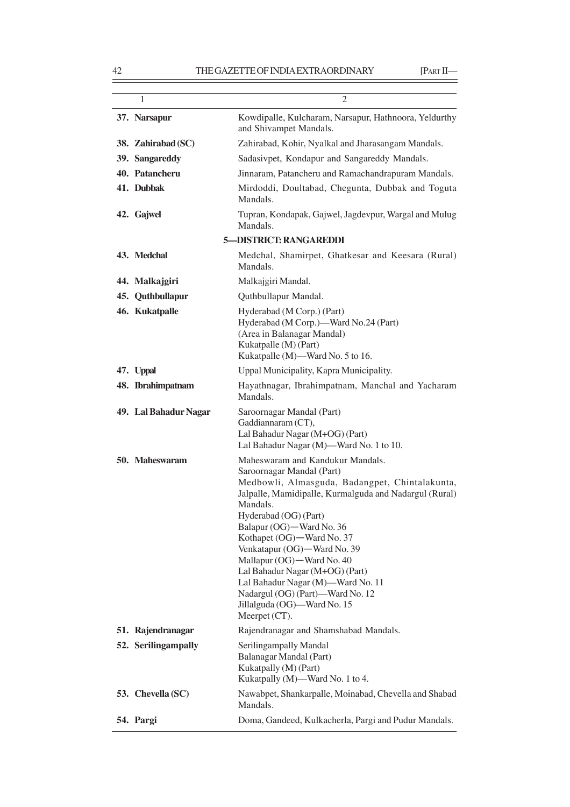# 42 THE GAZETTE OF INDIA EXTRAORDINARY [PART II—

| 1                     | $\overline{2}$                                                                                                                                                                                                                                                                                                                                                                                                                                                                                        |
|-----------------------|-------------------------------------------------------------------------------------------------------------------------------------------------------------------------------------------------------------------------------------------------------------------------------------------------------------------------------------------------------------------------------------------------------------------------------------------------------------------------------------------------------|
| 37. Narsapur          | Kowdipalle, Kulcharam, Narsapur, Hathnoora, Yeldurthy<br>and Shivampet Mandals.                                                                                                                                                                                                                                                                                                                                                                                                                       |
| 38. Zahirabad (SC)    | Zahirabad, Kohir, Nyalkal and Jharasangam Mandals.                                                                                                                                                                                                                                                                                                                                                                                                                                                    |
| 39. Sangareddy        | Sadasivpet, Kondapur and Sangareddy Mandals.                                                                                                                                                                                                                                                                                                                                                                                                                                                          |
| 40. Patancheru        | Jinnaram, Patancheru and Ramachandrapuram Mandals.                                                                                                                                                                                                                                                                                                                                                                                                                                                    |
| 41. Dubbak            | Mirdoddi, Doultabad, Chegunta, Dubbak and Toguta<br>Mandals.                                                                                                                                                                                                                                                                                                                                                                                                                                          |
| 42. Gajwel            | Tupran, Kondapak, Gajwel, Jagdevpur, Wargal and Mulug<br>Mandals.                                                                                                                                                                                                                                                                                                                                                                                                                                     |
|                       | <b>5-DISTRICT: RANGAREDDI</b>                                                                                                                                                                                                                                                                                                                                                                                                                                                                         |
| 43. Medchal           | Medchal, Shamirpet, Ghatkesar and Keesara (Rural)<br>Mandals.                                                                                                                                                                                                                                                                                                                                                                                                                                         |
| 44. Malkajgiri        | Malkajgiri Mandal.                                                                                                                                                                                                                                                                                                                                                                                                                                                                                    |
| 45. Quthbullapur      | Quthbullapur Mandal.                                                                                                                                                                                                                                                                                                                                                                                                                                                                                  |
| 46. Kukatpalle        | Hyderabad (M Corp.) (Part)<br>Hyderabad (M Corp.)-Ward No.24 (Part)<br>(Area in Balanagar Mandal)<br>Kukatpalle (M) (Part)<br>Kukatpalle (M)-Ward No. 5 to 16.                                                                                                                                                                                                                                                                                                                                        |
| 47. Uppal             | Uppal Municipality, Kapra Municipality.                                                                                                                                                                                                                                                                                                                                                                                                                                                               |
| 48. Ibrahimpatnam     | Hayathnagar, Ibrahimpatnam, Manchal and Yacharam<br>Mandals.                                                                                                                                                                                                                                                                                                                                                                                                                                          |
| 49. Lal Bahadur Nagar | Saroornagar Mandal (Part)<br>Gaddiannaram (CT),<br>Lal Bahadur Nagar (M+OG) (Part)<br>Lal Bahadur Nagar (M)-Ward No. 1 to 10.                                                                                                                                                                                                                                                                                                                                                                         |
| 50. Maheswaram        | Maheswaram and Kandukur Mandals.<br>Saroornagar Mandal (Part)<br>Medbowli, Almasguda, Badangpet, Chintalakunta,<br>Jalpalle, Mamidipalle, Kurmalguda and Nadargul (Rural)<br>Mandals.<br>Hyderabad (OG) (Part)<br>Balapur (OG) - Ward No. 36<br>Kothapet (OG)—Ward No. 37<br>Venkatapur (OG) - Ward No. 39<br>Mallapur (OG) - Ward No. 40<br>Lal Bahadur Nagar (M+OG) (Part)<br>Lal Bahadur Nagar (M)—Ward No. 11<br>Nadargul (OG) (Part)-Ward No. 12<br>Jillalguda (OG)—Ward No. 15<br>Meerpet (CT). |
| 51. Rajendranagar     | Rajendranagar and Shamshabad Mandals.                                                                                                                                                                                                                                                                                                                                                                                                                                                                 |
| 52. Seriling ampally  | Serilingampally Mandal<br>Balanagar Mandal (Part)<br>Kukatpally (M) (Part)<br>Kukatpally (M)-Ward No. 1 to 4.                                                                                                                                                                                                                                                                                                                                                                                         |
| 53. Chevella (SC)     | Nawabpet, Shankarpalle, Moinabad, Chevella and Shabad<br>Mandals.                                                                                                                                                                                                                                                                                                                                                                                                                                     |
| 54. Pargi             | Doma, Gandeed, Kulkacherla, Pargi and Pudur Mandals.                                                                                                                                                                                                                                                                                                                                                                                                                                                  |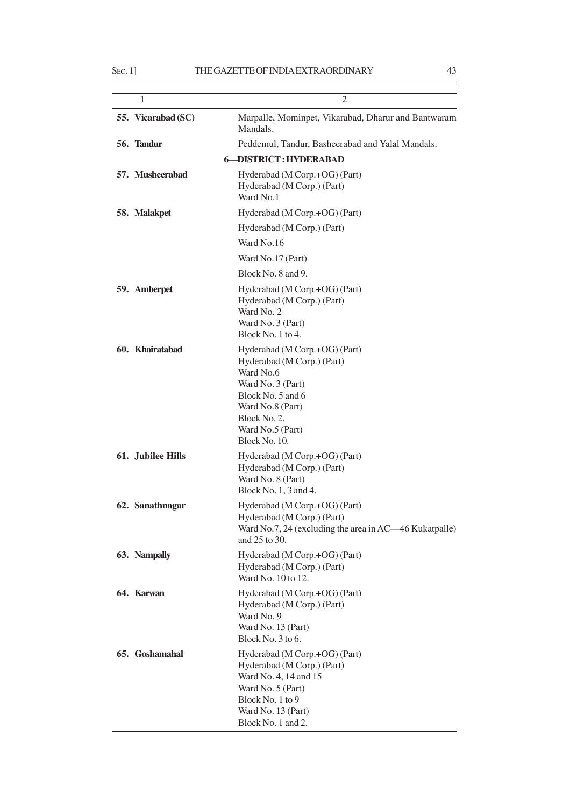| 1                  | $\overline{2}$                                                                                                                                                                              |
|--------------------|---------------------------------------------------------------------------------------------------------------------------------------------------------------------------------------------|
| 55. Vicarabad (SC) | Marpalle, Mominpet, Vikarabad, Dharur and Bantwaram<br>Mandals.                                                                                                                             |
| 56. Tandur         | Peddemul, Tandur, Basheerabad and Yalal Mandals.                                                                                                                                            |
|                    | <b>6-DISTRICT: HYDERABAD</b>                                                                                                                                                                |
| 57. Musheerabad    | Hyderabad (M Corp.+OG) (Part)<br>Hyderabad (M Corp.) (Part)<br>Ward No.1                                                                                                                    |
| 58. Malakpet       | Hyderabad (M Corp.+OG) (Part)                                                                                                                                                               |
|                    | Hyderabad (M Corp.) (Part)                                                                                                                                                                  |
|                    | Ward No.16                                                                                                                                                                                  |
|                    | Ward No.17 (Part)                                                                                                                                                                           |
|                    | Block No. 8 and 9.                                                                                                                                                                          |
| 59. Amberpet       | Hyderabad (M Corp.+OG) (Part)<br>Hyderabad (M Corp.) (Part)<br>Ward No. 2<br>Ward No. 3 (Part)<br>Block No. 1 to 4.                                                                         |
| 60. Khairatabad    | Hyderabad (M Corp.+OG) (Part)<br>Hyderabad (M Corp.) (Part)<br>Ward No.6<br>Ward No. 3 (Part)<br>Block No. 5 and 6<br>Ward No.8 (Part)<br>Block No. 2.<br>Ward No.5 (Part)<br>Block No. 10. |
| 61. Jubilee Hills  | Hyderabad (M Corp.+OG) (Part)<br>Hyderabad (M Corp.) (Part)<br>Ward No. 8 (Part)<br>Block No. 1, 3 and 4.                                                                                   |
| 62. Sanathnagar    | Hyderabad (M Corp.+OG) (Part)<br>Hyderabad (M Corp.) (Part)<br>Ward No.7, 24 (excluding the area in AC—46 Kukatpalle)<br>and 25 to 30.                                                      |
| 63. Nampally       | Hyderabad (M Corp.+OG) (Part)<br>Hyderabad (M Corp.) (Part)<br>Ward No. 10 to 12.                                                                                                           |
| 64. Karwan         | Hyderabad (M Corp.+OG) (Part)<br>Hyderabad (M Corp.) (Part)<br>Ward No. 9<br>Ward No. 13 (Part)<br>Block No. 3 to 6.                                                                        |
| 65. Goshamahal     | Hyderabad (M Corp.+OG) (Part)<br>Hyderabad (M Corp.) (Part)<br>Ward No. 4, 14 and 15<br>Ward No. 5 (Part)<br>Block No. 1 to 9<br>Ward No. 13 (Part)<br>Block No. 1 and 2.                   |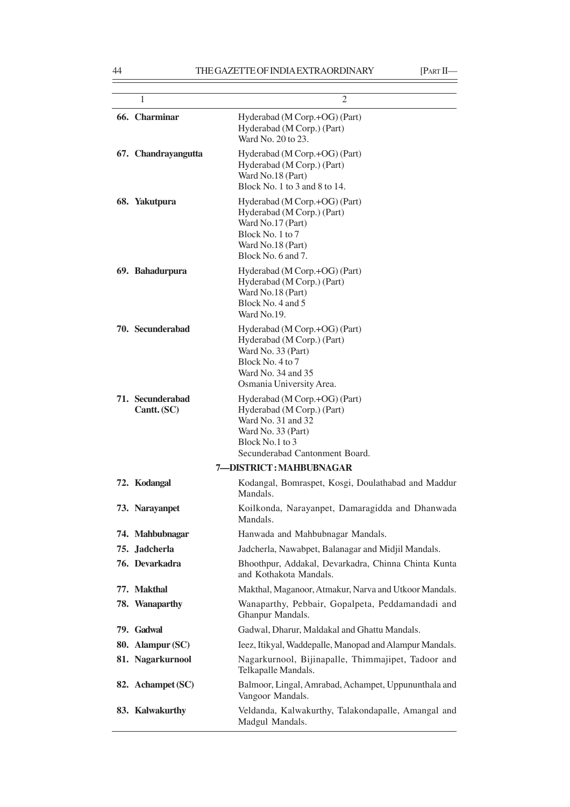| 1                                      | $\overline{2}$                                                                                                                                               |
|----------------------------------------|--------------------------------------------------------------------------------------------------------------------------------------------------------------|
| 66. Charminar                          | Hyderabad (M Corp.+OG) (Part)<br>Hyderabad (M Corp.) (Part)<br>Ward No. 20 to 23.                                                                            |
| 67. Chandrayangutta                    | Hyderabad (M Corp.+OG) (Part)<br>Hyderabad (M Corp.) (Part)<br>Ward No.18 (Part)<br>Block No. 1 to 3 and 8 to 14.                                            |
| 68. Yakutpura                          | Hyderabad (M Corp.+OG) (Part)<br>Hyderabad (M Corp.) (Part)<br>Ward No.17 (Part)<br>Block No. 1 to 7<br>Ward No.18 (Part)<br>Block No. 6 and 7.              |
| 69. Bahadurpura                        | Hyderabad (M Corp.+OG) (Part)<br>Hyderabad (M Corp.) (Part)<br>Ward No.18 (Part)<br>Block No. 4 and 5<br>Ward No.19.                                         |
| 70. Secunderabad                       | Hyderabad (M Corp.+OG) (Part)<br>Hyderabad (M Corp.) (Part)<br>Ward No. 33 (Part)<br>Block No. 4 to 7<br>Ward No. 34 and 35<br>Osmania University Area.      |
| <b>71.</b> Secunderabad<br>Cantt. (SC) | Hyderabad (M Corp.+OG) (Part)<br>Hyderabad (M Corp.) (Part)<br>Ward No. 31 and 32<br>Ward No. 33 (Part)<br>Block No.1 to 3<br>Secunderabad Cantonment Board. |
|                                        | 7-DISTRICT: MAHBUBNAGAR                                                                                                                                      |
| 72. Kodangal                           | Kodangal, Bomraspet, Kosgi, Doulathabad and Maddur<br>Mandals.                                                                                               |
| 73. Narayanpet                         | Koilkonda, Narayanpet, Damaragidda and Dhanwada<br>Mandals.                                                                                                  |
| 74. Mahbubnagar                        | Hanwada and Mahbubnagar Mandals.                                                                                                                             |
| 75. Jadcherla                          | Jadcherla, Nawabpet, Balanagar and Midjil Mandals.                                                                                                           |
| 76. Devarkadra                         | Bhoothpur, Addakal, Devarkadra, Chinna Chinta Kunta<br>and Kothakota Mandals.                                                                                |
| 77. Makthal                            | Makthal, Maganoor, Atmakur, Narva and Utkoor Mandals.                                                                                                        |
| 78. Wanaparthy                         | Wanaparthy, Pebbair, Gopalpeta, Peddamandadi and<br>Ghanpur Mandals.                                                                                         |
| 79. Gadwal                             | Gadwal, Dharur, Maldakal and Ghattu Mandals.                                                                                                                 |
| 80. Alampur (SC)                       | Ieez, Itikyal, Waddepalle, Manopad and Alampur Mandals.                                                                                                      |
| 81. Nagarkurnool                       | Nagarkurnool, Bijinapalle, Thimmajipet, Tadoor and<br>Telkapalle Mandals.                                                                                    |
| 82. Achampet (SC)                      | Balmoor, Lingal, Amrabad, Achampet, Uppununthala and<br>Vangoor Mandals.                                                                                     |
| 83. Kalwakurthy                        | Veldanda, Kalwakurthy, Talakondapalle, Amangal and<br>Madgul Mandals.                                                                                        |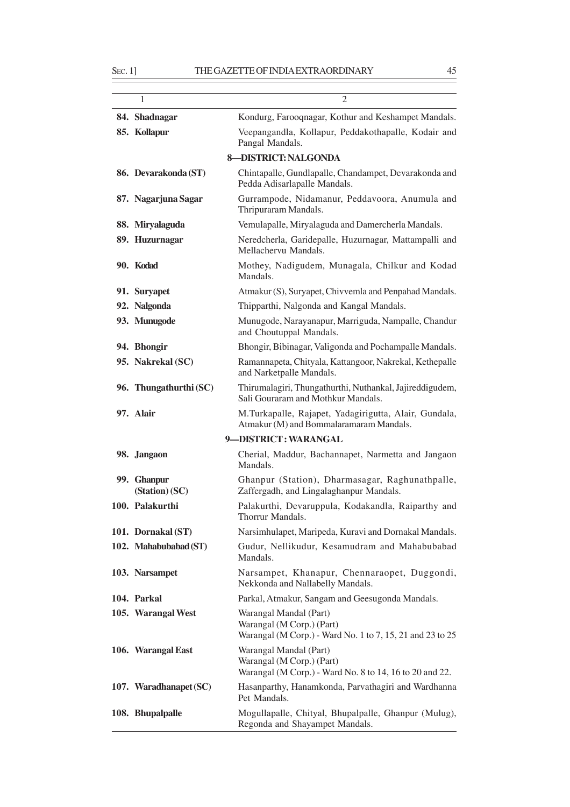$\equiv$ 

| 1                             | $\overline{c}$                                                                                                   |  |  |  |
|-------------------------------|------------------------------------------------------------------------------------------------------------------|--|--|--|
| 84. Shadnagar                 | Kondurg, Farooqnagar, Kothur and Keshampet Mandals.                                                              |  |  |  |
| 85. Kollapur                  | Veepangandla, Kollapur, Peddakothapalle, Kodair and<br>Pangal Mandals.                                           |  |  |  |
| <b>8-DISTRICT: NALGONDA</b>   |                                                                                                                  |  |  |  |
| 86. Devarakonda (ST)          | Chintapalle, Gundlapalle, Chandampet, Devarakonda and<br>Pedda Adisarlapalle Mandals.                            |  |  |  |
| 87. Nagarjuna Sagar           | Gurrampode, Nidamanur, Peddavoora, Anumula and<br>Thripuraram Mandals.                                           |  |  |  |
| 88. Miryalaguda               | Vemulapalle, Miryalaguda and Damercherla Mandals.                                                                |  |  |  |
| 89. Huzurnagar                | Neredcherla, Garidepalle, Huzurnagar, Mattampalli and<br>Mellachervu Mandals.                                    |  |  |  |
| 90. Kodad                     | Mothey, Nadigudem, Munagala, Chilkur and Kodad<br>Mandals.                                                       |  |  |  |
| 91. Suryapet                  | Atmakur (S), Suryapet, Chivvemla and Penpahad Mandals.                                                           |  |  |  |
| 92. Nalgonda                  | Thipparthi, Nalgonda and Kangal Mandals.                                                                         |  |  |  |
| 93. Munugode                  | Munugode, Narayanapur, Marriguda, Nampalle, Chandur<br>and Choutuppal Mandals.                                   |  |  |  |
| 94. Bhongir                   | Bhongir, Bibinagar, Valigonda and Pochampalle Mandals.                                                           |  |  |  |
| 95. Nakrekal (SC)             | Ramannapeta, Chityala, Kattangoor, Nakrekal, Kethepalle<br>and Narketpalle Mandals.                              |  |  |  |
| 96. Thungathurthi (SC)        | Thirumalagiri, Thungathurthi, Nuthankal, Jajireddigudem,<br>Sali Gouraram and Mothkur Mandals.                   |  |  |  |
| 97. Alair                     | M.Turkapalle, Rajapet, Yadagirigutta, Alair, Gundala,<br>Atmakur (M) and Bommalaramaram Mandals.                 |  |  |  |
|                               | 9-DISTRICT: WARANGAL                                                                                             |  |  |  |
| 98. Jangaon                   | Cherial, Maddur, Bachannapet, Narmetta and Jangaon<br>Mandals.                                                   |  |  |  |
| 99. Ghanpur<br>(Station) (SC) | Ghanpur (Station), Dharmasagar, Raghunathpalle,<br>Zaffergadh, and Lingalaghanpur Mandals.                       |  |  |  |
| 100. Palakurthi               | Palakurthi, Devaruppula, Kodakandla, Raiparthy and<br>Thorrur Mandals.                                           |  |  |  |
| 101. Dornakal (ST)            | Narsimhulapet, Maripeda, Kuravi and Dornakal Mandals.                                                            |  |  |  |
| 102. Mahabubabad (ST)         | Gudur, Nellikudur, Kesamudram and Mahabubabad<br>Mandals.                                                        |  |  |  |
| 103. Narsampet                | Narsampet, Khanapur, Chennaraopet, Duggondi,<br>Nekkonda and Nallabelly Mandals.                                 |  |  |  |
| 104. Parkal                   | Parkal, Atmakur, Sangam and Geesugonda Mandals.                                                                  |  |  |  |
| 105. Warangal West            | Warangal Mandal (Part)<br>Warangal (M Corp.) (Part)<br>Warangal (M Corp.) - Ward No. 1 to 7, 15, 21 and 23 to 25 |  |  |  |
| 106. Warangal East            | Warangal Mandal (Part)<br>Warangal (M Corp.) (Part)<br>Warangal (M Corp.) - Ward No. 8 to 14, 16 to 20 and 22.   |  |  |  |
| 107. Waradhanapet (SC)        | Hasanparthy, Hanamkonda, Parvathagiri and Wardhanna<br>Pet Mandals.                                              |  |  |  |
| 108. Bhupalpalle              | Mogullapalle, Chityal, Bhupalpalle, Ghanpur (Mulug),<br>Regonda and Shayampet Mandals.                           |  |  |  |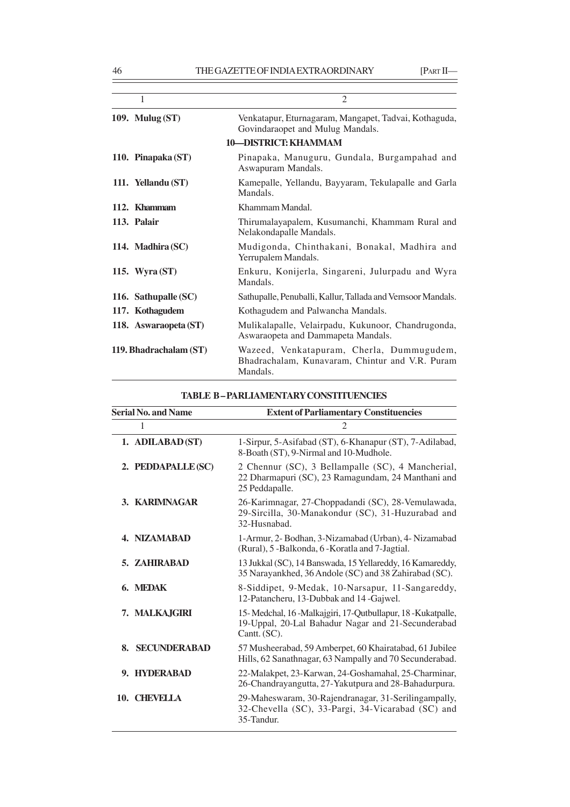| 1                      | $\overline{c}$                                                                                           |
|------------------------|----------------------------------------------------------------------------------------------------------|
| 109. Mulug $(ST)$      | Venkatapur, Eturnagaram, Mangapet, Tadvai, Kothaguda,<br>Govindaraopet and Mulug Mandals.                |
|                        | <b>10-DISTRICT: KHAMMAM</b>                                                                              |
| 110. Pinapaka (ST)     | Pinapaka, Manuguru, Gundala, Burgampahad and<br>Aswapuram Mandals.                                       |
| 111. Yellandu (ST)     | Kamepalle, Yellandu, Bayyaram, Tekulapalle and Garla<br>Mandals.                                         |
| 112. Khammam           | Khammam Mandal.                                                                                          |
| 113. Palair            | Thirumalayapalem, Kusumanchi, Khammam Rural and<br>Nelakondapalle Mandals.                               |
| 114. Madhira (SC)      | Mudigonda, Chinthakani, Bonakal, Madhira and<br>Yerrupalem Mandals.                                      |
| 115. Wyra $(ST)$       | Enkuru, Konijerla, Singareni, Julurpadu and Wyra<br>Mandals.                                             |
| 116. Sathupalle (SC)   | Sathupalle, Penuballi, Kallur, Tallada and Vemsoor Mandals.                                              |
| 117. Kothagudem        | Kothagudem and Palwancha Mandals.                                                                        |
| 118. Aswaraopeta (ST)  | Mulikalapalle, Velairpadu, Kukunoor, Chandrugonda,<br>Aswaraopeta and Dammapeta Mandals.                 |
| 119. Bhadrachalam (ST) | Wazeed, Venkatapuram, Cherla, Dummugudem,<br>Bhadrachalam, Kunavaram, Chintur and V.R. Puram<br>Mandals. |
|                        |                                                                                                          |

| <b>Serial No. and Name</b> | <b>Extent of Parliamentary Constituencies</b>                                                                                   |  |
|----------------------------|---------------------------------------------------------------------------------------------------------------------------------|--|
| 1                          | 2                                                                                                                               |  |
| 1. ADILABAD (ST)           | 1-Sirpur, 5-Asifabad (ST), 6-Khanapur (ST), 7-Adilabad,<br>8-Boath (ST), 9-Nirmal and 10-Mudhole.                               |  |
| 2. PEDDAPALLE (SC)         | 2 Chennur (SC), 3 Bellampalle (SC), 4 Mancherial,<br>22 Dharmapuri (SC), 23 Ramagundam, 24 Manthani and<br>25 Peddapalle.       |  |
| 3. KARIMNAGAR              | 26-Karimnagar, 27-Choppadandi (SC), 28-Vemulawada,<br>29-Sircilla, 30-Manakondur (SC), 31-Huzurabad and<br>32-Husnabad.         |  |
| 4. NIZAMABAD               | 1-Armur, 2- Bodhan, 3-Nizamabad (Urban), 4- Nizamabad<br>(Rural), 5 -Balkonda, 6 -Koratla and 7-Jagtial.                        |  |
| <b>5. ZAHIRABAD</b>        | 13 Jukkal (SC), 14 Banswada, 15 Yellareddy, 16 Kamareddy,<br>35 Narayankhed, 36 Andole (SC) and 38 Zahirabad (SC).              |  |
| 6. MEDAK                   | 8-Siddipet, 9-Medak, 10-Narsapur, 11-Sangareddy,<br>12-Patancheru, 13-Dubbak and 14-Gajwel.                                     |  |
| 7. MALKAJGIRI              | 15-Medchal, 16-Malkajgiri, 17-Qutbullapur, 18-Kukatpalle,<br>19-Uppal, 20-Lal Bahadur Nagar and 21-Secunderabad<br>Cantt. (SC). |  |
| <b>SECUNDERABAD</b><br>8.  | 57 Musheerabad, 59 Amberpet, 60 Khairatabad, 61 Jubilee<br>Hills, 62 Sanathnagar, 63 Nampally and 70 Secunderabad.              |  |
| 9. HYDERABAD               | 22-Malakpet, 23-Karwan, 24-Goshamahal, 25-Charminar,<br>26-Chandrayangutta, 27-Yakutpura and 28-Bahadurpura.                    |  |
| 10. CHEVELLA               | 29-Maheswaram, 30-Rajendranagar, 31-Serilingampally,<br>32-Chevella (SC), 33-Pargi, 34-Vicarabad (SC) and<br>35-Tandur.         |  |

# **TABLE B – PARLIAMENTARY CONSTITUENCIES**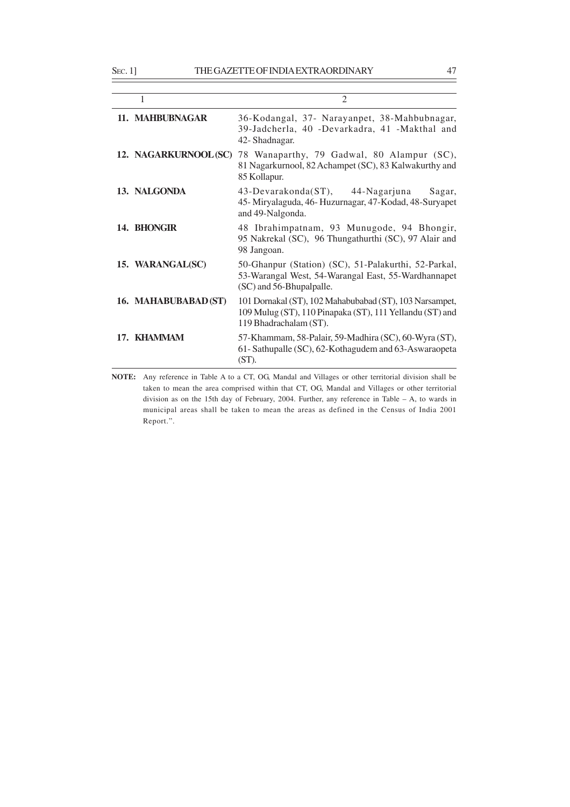|                      | $\overline{2}$                                                                                                                                |  |
|----------------------|-----------------------------------------------------------------------------------------------------------------------------------------------|--|
| 11. MAHBUBNAGAR      | 36-Kodangal, 37- Narayanpet, 38-Mahbubnagar,<br>39-Jadcherla, 40 -Devarkadra, 41 -Makthal and<br>42- Shadnagar.                               |  |
| 12. NAGARKURNOOL(SC) | 78 Wanaparthy, 79 Gadwal, 80 Alampur (SC),<br>81 Nagarkurnool, 82 Achampet (SC), 83 Kalwakurthy and<br>85 Kollapur.                           |  |
| 13. NALGONDA         | 43-Devarakonda(ST), 44-Nagarjuna<br>Sagar,<br>45-Miryalaguda, 46-Huzurnagar, 47-Kodad, 48-Suryapet<br>and 49-Nalgonda.                        |  |
| 14. BHONGIR          | 48 Ibrahimpatnam, 93 Munugode, 94 Bhongir,<br>95 Nakrekal (SC), 96 Thungathurthi (SC), 97 Alair and<br>98 Jangoan.                            |  |
| 15. WARANGAL(SC)     | 50-Ghanpur (Station) (SC), 51-Palakurthi, 52-Parkal,<br>53-Warangal West, 54-Warangal East, 55-Wardhannapet<br>(SC) and 56-Bhupalpalle.       |  |
| 16. MAHABUBABAD (ST) | 101 Dornakal (ST), 102 Mahabubabad (ST), 103 Narsampet,<br>109 Mulug (ST), 110 Pinapaka (ST), 111 Yellandu (ST) and<br>119 Bhadrachalam (ST). |  |
| 17. KHAMMAM          | 57-Khammam, 58-Palair, 59-Madhira (SC), 60-Wyra (ST),<br>61 - Sathupalle (SC), 62 - Kothagudem and 63 - Aswaraopeta<br>$(ST)$ .               |  |

**NOTE:** Any reference in Table A to a CT, OG, Mandal and Villages or other territorial division shall be taken to mean the area comprised within that CT, OG, Mandal and Villages or other territorial division as on the 15th day of February, 2004. Further, any reference in Table – A, to wards in municipal areas shall be taken to mean the areas as defined in the Census of India 2001 Report.".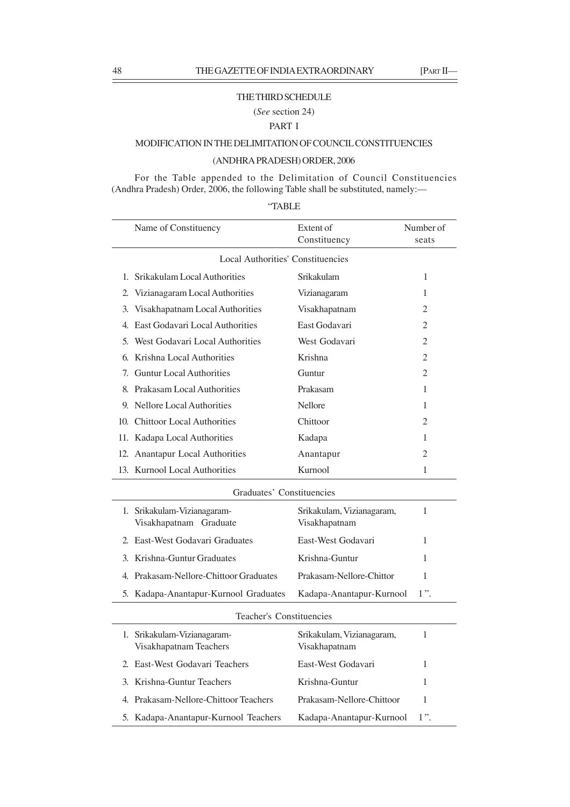### THE THIRD SCHEDULE

(*See* section 24)

### PART I

# MODIFICATION IN THE DELIMITATION OF COUNCIL CONSTITUENCIES

# (ANDHRA PRADESH) ORDER, 2006

For the Table appended to the Delimitation of Council Constituencies (Andhra Pradesh) Order, 2006, the following Table shall be substituted, namely:––

|--|

|              | Name of Constituency                     | Extent of<br>Constituency | Number of<br>seats |  |
|--------------|------------------------------------------|---------------------------|--------------------|--|
|              | <b>Local Authorities' Constituencies</b> |                           |                    |  |
|              |                                          |                           |                    |  |
| $\mathbf{1}$ | Srikakulam Local Authorities             | Srikakulam                | 1                  |  |
| 2.           | Vizianagaram Local Authorities           | Vizianagaram              | 1                  |  |
| 3.           | Visakhapatnam Local Authorities          | Visakhapatnam             | 2                  |  |
| 4.           | East Godavari Local Authorities          | East Godavari             | $\overline{2}$     |  |
| 5.           | West Godavari Local Authorities          | West Godavari             | $\overline{2}$     |  |
| 6.           | Krishna Local Authorities                | Krishna                   | $\overline{2}$     |  |
| 7.           | <b>Guntur Local Authorities</b>          | Guntur                    | 2                  |  |
|              | 8. Prakasam Local Authorities            | Prakasam                  | 1                  |  |
| 9.           | Nellore Local Authorities                | <b>Nellore</b>            | 1                  |  |
| 10.          | <b>Chittoor Local Authorities</b>        | Chittoor                  | $\overline{2}$     |  |
|              | 11. Kadapa Local Authorities             | Kadapa                    | 1                  |  |
|              | 12. Anantapur Local Authorities          | Anantapur                 | $\overline{c}$     |  |
|              | 13. Kurnool Local Authorities            | Kurnool                   | 1                  |  |
|              | Graduates' Constituencies                |                           |                    |  |
| 1.           | Srikakulam-Vizianagaram-                 | Srikakulam, Vizianagaram, | 1                  |  |
|              | Visakhapatnam Graduate                   | Visakhapatnam             |                    |  |

| 1. Srikakulam-Vizianagaram-<br>Visakhapatnam Graduate | Srikakulam, Vizianagaram,<br>Visakhapatnam |  |
|-------------------------------------------------------|--------------------------------------------|--|
|                                                       |                                            |  |
| 2. East-West Godavari Graduates                       | East-West Godavari                         |  |
| 3. Krishna-Guntur Graduates                           | Krishna-Guntur                             |  |
| 4. Prakasam-Nellore-Chittoor Graduates                | Prakasam-Nellore-Chittor                   |  |
| 5. Kadapa-Anantapur-Kurnool Graduates                 | Kadapa-Anantapur-Kurnool                   |  |
|                                                       |                                            |  |

### Teacher's Constituencies

| 1. Srikakulam-Vizianagaram-<br>Visakhapatnam Teachers | Srikakulam, Vizianagaram,<br>Visakhapatnam |        |  |
|-------------------------------------------------------|--------------------------------------------|--------|--|
| 2. East-West Godavari Teachers                        | East-West Godavari                         | 1.     |  |
| 3. Krishna-Guntur Teachers                            | Krishna-Guntur                             | L      |  |
| 4. Prakasam-Nellore-Chittoor Teachers                 | Prakasam-Nellore-Chittoor                  | 1      |  |
| 5. Kadapa-Anantapur-Kurnool Teachers                  | Kadapa-Anantapur-Kurnool                   | $1"$ . |  |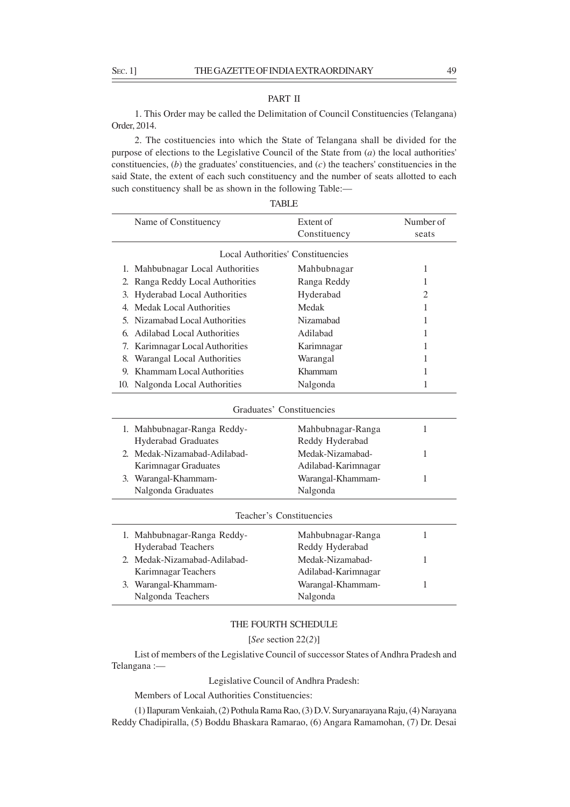SEC. 1] THE GAZETTE OF INDIA EXTRAORDINARY 49

### PART II

1. This Order may be called the Delimitation of Council Constituencies (Telangana) Order, 2014.

2. The costituencies into which the State of Telangana shall be divided for the purpose of elections to the Legislative Council of the State from (*a*) the local authorities' constituencies, (*b*) the graduates' constituencies, and (*c*) the teachers' constituencies in the said State, the extent of each such constituency and the number of seats allotted to each such constituency shall be as shown in the following Table:—

|    | <b>TABLE</b>                             |                     |                |  |  |
|----|------------------------------------------|---------------------|----------------|--|--|
|    | Name of Constituency                     | Extent of           | Number of      |  |  |
|    |                                          | Constituency        | seats          |  |  |
|    | <b>Local Authorities' Constituencies</b> |                     |                |  |  |
|    | 1. Mahbubnagar Local Authorities         | Mahbubnagar         | 1              |  |  |
| 2. | Ranga Reddy Local Authorities            | Ranga Reddy         | 1              |  |  |
| 3. | <b>Hyderabad Local Authorities</b>       | Hyderabad           | $\overline{2}$ |  |  |
| 4. | <b>Medak Local Authorities</b>           | Medak               | 1              |  |  |
| 5. | Nizamabad Local Authorities              | Nizamabad           | 1              |  |  |
| 6. | <b>Adilabad Local Authorities</b>        | Adilabad            | 1              |  |  |
| 7. | Karimnagar Local Authorities             | Karimnagar          | 1              |  |  |
| 8. | Warangal Local Authorities               | Warangal            | 1              |  |  |
| 9. | Khammam Local Authorities                | Khammam             | 1              |  |  |
|    | 10. Nalgonda Local Authorities           | Nalgonda            | 1              |  |  |
|    | Graduates' Constituencies                |                     |                |  |  |
|    | 1. Mahbubnagar-Ranga Reddy-              | Mahbubnagar-Ranga   | 1              |  |  |
|    | <b>Hyderabad Graduates</b>               | Reddy Hyderabad     |                |  |  |
|    | 2. Medak-Nizamabad-Adilabad-             | Medak-Nizamabad-    | 1              |  |  |
|    | Karimnagar Graduates                     | Adilabad-Karimnagar |                |  |  |
|    | 3. Warangal-Khammam-                     | Warangal-Khammam-   | $\mathbf{1}$   |  |  |
|    | Nalgonda Graduates                       | Nalgonda            |                |  |  |
|    | Teacher's Constituencies                 |                     |                |  |  |
|    | 1. Mahbubnagar-Ranga Reddy-              | Mahbubnagar-Ranga   | $\mathbf{1}$   |  |  |
|    | Hyderabad Teachers                       | Reddy Hyderabad     |                |  |  |
|    | 2. Medak-Nizamabad-Adilabad-             | Medak-Nizamabad-    | 1              |  |  |
|    | Karimnagar Teachers                      | Adilabad-Karimnagar |                |  |  |
|    | 3. Warangal-Khammam-                     | Warangal-Khammam-   | $\mathbf{1}$   |  |  |
|    | Nalgonda Teachers                        | Nalgonda            |                |  |  |
|    |                                          |                     |                |  |  |

# THE FOURTH SCHEDULE

[*See* section 22(*2*)]

List of members of the Legislative Council of successor States of Andhra Pradesh and Telangana :—

Legislative Council of Andhra Pradesh:

Members of Local Authorities Constituencies:

(1) Ilapuram Venkaiah, (2) Pothula Rama Rao, (3) D.V. Suryanarayana Raju, (4) Narayana Reddy Chadipiralla, (5) Boddu Bhaskara Ramarao, (6) Angara Ramamohan, (7) Dr. Desai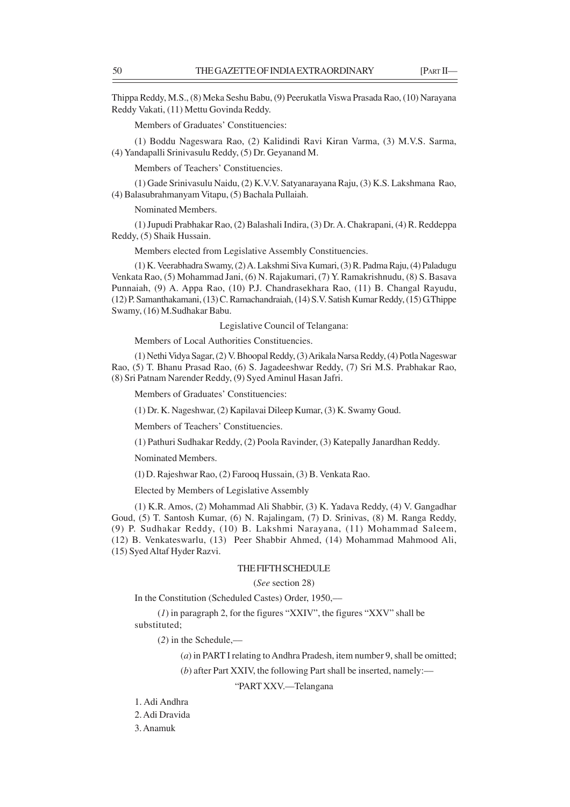Thippa Reddy, M.S., (8) Meka Seshu Babu, (9) Peerukatla Viswa Prasada Rao, (10) Narayana Reddy Vakati, (11) Mettu Govinda Reddy.

Members of Graduates' Constituencies:

(1) Boddu Nageswara Rao, (2) Kalidindi Ravi Kiran Varma, (3) M.V.S. Sarma, (4) Yandapalli Srinivasulu Reddy, (5) Dr. Geyanand M.

Members of Teachers' Constituencies.

(1) Gade Srinivasulu Naidu, (2) K.V.V. Satyanarayana Raju, (3) K.S. Lakshmana Rao, (4) Balasubrahmanyam Vitapu, (5) Bachala Pullaiah.

Nominated Members.

(1) Jupudi Prabhakar Rao, (2) Balashali Indira, (3) Dr. A. Chakrapani, (4) R. Reddeppa Reddy, (5) Shaik Hussain.

Members elected from Legislative Assembly Constituencies.

(1) K. Veerabhadra Swamy, (2) A. Lakshmi Siva Kumari, (3) R. Padma Raju, (4) Paladugu Venkata Rao, (5) Mohammad Jani, (6) N. Rajakumari, (7) Y. Ramakrishnudu, (8) S. Basava Punnaiah, (9) A. Appa Rao, (10) P.J. Chandrasekhara Rao, (11) B. Changal Rayudu, (12) P. Samanthakamani, (13) C. Ramachandraiah, (14) S.V. Satish Kumar Reddy, (15) G.Thippe Swamy, (16) M.Sudhakar Babu.

Legislative Council of Telangana:

Members of Local Authorities Constituencies.

(1) Nethi Vidya Sagar, (2) V. Bhoopal Reddy, (3) Arikala Narsa Reddy, (4) Potla Nageswar Rao, (5) T. Bhanu Prasad Rao, (6) S. Jagadeeshwar Reddy, (7) Sri M.S. Prabhakar Rao, (8) Sri Patnam Narender Reddy, (9) Syed Aminul Hasan Jafri.

Members of Graduates' Constituencies:

(1) Dr. K. Nageshwar, (2) Kapilavai Dileep Kumar, (3) K. Swamy Goud.

Members of Teachers' Constituencies.

(1) Pathuri Sudhakar Reddy, (2) Poola Ravinder, (3) Katepally Janardhan Reddy.

Nominated Members.

(1) D. Rajeshwar Rao, (2) Farooq Hussain, (3) B. Venkata Rao.

Elected by Members of Legislative Assembly

(1) K.R. Amos, (2) Mohammad Ali Shabbir, (3) K. Yadava Reddy, (4) V. Gangadhar Goud, (5) T. Santosh Kumar, (6) N. Rajalingam, (7) D. Srinivas, (8) M. Ranga Reddy, (9) P. Sudhakar Reddy, (10) B. Lakshmi Narayana, (11) Mohammad Saleem, (12) B. Venkateswarlu, (13) Peer Shabbir Ahmed, (14) Mohammad Mahmood Ali, (15) Syed Altaf Hyder Razvi.

#### THE FIFTH SCHEDULE

### (*See* section 28)

In the Constitution (Scheduled Castes) Order, 1950,––

(*1*) in paragraph 2, for the figures "XXIV", the figures "XXV" shall be substituted;

(*2*) in the Schedule,––

(*a*) in PART I relating to Andhra Pradesh, item number 9, shall be omitted;

(*b*) after Part XXIV, the following Part shall be inserted, namely:––

# "PART XXV.––Telangana

- 1. Adi Andhra
- 2. Adi Dravida

3. Anamuk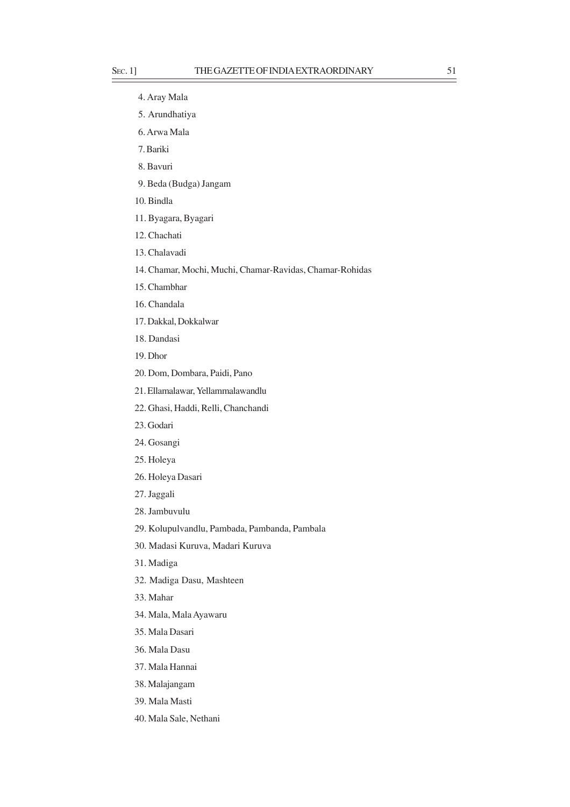# 4. Aray Mala

- 5. Arundhatiya
- 6. Arwa Mala
- 7. Bariki
- 8. Bavuri
- 9. Beda (Budga) Jangam
- 10. Bindla
- 11. Byagara, Byagari
- 12. Chachati
- 13. Chalavadi
- 14. Chamar, Mochi, Muchi, Chamar-Ravidas, Chamar-Rohidas
- 15. Chambhar
- 16. Chandala
- 17. Dakkal, Dokkalwar
- 18. Dandasi
- 19. Dhor
- 20. Dom, Dombara, Paidi, Pano
- 21. Ellamalawar, Yellammalawandlu
- 22. Ghasi, Haddi, Relli, Chanchandi
- 23. Godari
- 24. Gosangi
- 25. Holeya
- 26. Holeya Dasari
- 27. Jaggali
- 28. Jambuvulu
- 29. Kolupulvandlu, Pambada, Pambanda, Pambala
- 30. Madasi Kuruva, Madari Kuruva
- 31. Madiga
- 32. Madiga Dasu, Mashteen
- 33. Mahar
- 34. Mala, Mala Ayawaru
- 35. Mala Dasari
- 36. Mala Dasu
- 37. Mala Hannai
- 38. Malajangam
- 39. Mala Masti
- 40. Mala Sale, Nethani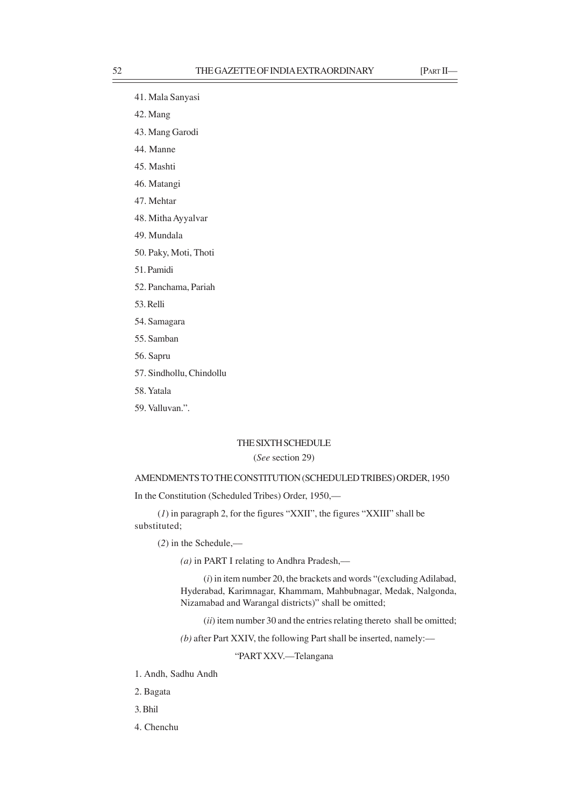- 41. Mala Sanyasi
- 42. Mang
- 43. Mang Garodi
- 44. Manne
- 45. Mashti
- 46. Matangi
- 47. Mehtar
- 48. Mitha Ayyalvar
- 49. Mundala
- 50. Paky, Moti, Thoti
- 51. Pamidi
- 52. Panchama, Pariah
- 53. Relli
- 54. Samagara
- 55. Samban
- 56. Sapru
- 57. Sindhollu, Chindollu
- 58. Yatala
- 59. Valluvan.".

### THE SIXTH SCHEDULE

# (*See* section 29)

# AMENDMENTS TO THE CONSTITUTION (SCHEDULED TRIBES) ORDER, 1950

In the Constitution (Scheduled Tribes) Order, 1950,––

(*1*) in paragraph 2, for the figures "XXII", the figures "XXIII" shall be substituted;

(*2*) in the Schedule,––

*(a)* in PART I relating to Andhra Pradesh,––

(*i*) in item number 20, the brackets and words "(excluding Adilabad, Hyderabad, Karimnagar, Khammam, Mahbubnagar, Medak, Nalgonda, Nizamabad and Warangal districts)" shall be omitted;

(*ii*) item number 30 and the entries relating thereto shall be omitted;

*(b)* after Part XXIV, the following Part shall be inserted, namely:-

"PART XXV.––Telangana

- 1. Andh, Sadhu Andh
- 2. Bagata
- 3. Bhil
- 4. Chenchu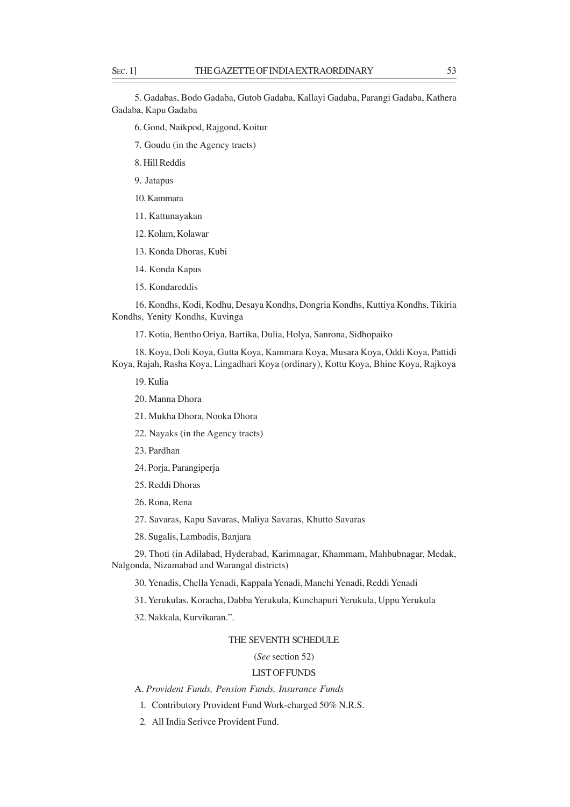5. Gadabas, Bodo Gadaba, Gutob Gadaba, Kallayi Gadaba, Parangi Gadaba, Kathera Gadaba, Kapu Gadaba

- 6. Gond, Naikpod, Rajgond, Koitur
- 7. Goudu (in the Agency tracts)
- 8. Hill Reddis
- 9. Jatapus
- 10. Kammara
- 11. Kattunayakan
- 12. Kolam, Kolawar
- 13. Konda Dhoras, Kubi
- 14. Konda Kapus
- 15. Kondareddis

16. Kondhs, Kodi, Kodhu, Desaya Kondhs, Dongria Kondhs, Kuttiya Kondhs, Tikiria Kondhs, Yenity Kondhs, Kuvinga

17. Kotia, Bentho Oriya, Bartika, Dulia, Holya, Sanrona, Sidhopaiko

18. Koya, Doli Koya, Gutta Koya, Kammara Koya, Musara Koya, Oddi Koya, Pattidi Koya, Rajah, Rasha Koya, Lingadhari Koya (ordinary), Kottu Koya, Bhine Koya, Rajkoya

- 19. Kulia
- 20. Manna Dhora
- 21. Mukha Dhora, Nooka Dhora
- 22. Nayaks (in the Agency tracts)
- 23. Pardhan
- 24. Poria, Parangiperia
- 25. Reddi Dhoras
- 26. Rona, Rena
- 27. Savaras, Kapu Savaras, Maliya Savaras, Khutto Savaras
- 28. Sugalis, Lambadis, Banjara

29. Thoti (in Adilabad, Hyderabad, Karimnagar, Khammam, Mahbubnagar, Medak, Nalgonda, Nizamabad and Warangal districts)

30. Yenadis, Chella Yenadi, Kappala Yenadi, Manchi Yenadi, Reddi Yenadi

31. Yerukulas, Koracha, Dabba Yerukula, Kunchapuri Yerukula, Uppu Yerukula

32. Nakkala, Kurvikaran.".

### THE SEVENTH SCHEDULE

(*See* section 52)

### LIST OF FUNDS

A. *Provident Funds, Pension Funds, Insurance Funds*

- 1. Contributory Provident Fund Work-charged 50% N.R.S.
- 2. All India Serivce Provident Fund.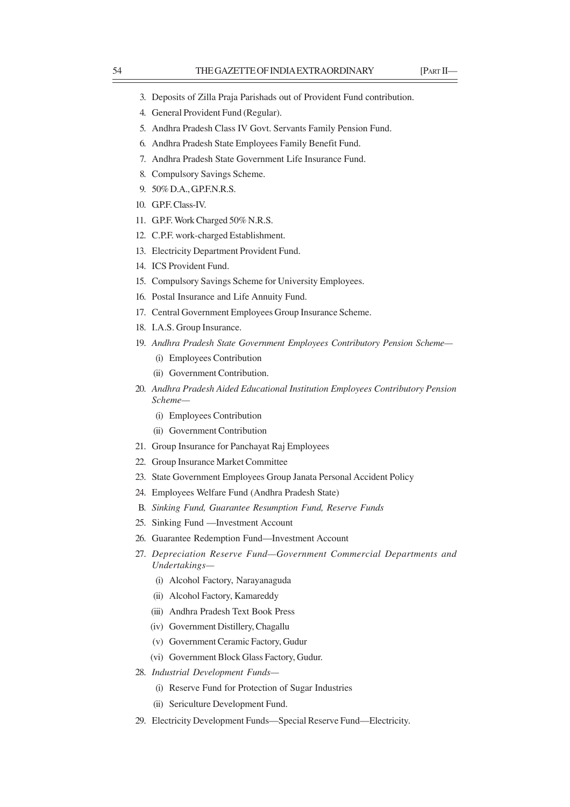- 3. Deposits of Zilla Praja Parishads out of Provident Fund contribution.
- 4. General Provident Fund (Regular).
- 5. Andhra Pradesh Class IV Govt. Servants Family Pension Fund.
- 6. Andhra Pradesh State Employees Family Benefit Fund.
- 7. Andhra Pradesh State Government Life Insurance Fund.
- 8. Compulsory Savings Scheme.
- 9. 50% D.A., GP.F.N.R.S.
- 10. G.P.F. Class-IV.
- 11. G.P.F. Work Charged 50% N.R.S.
- 12. C.P.F. work-charged Establishment.
- 13. Electricity Department Provident Fund.
- 14. ICS Provident Fund.
- 15. Compulsory Savings Scheme for University Employees.
- 16. Postal Insurance and Life Annuity Fund.
- 17. Central Government Employees Group Insurance Scheme.
- 18. I.A.S. Group Insurance.
- 19. *Andhra Pradesh State Government Employees Contributory Pension Scheme—*
	- (i) Employees Contribution
	- (ii) Government Contribution.
- 20. *Andhra Pradesh Aided Educational Institution Employees Contributory Pension Scheme—*
	- (i) Employees Contribution
	- (ii) Government Contribution
- 21. Group Insurance for Panchayat Raj Employees
- 22. Group Insurance Market Committee
- 23. State Government Employees Group Janata Personal Accident Policy
- 24. Employees Welfare Fund (Andhra Pradesh State)
- B. *Sinking Fund, Guarantee Resumption Fund, Reserve Funds*
- 25. Sinking Fund —Investment Account
- 26. Guarantee Redemption Fund—Investment Account
- 27. *Depreciation Reserve Fund—Government Commercial Departments and Undertakings—*
	- (i) Alcohol Factory, Narayanaguda
	- (ii) Alcohol Factory, Kamareddy
	- (iii) Andhra Pradesh Text Book Press
	- (iv) Government Distillery, Chagallu
	- (v) Government Ceramic Factory, Gudur
	- (vi) Government Block Glass Factory, Gudur.
- 28. *Industrial Development Funds—*
	- (i) Reserve Fund for Protection of Sugar Industries
	- (ii) Sericulture Development Fund.
- 29. Electricity Development Funds—Special Reserve Fund—Electricity.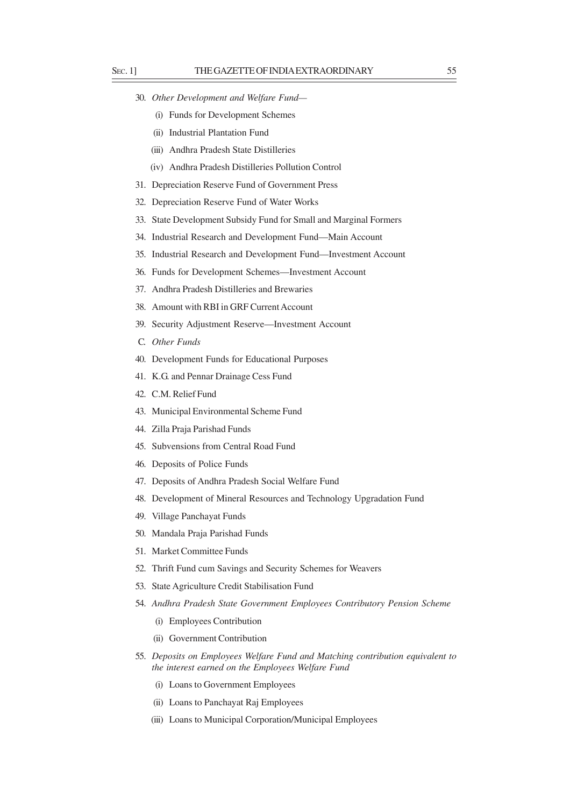- 30. *Other Development and Welfare Fund—*
	- (i) Funds for Development Schemes
	- (ii) Industrial Plantation Fund
	- (iii) Andhra Pradesh State Distilleries
	- (iv) Andhra Pradesh Distilleries Pollution Control
- 31. Depreciation Reserve Fund of Government Press
- 32. Depreciation Reserve Fund of Water Works
- 33. State Development Subsidy Fund for Small and Marginal Formers
- 34. Industrial Research and Development Fund—Main Account
- 35. Industrial Research and Development Fund—Investment Account
- 36. Funds for Development Schemes—Investment Account
- 37. Andhra Pradesh Distilleries and Brewaries
- 38. Amount with RBI in GRF Current Account
- 39. Security Adjustment Reserve—Investment Account
- C. *Other Funds*
- 40. Development Funds for Educational Purposes
- 41. K.G. and Pennar Drainage Cess Fund
- 42. C.M. Relief Fund
- 43. Municipal Environmental Scheme Fund
- 44. Zilla Praja Parishad Funds
- 45. Subvensions from Central Road Fund
- 46. Deposits of Police Funds
- 47. Deposits of Andhra Pradesh Social Welfare Fund
- 48. Development of Mineral Resources and Technology Upgradation Fund
- 49. Village Panchayat Funds
- 50. Mandala Praja Parishad Funds
- 51. Market Committee Funds
- 52. Thrift Fund cum Savings and Security Schemes for Weavers
- 53. State Agriculture Credit Stabilisation Fund
- 54. *Andhra Pradesh State Government Employees Contributory Pension Scheme*
	- (i) Employees Contribution
	- (ii) Government Contribution
- 55. *Deposits on Employees Welfare Fund and Matching contribution equivalent to the interest earned on the Employees Welfare Fund*
	- (i) Loans to Government Employees
	- (ii) Loans to Panchayat Raj Employees
	- (iii) Loans to Municipal Corporation/Municipal Employees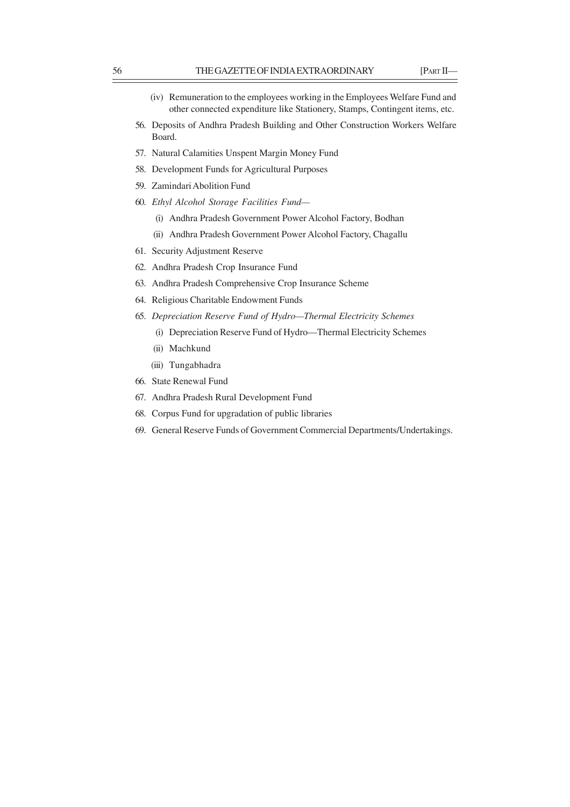- (iv) Remuneration to the employees working in the Employees Welfare Fund and other connected expenditure like Stationery, Stamps, Contingent items, etc.
- 56. Deposits of Andhra Pradesh Building and Other Construction Workers Welfare Board.
- 57. Natural Calamities Unspent Margin Money Fund
- 58. Development Funds for Agricultural Purposes
- 59. Zamindari Abolition Fund
- 60. *Ethyl Alcohol Storage Facilities Fund—*
	- (i) Andhra Pradesh Government Power Alcohol Factory, Bodhan
	- (ii) Andhra Pradesh Government Power Alcohol Factory, Chagallu
- 61. Security Adjustment Reserve
- 62. Andhra Pradesh Crop Insurance Fund
- 63. Andhra Pradesh Comprehensive Crop Insurance Scheme
- 64. Religious Charitable Endowment Funds
- 65. *Depreciation Reserve Fund of Hydro—Thermal Electricity Schemes*
	- (i) Depreciation Reserve Fund of Hydro—Thermal Electricity Schemes
	- (ii) Machkund
	- (iii) Tungabhadra
- 66. State Renewal Fund
- 67. Andhra Pradesh Rural Development Fund
- 68. Corpus Fund for upgradation of public libraries
- 69. General Reserve Funds of Government Commercial Departments/Undertakings.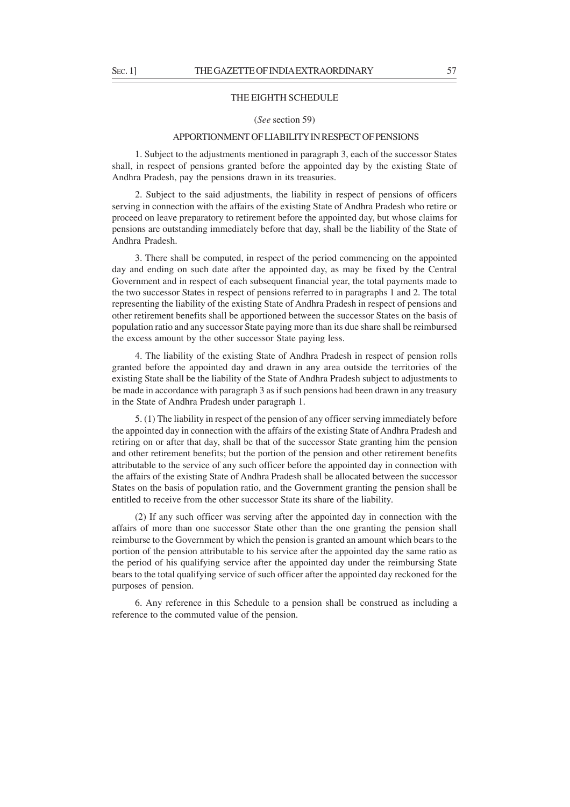### THE EIGHTH SCHEDULE

### (*See* section 59)

### APPORTIONMENT OF LIABILITY IN RESPECT OF PENSIONS

1. Subject to the adjustments mentioned in paragraph 3, each of the successor States shall, in respect of pensions granted before the appointed day by the existing State of Andhra Pradesh, pay the pensions drawn in its treasuries.

2. Subject to the said adjustments, the liability in respect of pensions of officers serving in connection with the affairs of the existing State of Andhra Pradesh who retire or proceed on leave preparatory to retirement before the appointed day, but whose claims for pensions are outstanding immediately before that day, shall be the liability of the State of Andhra Pradesh.

3. There shall be computed, in respect of the period commencing on the appointed day and ending on such date after the appointed day, as may be fixed by the Central Government and in respect of each subsequent financial year, the total payments made to the two successor States in respect of pensions referred to in paragraphs 1 and 2. The total representing the liability of the existing State of Andhra Pradesh in respect of pensions and other retirement benefits shall be apportioned between the successor States on the basis of population ratio and any successor State paying more than its due share shall be reimbursed the excess amount by the other successor State paying less.

4. The liability of the existing State of Andhra Pradesh in respect of pension rolls granted before the appointed day and drawn in any area outside the territories of the existing State shall be the liability of the State of Andhra Pradesh subject to adjustments to be made in accordance with paragraph 3 as if such pensions had been drawn in any treasury in the State of Andhra Pradesh under paragraph 1.

5. (1) The liability in respect of the pension of any officer serving immediately before the appointed day in connection with the affairs of the existing State of Andhra Pradesh and retiring on or after that day, shall be that of the successor State granting him the pension and other retirement benefits; but the portion of the pension and other retirement benefits attributable to the service of any such officer before the appointed day in connection with the affairs of the existing State of Andhra Pradesh shall be allocated between the successor States on the basis of population ratio, and the Government granting the pension shall be entitled to receive from the other successor State its share of the liability.

(2) If any such officer was serving after the appointed day in connection with the affairs of more than one successor State other than the one granting the pension shall reimburse to the Government by which the pension is granted an amount which bears to the portion of the pension attributable to his service after the appointed day the same ratio as the period of his qualifying service after the appointed day under the reimbursing State bears to the total qualifying service of such officer after the appointed day reckoned for the purposes of pension.

6. Any reference in this Schedule to a pension shall be construed as including a reference to the commuted value of the pension.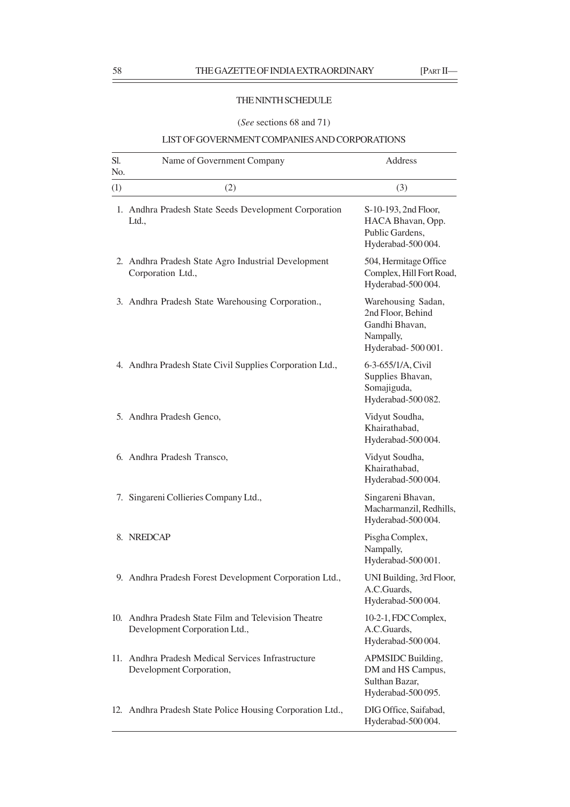# THE NINTH SCHEDULE

# (*See* sections 68 and 71)

# LIST OF GOVERNMENT COMPANIES AND CORPORATIONS

| Sl.<br>N <sub>0</sub> . | Name of Government Company                                                            | Address                                                                                     |
|-------------------------|---------------------------------------------------------------------------------------|---------------------------------------------------------------------------------------------|
| (1)                     | (2)                                                                                   | (3)                                                                                         |
|                         | 1. Andhra Pradesh State Seeds Development Corporation<br>Ltd.,                        | S-10-193, 2nd Floor,<br>HACA Bhavan, Opp.<br>Public Gardens,<br>Hyderabad-500004.           |
|                         | 2. Andhra Pradesh State Agro Industrial Development<br>Corporation Ltd.,              | 504, Hermitage Office<br>Complex, Hill Fort Road,<br>Hyderabad-500 004.                     |
|                         | 3. Andhra Pradesh State Warehousing Corporation.,                                     | Warehousing Sadan,<br>2nd Floor, Behind<br>Gandhi Bhavan,<br>Nampally,<br>Hyderabad-500001. |
|                         | 4. Andhra Pradesh State Civil Supplies Corporation Ltd.,                              | 6-3-655/1/A, Civil<br>Supplies Bhavan,<br>Somajiguda,<br>Hyderabad-500 082.                 |
|                         | 5. Andhra Pradesh Genco,                                                              | Vidyut Soudha,<br>Khairathabad,<br>Hyderabad-500004.                                        |
|                         | 6. Andhra Pradesh Transco,                                                            | Vidyut Soudha,<br>Khairathabad,<br>Hyderabad-500 004.                                       |
|                         | 7. Singareni Collieries Company Ltd.,                                                 | Singareni Bhavan,<br>Macharmanzil, Redhills,<br>Hyderabad-500 004.                          |
|                         | 8. NREDCAP                                                                            | Pisgha Complex,<br>Nampally,<br>Hyderabad-500 001.                                          |
|                         | 9. Andhra Pradesh Forest Development Corporation Ltd.,                                | UNI Building, 3rd Floor,<br>A.C.Guards,<br>Hyderabad-500004.                                |
|                         | 10. Andhra Pradesh State Film and Television Theatre<br>Development Corporation Ltd., | 10-2-1, FDC Complex,<br>A.C.Guards,<br>Hyderabad-500004.                                    |
|                         | 11. Andhra Pradesh Medical Services Infrastructure<br>Development Corporation,        | APMSIDC Building,<br>DM and HS Campus,<br>Sulthan Bazar,<br>Hyderabad-500 095.              |
|                         | 12. Andhra Pradesh State Police Housing Corporation Ltd.,                             | DIG Office, Saifabad,<br>Hyderabad-500 004.                                                 |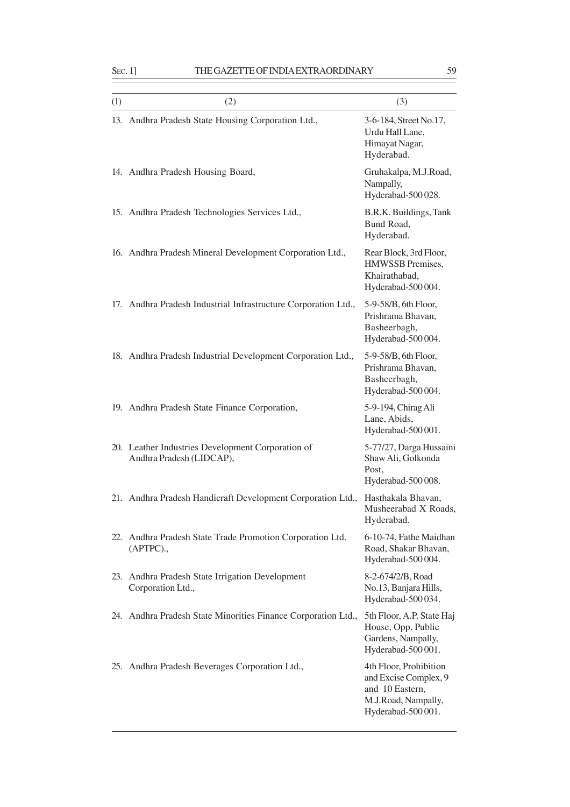| (1) | (2)                                                                           | (3)                                                                                                            |
|-----|-------------------------------------------------------------------------------|----------------------------------------------------------------------------------------------------------------|
|     | 13. Andhra Pradesh State Housing Corporation Ltd.,                            | 3-6-184, Street No.17,<br>Urdu Hall Lane,<br>Himayat Nagar,<br>Hyderabad.                                      |
|     | 14. Andhra Pradesh Housing Board,                                             | Gruhakalpa, M.J.Road,<br>Nampally,<br>Hyderabad-500 028.                                                       |
|     | 15. Andhra Pradesh Technologies Services Ltd.,                                | B.R.K. Buildings, Tank<br>Bund Road,<br>Hyderabad.                                                             |
|     | 16. Andhra Pradesh Mineral Development Corporation Ltd.,                      | Rear Block, 3rd Floor,<br>HMWSSB Premises,<br>Khairathabad,<br>Hyderabad-500004.                               |
|     | 17. Andhra Pradesh Industrial Infrastructure Corporation Ltd.,                | 5-9-58/B, 6th Floor,<br>Prishrama Bhavan,<br>Basheerbagh,<br>Hyderabad-500004.                                 |
|     | 18. Andhra Pradesh Industrial Development Corporation Ltd.,                   | 5-9-58/B, 6th Floor,<br>Prishrama Bhavan,<br>Basheerbagh,<br>Hyderabad-500 004.                                |
|     | 19. Andhra Pradesh State Finance Corporation,                                 | 5-9-194, Chirag Ali<br>Lane, Abids,<br>Hyderabad-500 001.                                                      |
|     | 20. Leather Industries Development Corporation of<br>Andhra Pradesh (LIDCAP), | 5-77/27, Darga Hussaini<br>Shaw Ali, Golkonda<br>Post,<br>Hyderabad-500008.                                    |
|     | 21. Andhra Pradesh Handicraft Development Corporation Ltd.,                   | Hasthakala Bhavan,<br>Musheerabad X Roads,<br>Hyderabad.                                                       |
| 22. | Andhra Pradesh State Trade Promotion Corporation Ltd.<br>(APTPC).,            | 6-10-74, Fathe Maidhan<br>Road, Shakar Bhavan,<br>Hyderabad-500 004.                                           |
| 23. | Andhra Pradesh State Irrigation Development<br>Corporation Ltd.,              | 8-2-674/2/B, Road<br>No.13, Banjara Hills,<br>Hyderabad-500034.                                                |
|     | 24. Andhra Pradesh State Minorities Finance Corporation Ltd.,                 | 5th Floor, A.P. State Haj<br>House, Opp. Public<br>Gardens, Nampally,<br>Hyderabad-500 001.                    |
|     | 25. Andhra Pradesh Beverages Corporation Ltd.,                                | 4th Floor, Prohibition<br>and Excise Complex, 9<br>and 10 Eastern,<br>M.J.Road, Nampally,<br>Hyderabad-500001. |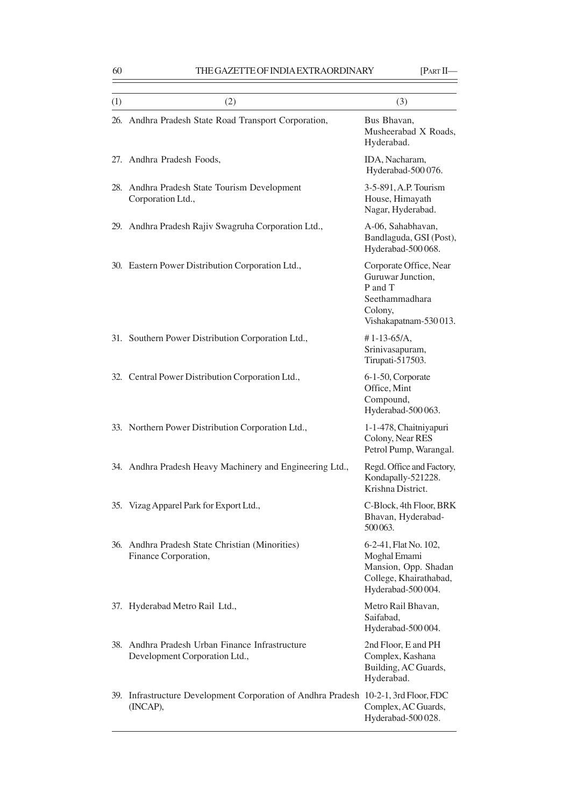| (1) | (2)                                                                                             | (3)                                                                                                           |
|-----|-------------------------------------------------------------------------------------------------|---------------------------------------------------------------------------------------------------------------|
|     | 26. Andhra Pradesh State Road Transport Corporation,                                            | Bus Bhavan,<br>Musheerabad X Roads,<br>Hyderabad.                                                             |
|     | 27. Andhra Pradesh Foods,                                                                       | IDA, Nacharam,<br>Hyderabad-500076.                                                                           |
| 28. | Andhra Pradesh State Tourism Development<br>Corporation Ltd.,                                   | 3-5-891, A.P. Tourism<br>House, Himayath<br>Nagar, Hyderabad.                                                 |
|     | 29. Andhra Pradesh Rajiv Swagruha Corporation Ltd.,                                             | A-06, Sahabhavan,<br>Bandlaguda, GSI (Post),<br>Hyderabad-500068.                                             |
|     | 30. Eastern Power Distribution Corporation Ltd.,                                                | Corporate Office, Near<br>Guruwar Junction,<br>P and T<br>Seethammadhara<br>Colony,<br>Vishakapatnam-530013.  |
|     | 31. Southern Power Distribution Corporation Ltd.,                                               | $# 1 - 13 - 65/A,$<br>Srinivasapuram,<br>Tirupati-517503.                                                     |
|     | 32. Central Power Distribution Corporation Ltd.,                                                | 6-1-50, Corporate<br>Office, Mint<br>Compound,<br>Hyderabad-500063.                                           |
|     | 33. Northern Power Distribution Corporation Ltd.,                                               | 1-1-478, Chaitniyapuri<br>Colony, Near RES<br>Petrol Pump, Warangal.                                          |
|     | 34. Andhra Pradesh Heavy Machinery and Engineering Ltd.,                                        | Regd. Office and Factory,<br>Kondapally-521228.<br>Krishna District.                                          |
| 35. | Vizag Apparel Park for Export Ltd.,                                                             | C-Block, 4th Floor, BRK<br>Bhavan, Hyderabad-<br>500063.                                                      |
|     | 36. Andhra Pradesh State Christian (Minorities)<br>Finance Corporation,                         | 6-2-41, Flat No. 102,<br>Moghal Emami<br>Mansion, Opp. Shadan<br>College, Khairathabad,<br>Hyderabad-500 004. |
|     | 37. Hyderabad Metro Rail Ltd.,                                                                  | Metro Rail Bhavan,<br>Saifabad,<br>Hyderabad-500 004.                                                         |
| 38. | Andhra Pradesh Urban Finance Infrastructure<br>Development Corporation Ltd.,                    | 2nd Floor, E and PH<br>Complex, Kashana<br>Building, AC Guards,<br>Hyderabad.                                 |
|     | 39. Infrastructure Development Corporation of Andhra Pradesh 10-2-1, 3rd Floor, FDC<br>(INCAP), | Complex, AC Guards,<br>Hyderabad-500 028.                                                                     |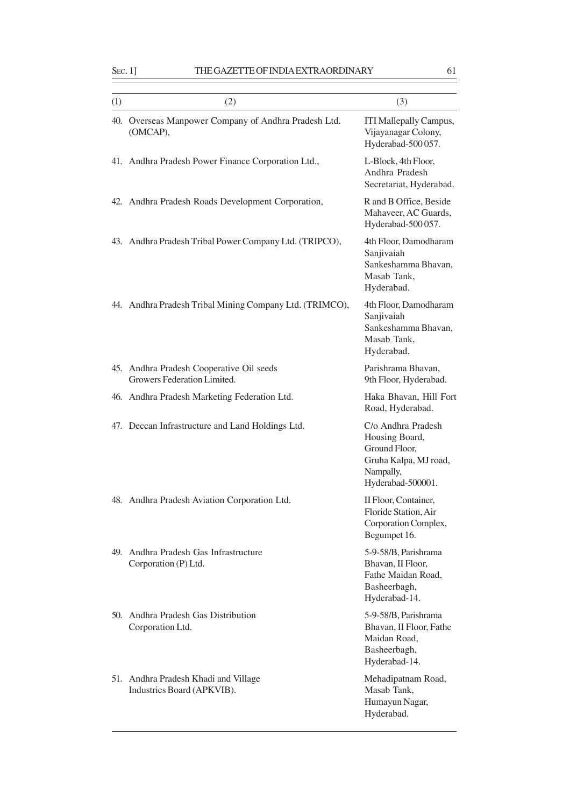| (1) | (2)                                                                     | (3)                                                                                                              |
|-----|-------------------------------------------------------------------------|------------------------------------------------------------------------------------------------------------------|
| 40. | Overseas Manpower Company of Andhra Pradesh Ltd.<br>(OMCAP),            | ITI Mallepally Campus,<br>Vijayanagar Colony,<br>Hyderabad-500 057.                                              |
|     | 41. Andhra Pradesh Power Finance Corporation Ltd.,                      | L-Block, 4th Floor,<br>Andhra Pradesh<br>Secretariat, Hyderabad.                                                 |
|     | 42. Andhra Pradesh Roads Development Corporation,                       | R and B Office, Beside<br>Mahaveer, AC Guards,<br>Hyderabad-500 057.                                             |
|     | 43. Andhra Pradesh Tribal Power Company Ltd. (TRIPCO),                  | 4th Floor, Damodharam<br>Sanjivaiah<br>Sankeshamma Bhavan,<br>Masab Tank,<br>Hyderabad.                          |
|     | 44. Andhra Pradesh Tribal Mining Company Ltd. (TRIMCO),                 | 4th Floor, Damodharam<br>Sanjivaiah<br>Sankeshamma Bhavan,<br>Masab Tank,<br>Hyderabad.                          |
|     | 45. Andhra Pradesh Cooperative Oil seeds<br>Growers Federation Limited. | Parishrama Bhavan,<br>9th Floor, Hyderabad.                                                                      |
|     | 46. Andhra Pradesh Marketing Federation Ltd.                            | Haka Bhavan, Hill Fort<br>Road, Hyderabad.                                                                       |
|     | 47. Deccan Infrastructure and Land Holdings Ltd.                        | C/o Andhra Pradesh<br>Housing Board,<br>Ground Floor,<br>Gruha Kalpa, MJ road,<br>Nampally,<br>Hyderabad-500001. |
|     | 48. Andhra Pradesh Aviation Corporation Ltd.                            | II Floor, Container,<br>Floride Station, Air<br>Corporation Complex,<br>Begumpet 16.                             |
| 49. | Andhra Pradesh Gas Infrastructure<br>Corporation (P) Ltd.               | 5-9-58/B, Parishrama<br>Bhavan, II Floor,<br>Fathe Maidan Road,<br>Basheerbagh,<br>Hyderabad-14.                 |
|     | 50. Andhra Pradesh Gas Distribution<br>Corporation Ltd.                 | 5-9-58/B, Parishrama<br>Bhavan, II Floor, Fathe<br>Maidan Road,<br>Basheerbagh,<br>Hyderabad-14.                 |
|     | 51. Andhra Pradesh Khadi and Village<br>Industries Board (APKVIB).      | Mehadipatnam Road,<br>Masab Tank,<br>Humayun Nagar,<br>Hyderabad.                                                |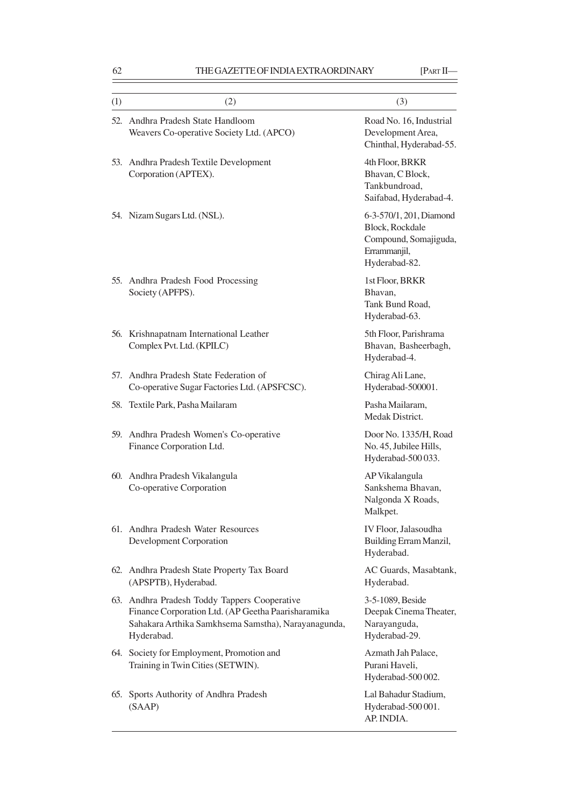| (1) | (2)                                                                                                                                                                     | (3)                                                                                                         |
|-----|-------------------------------------------------------------------------------------------------------------------------------------------------------------------------|-------------------------------------------------------------------------------------------------------------|
| 52. | Andhra Pradesh State Handloom<br>Weavers Co-operative Society Ltd. (APCO)                                                                                               | Road No. 16, Industrial<br>Development Area,<br>Chinthal, Hyderabad-55.                                     |
| 53. | Andhra Pradesh Textile Development<br>Corporation (APTEX).                                                                                                              | 4th Floor, BRKR<br>Bhavan, C Block,<br>Tankbundroad,<br>Saifabad, Hyderabad-4.                              |
|     | 54. Nizam Sugars Ltd. (NSL).                                                                                                                                            | 6-3-570/1, 201, Diamond<br><b>Block, Rockdale</b><br>Compound, Somajiguda,<br>Errammanjil,<br>Hyderabad-82. |
|     | 55. Andhra Pradesh Food Processing<br>Society (APFPS).                                                                                                                  | 1st Floor, BRKR<br>Bhavan,<br>Tank Bund Road,<br>Hyderabad-63.                                              |
|     | 56. Krishnapatnam International Leather<br>Complex Pvt. Ltd. (KPILC)                                                                                                    | 5th Floor, Parishrama<br>Bhavan, Basheerbagh,<br>Hyderabad-4.                                               |
|     | 57. Andhra Pradesh State Federation of<br>Co-operative Sugar Factories Ltd. (APSFCSC).                                                                                  | Chirag Ali Lane,<br>Hyderabad-500001.                                                                       |
|     | 58. Textile Park, Pasha Mailaram                                                                                                                                        | Pasha Mailaram,<br>Medak District.                                                                          |
|     | 59. Andhra Pradesh Women's Co-operative<br>Finance Corporation Ltd.                                                                                                     | Door No. 1335/H, Road<br>No. 45, Jubilee Hills,<br>Hyderabad-500033.                                        |
|     | 60. Andhra Pradesh Vikalangula<br>Co-operative Corporation                                                                                                              | AP Vikalangula<br>Sankshema Bhavan,<br>Nalgonda X Roads,<br>Malkpet.                                        |
|     | 61. Andhra Pradesh Water Resources<br>Development Corporation                                                                                                           | IV Floor, Jalasoudha<br>Building Erram Manzil,<br>Hyderabad.                                                |
|     | 62. Andhra Pradesh State Property Tax Board<br>(APSPTB), Hyderabad.                                                                                                     | AC Guards, Masabtank,<br>Hyderabad.                                                                         |
|     | 63. Andhra Pradesh Toddy Tappers Cooperative<br>Finance Corporation Ltd. (AP Geetha Paarisharamika<br>Sahakara Arthika Samkhsema Samstha), Narayanagunda,<br>Hyderabad. | 3-5-1089, Beside<br>Deepak Cinema Theater,<br>Narayanguda,<br>Hyderabad-29.                                 |
|     | 64. Society for Employment, Promotion and<br>Training in Twin Cities (SETWIN).                                                                                          | Azmath Jah Palace,<br>Purani Haveli,<br>Hyderabad-500002.                                                   |
| 65. | Sports Authority of Andhra Pradesh<br>(SAAP)                                                                                                                            | Lal Bahadur Stadium,<br>Hyderabad-500001.<br>AP. INDIA.                                                     |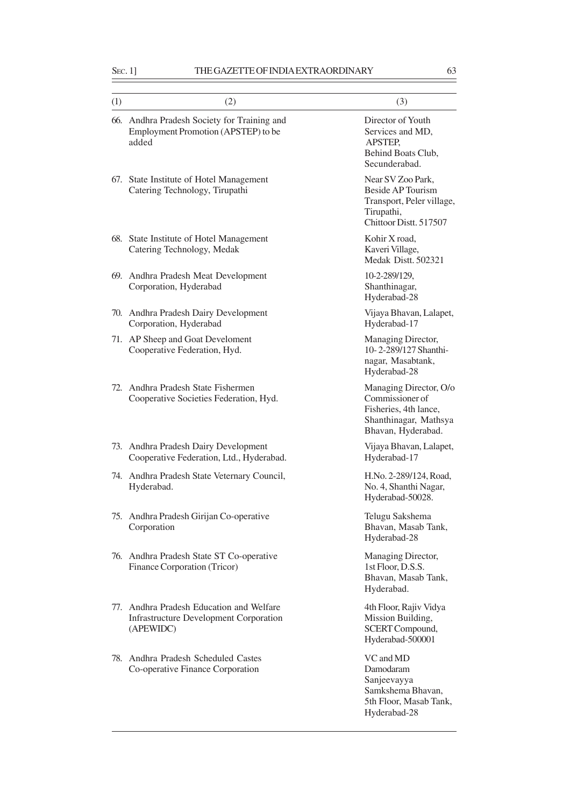| (1) | (2)                                                                                                    | (3)                                                                                                                |
|-----|--------------------------------------------------------------------------------------------------------|--------------------------------------------------------------------------------------------------------------------|
|     | 66. Andhra Pradesh Society for Training and<br>Employment Promotion (APSTEP) to be<br>added            | Director of Youth<br>Services and MD,<br><b>APSTEP.</b><br>Behind Boats Club,<br>Secunderabad.                     |
| 67. | State Institute of Hotel Management<br>Catering Technology, Tirupathi                                  | Near SV Zoo Park,<br><b>Beside AP Tourism</b><br>Transport, Peler village,<br>Tirupathi,<br>Chittoor Distt. 517507 |
|     | 68. State Institute of Hotel Management<br>Catering Technology, Medak                                  | Kohir X road,<br>Kaveri Village,<br>Medak Distt. 502321                                                            |
|     | 69. Andhra Pradesh Meat Development<br>Corporation, Hyderabad                                          | 10-2-289/129,<br>Shanthinagar,<br>Hyderabad-28                                                                     |
|     | 70. Andhra Pradesh Dairy Development<br>Corporation, Hyderabad                                         | Vijaya Bhavan, Lalapet,<br>Hyderabad-17                                                                            |
|     | 71. AP Sheep and Goat Develoment<br>Cooperative Federation, Hyd.                                       | Managing Director,<br>10-2-289/127 Shanthi-<br>nagar, Masabtank,<br>Hyderabad-28                                   |
| 72. | Andhra Pradesh State Fishermen<br>Cooperative Societies Federation, Hyd.                               | Managing Director, O/o<br>Commissioner of<br>Fisheries, 4th lance,<br>Shanthinagar, Mathsya<br>Bhavan, Hyderabad.  |
|     | 73. Andhra Pradesh Dairy Development<br>Cooperative Federation, Ltd., Hyderabad.                       | Vijaya Bhavan, Lalapet,<br>Hyderabad-17                                                                            |
|     | 74. Andhra Pradesh State Veternary Council,<br>Hyderabad.                                              | H.No. 2-289/124, Road,<br>No. 4, Shanthi Nagar,<br>Hyderabad-50028.                                                |
|     | 75. Andhra Pradesh Girijan Co-operative<br>Corporation                                                 | Telugu Sakshema<br>Bhavan, Masab Tank,<br>Hyderabad-28                                                             |
|     | 76. Andhra Pradesh State ST Co-operative<br>Finance Corporation (Tricor)                               | Managing Director,<br>1st Floor, D.S.S.<br>Bhavan, Masab Tank,<br>Hyderabad.                                       |
|     | 77. Andhra Pradesh Education and Welfare<br><b>Infrastructure Development Corporation</b><br>(APEWIDC) | 4th Floor, Rajiv Vidya<br>Mission Building,<br>SCERT Compound,<br>Hyderabad-500001                                 |
|     | 78. Andhra Pradesh Scheduled Castes<br>Co-operative Finance Corporation                                | VC and MD<br>Damodaram<br>Sanjeevayya<br>Samkshema Bhavan,<br>5th Floor, Masab Tank,<br>Hyderabad-28               |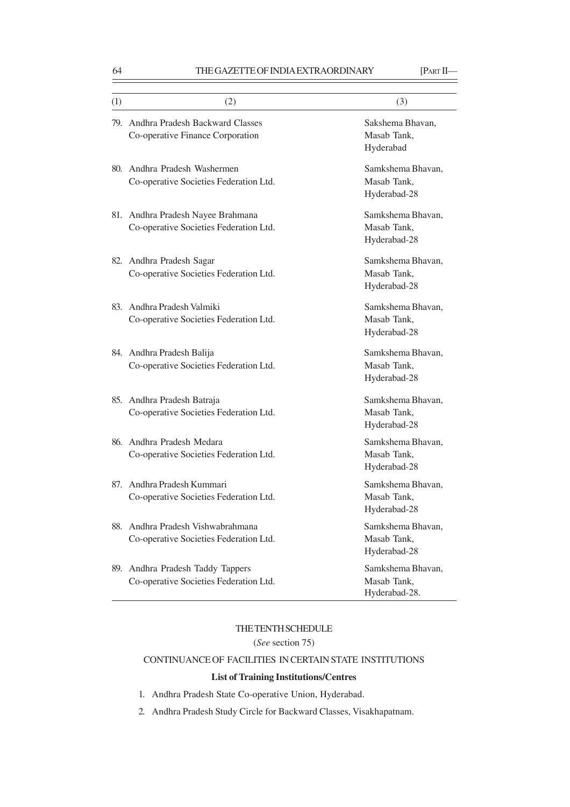| (1) | (2)                                                                         | (3)                                               |
|-----|-----------------------------------------------------------------------------|---------------------------------------------------|
|     | 79. Andhra Pradesh Backward Classes<br>Co-operative Finance Corporation     | Sakshema Bhavan,<br>Masab Tank,                   |
|     |                                                                             | Hyderabad                                         |
|     | 80. Andhra Pradesh Washermen                                                | Samkshema Bhavan,                                 |
|     | Co-operative Societies Federation Ltd.                                      | Masab Tank,<br>Hyderabad-28                       |
|     | 81. Andhra Pradesh Nayee Brahmana<br>Co-operative Societies Federation Ltd. | Samkshema Bhavan,<br>Masab Tank,<br>Hyderabad-28  |
|     | 82. Andhra Pradesh Sagar<br>Co-operative Societies Federation Ltd.          | Samkshema Bhavan,<br>Masab Tank,<br>Hyderabad-28  |
| 83. | Andhra Pradesh Valmiki<br>Co-operative Societies Federation Ltd.            | Samkshema Bhavan,<br>Masab Tank,<br>Hyderabad-28  |
|     | 84. Andhra Pradesh Balija<br>Co-operative Societies Federation Ltd.         | Samkshema Bhavan,<br>Masab Tank,<br>Hyderabad-28  |
| 85. | Andhra Pradesh Batraja<br>Co-operative Societies Federation Ltd.            | Samkshema Bhavan,<br>Masab Tank,<br>Hyderabad-28  |
| 86. | Andhra Pradesh Medara<br>Co-operative Societies Federation Ltd.             | Samkshema Bhavan,<br>Masab Tank,<br>Hyderabad-28  |
| 87. | Andhra Pradesh Kummari<br>Co-operative Societies Federation Ltd.            | Samkshema Bhavan,<br>Masab Tank,<br>Hyderabad-28  |
| 88. | Andhra Pradesh Vishwabrahmana<br>Co-operative Societies Federation Ltd.     | Samkshema Bhavan,<br>Masab Tank,<br>Hyderabad-28  |
| 89. | Andhra Pradesh Taddy Tappers<br>Co-operative Societies Federation Ltd.      | Samkshema Bhavan,<br>Masab Tank,<br>Hyderabad-28. |

# THE TENTH SCHEDULE

# (*See* section 75)

# CONTINUANCE OF FACILITIES IN CERTAIN STATE INSTITUTIONS

# **List of Training Institutions/Centres**

- 1. Andhra Pradesh State Co-operative Union, Hyderabad.
- 2. Andhra Pradesh Study Circle for Backward Classes, Visakhapatnam.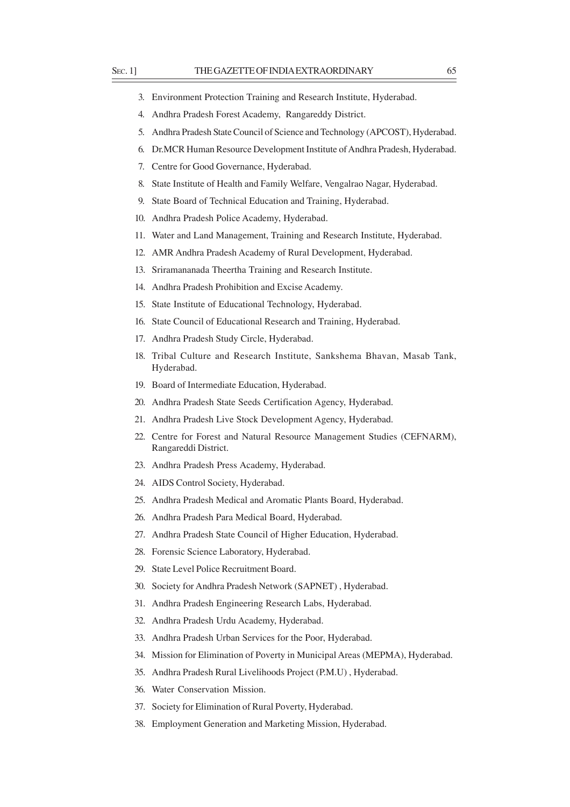- 3. Environment Protection Training and Research Institute, Hyderabad.
- 4. Andhra Pradesh Forest Academy, Rangareddy District.
- 5. Andhra Pradesh State Council of Science and Technology (APCOST), Hyderabad.
- 6. Dr.MCR Human Resource Development Institute of Andhra Pradesh, Hyderabad.
- 7. Centre for Good Governance, Hyderabad.
- 8. State Institute of Health and Family Welfare, Vengalrao Nagar, Hyderabad.
- 9. State Board of Technical Education and Training, Hyderabad.
- 10. Andhra Pradesh Police Academy, Hyderabad.
- 11. Water and Land Management, Training and Research Institute, Hyderabad.
- 12. AMR Andhra Pradesh Academy of Rural Development, Hyderabad.
- 13. Sriramananada Theertha Training and Research Institute.
- 14. Andhra Pradesh Prohibition and Excise Academy.
- 15. State Institute of Educational Technology, Hyderabad.
- 16. State Council of Educational Research and Training, Hyderabad.
- 17. Andhra Pradesh Study Circle, Hyderabad.
- 18. Tribal Culture and Research Institute, Sankshema Bhavan, Masab Tank, Hyderabad.
- 19. Board of Intermediate Education, Hyderabad.
- 20. Andhra Pradesh State Seeds Certification Agency, Hyderabad.
- 21. Andhra Pradesh Live Stock Development Agency, Hyderabad.
- 22. Centre for Forest and Natural Resource Management Studies (CEFNARM), Rangareddi District.
- 23. Andhra Pradesh Press Academy, Hyderabad.
- 24. AIDS Control Society, Hyderabad.
- 25. Andhra Pradesh Medical and Aromatic Plants Board, Hyderabad.
- 26. Andhra Pradesh Para Medical Board, Hyderabad.
- 27. Andhra Pradesh State Council of Higher Education, Hyderabad.
- 28. Forensic Science Laboratory, Hyderabad.
- 29. State Level Police Recruitment Board.
- 30. Society for Andhra Pradesh Network (SAPNET) , Hyderabad.
- 31. Andhra Pradesh Engineering Research Labs, Hyderabad.
- 32. Andhra Pradesh Urdu Academy, Hyderabad.
- 33. Andhra Pradesh Urban Services for the Poor, Hyderabad.
- 34. Mission for Elimination of Poverty in Municipal Areas (MEPMA), Hyderabad.
- 35. Andhra Pradesh Rural Livelihoods Project (P.M.U) , Hyderabad.
- 36. Water Conservation Mission.
- 37. Society for Elimination of Rural Poverty, Hyderabad.
- 38. Employment Generation and Marketing Mission, Hyderabad.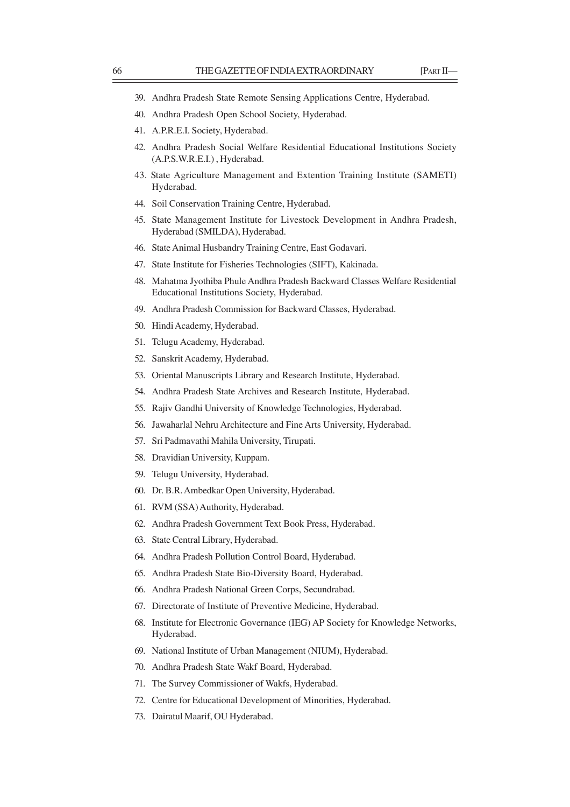- 39. Andhra Pradesh State Remote Sensing Applications Centre, Hyderabad.
- 40. Andhra Pradesh Open School Society, Hyderabad.
- 41. A.P.R.E.I. Society, Hyderabad.
- 42. Andhra Pradesh Social Welfare Residential Educational Institutions Society (A.P.S.W.R.E.I.) , Hyderabad.
- 43. State Agriculture Management and Extention Training Institute (SAMETI) Hyderabad.
- 44. Soil Conservation Training Centre, Hyderabad.
- 45. State Management Institute for Livestock Development in Andhra Pradesh, Hyderabad (SMILDA), Hyderabad.
- 46. State Animal Husbandry Training Centre, East Godavari.
- 47. State Institute for Fisheries Technologies (SIFT), Kakinada.
- 48. Mahatma Jyothiba Phule Andhra Pradesh Backward Classes Welfare Residential Educational Institutions Society, Hyderabad.
- 49. Andhra Pradesh Commission for Backward Classes, Hyderabad.
- 50. Hindi Academy, Hyderabad.
- 51. Telugu Academy, Hyderabad.
- 52. Sanskrit Academy, Hyderabad.
- 53. Oriental Manuscripts Library and Research Institute, Hyderabad.
- 54. Andhra Pradesh State Archives and Research Institute, Hyderabad.
- 55. Rajiv Gandhi University of Knowledge Technologies, Hyderabad.
- 56. Jawaharlal Nehru Architecture and Fine Arts University, Hyderabad.
- 57. Sri Padmavathi Mahila University, Tirupati.
- 58. Dravidian University, Kuppam.
- 59. Telugu University, Hyderabad.
- 60. Dr. B.R. Ambedkar Open University, Hyderabad.
- 61. RVM (SSA) Authority, Hyderabad.
- 62. Andhra Pradesh Government Text Book Press, Hyderabad.
- 63. State Central Library, Hyderabad.
- 64. Andhra Pradesh Pollution Control Board, Hyderabad.
- 65. Andhra Pradesh State Bio-Diversity Board, Hyderabad.
- 66. Andhra Pradesh National Green Corps, Secundrabad.
- 67. Directorate of Institute of Preventive Medicine, Hyderabad.
- 68. Institute for Electronic Governance (IEG) AP Society for Knowledge Networks, Hyderabad.
- 69. National Institute of Urban Management (NIUM), Hyderabad.
- 70. Andhra Pradesh State Wakf Board, Hyderabad.
- 71. The Survey Commissioner of Wakfs, Hyderabad.
- 72. Centre for Educational Development of Minorities, Hyderabad.
- 73. Dairatul Maarif, OU Hyderabad.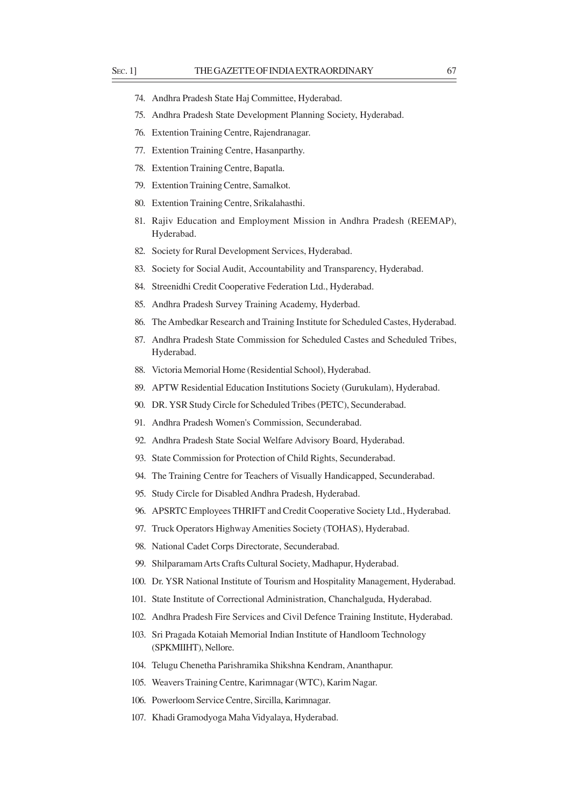- 75. Andhra Pradesh State Development Planning Society, Hyderabad.
- 76. Extention Training Centre, Rajendranagar.
- 77. Extention Training Centre, Hasanparthy.
- 78. Extention Training Centre, Bapatla.
- 79. Extention Training Centre, Samalkot.
- 80. Extention Training Centre, Srikalahasthi.
- 81. Rajiv Education and Employment Mission in Andhra Pradesh (REEMAP), Hyderabad.
- 82. Society for Rural Development Services, Hyderabad.
- 83. Society for Social Audit, Accountability and Transparency, Hyderabad.
- 84. Streenidhi Credit Cooperative Federation Ltd., Hyderabad.
- 85. Andhra Pradesh Survey Training Academy, Hyderbad.
- 86. The Ambedkar Research and Training Institute for Scheduled Castes, Hyderabad.
- 87. Andhra Pradesh State Commission for Scheduled Castes and Scheduled Tribes, Hyderabad.
- 88. Victoria Memorial Home (Residential School), Hyderabad.
- 89. APTW Residential Education Institutions Society (Gurukulam), Hyderabad.
- 90. DR. YSR Study Circle for Scheduled Tribes (PETC), Secunderabad.
- 91. Andhra Pradesh Women's Commission, Secunderabad.
- 92. Andhra Pradesh State Social Welfare Advisory Board, Hyderabad.
- 93. State Commission for Protection of Child Rights, Secunderabad.
- 94. The Training Centre for Teachers of Visually Handicapped, Secunderabad.
- 95. Study Circle for Disabled Andhra Pradesh, Hyderabad.
- 96. APSRTC Employees THRIFT and Credit Cooperative Society Ltd., Hyderabad.
- 97. Truck Operators Highway Amenities Society (TOHAS), Hyderabad.
- 98. National Cadet Corps Directorate, Secunderabad.
- 99. Shilparamam Arts Crafts Cultural Society, Madhapur, Hyderabad.
- 100. Dr. YSR National Institute of Tourism and Hospitality Management, Hyderabad.
- 101. State Institute of Correctional Administration, Chanchalguda, Hyderabad.
- 102. Andhra Pradesh Fire Services and Civil Defence Training Institute, Hyderabad.
- 103. Sri Pragada Kotaiah Memorial Indian Institute of Handloom Technology (SPKMIIHT), Nellore.
- 104. Telugu Chenetha Parishramika Shikshna Kendram, Ananthapur.
- 105. Weavers Training Centre, Karimnagar (WTC), Karim Nagar.
- 106. Powerloom Service Centre, Sircilla, Karimnagar.
- 107. Khadi Gramodyoga Maha Vidyalaya, Hyderabad.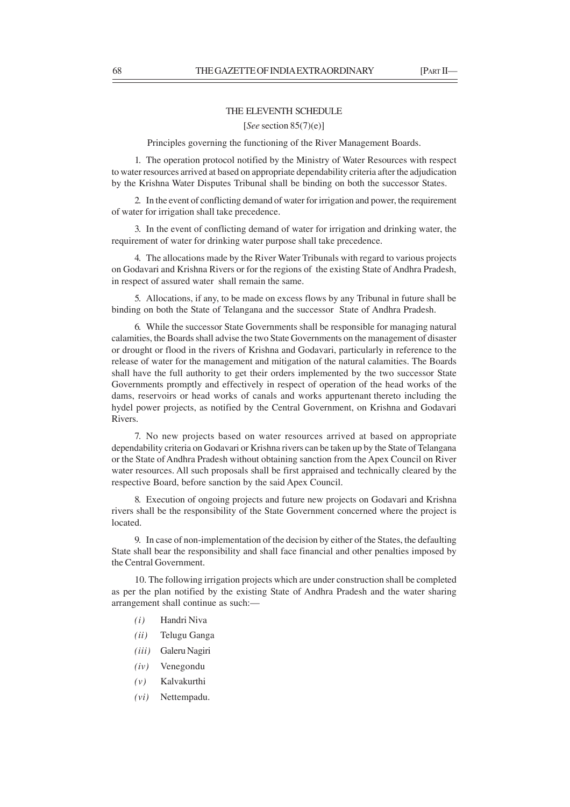# THE ELEVENTH SCHEDULE

### [*See* section 85(7)(e)]

Principles governing the functioning of the River Management Boards.

1. The operation protocol notified by the Ministry of Water Resources with respect to water resources arrived at based on appropriate dependability criteria after the adjudication by the Krishna Water Disputes Tribunal shall be binding on both the successor States.

2. In the event of conflicting demand of water for irrigation and power, the requirement of water for irrigation shall take precedence.

3. In the event of conflicting demand of water for irrigation and drinking water, the requirement of water for drinking water purpose shall take precedence.

4. The allocations made by the River Water Tribunals with regard to various projects on Godavari and Krishna Rivers or for the regions of the existing State of Andhra Pradesh, in respect of assured water shall remain the same.

5. Allocations, if any, to be made on excess flows by any Tribunal in future shall be binding on both the State of Telangana and the successor State of Andhra Pradesh.

6. While the successor State Governments shall be responsible for managing natural calamities, the Boards shall advise the two State Governments on the management of disaster or drought or flood in the rivers of Krishna and Godavari, particularly in reference to the release of water for the management and mitigation of the natural calamities. The Boards shall have the full authority to get their orders implemented by the two successor State Governments promptly and effectively in respect of operation of the head works of the dams, reservoirs or head works of canals and works appurtenant thereto including the hydel power projects, as notified by the Central Government, on Krishna and Godavari Rivers.

7. No new projects based on water resources arrived at based on appropriate dependability criteria on Godavari or Krishna rivers can be taken up by the State of Telangana or the State of Andhra Pradesh without obtaining sanction from the Apex Council on River water resources. All such proposals shall be first appraised and technically cleared by the respective Board, before sanction by the said Apex Council.

8. Execution of ongoing projects and future new projects on Godavari and Krishna rivers shall be the responsibility of the State Government concerned where the project is located.

9. In case of non-implementation of the decision by either of the States, the defaulting State shall bear the responsibility and shall face financial and other penalties imposed by the Central Government.

10. The following irrigation projects which are under construction shall be completed as per the plan notified by the existing State of Andhra Pradesh and the water sharing arrangement shall continue as such:—

- *(i)* Handri Niva
- *(ii)* Telugu Ganga
- *(iii)* Galeru Nagiri
- *(iv)* Venegondu
- *(v)* Kalvakurthi
- *(vi)* Nettempadu.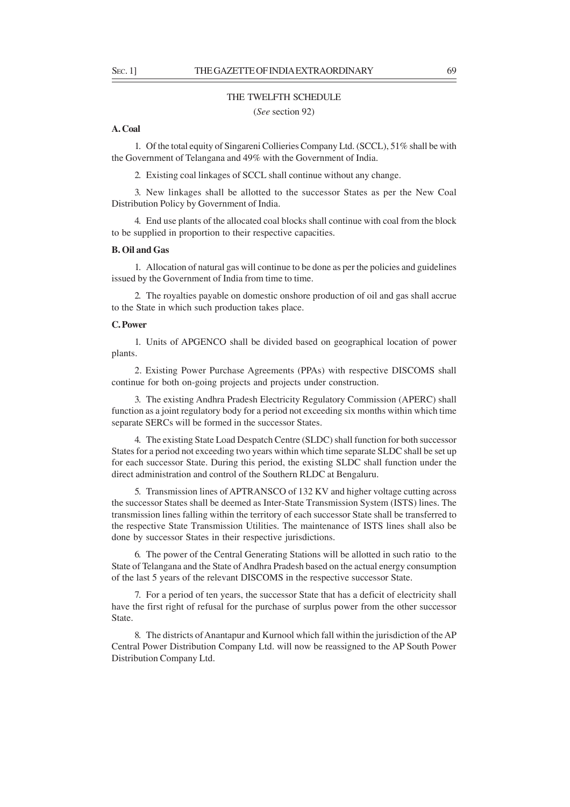#### THE TWELFTH SCHEDULE

(*See* section 92)

### **A. Coal**

1. Of the total equity of Singareni Collieries Company Ltd. (SCCL), 51% shall be with the Government of Telangana and 49% with the Government of India.

2. Existing coal linkages of SCCL shall continue without any change.

3. New linkages shall be allotted to the successor States as per the New Coal Distribution Policy by Government of India.

4. End use plants of the allocated coal blocks shall continue with coal from the block to be supplied in proportion to their respective capacities.

### **B. Oil and Gas**

1. Allocation of natural gas will continue to be done as per the policies and guidelines issued by the Government of India from time to time.

2. The royalties payable on domestic onshore production of oil and gas shall accrue to the State in which such production takes place.

#### **C. Power**

1. Units of APGENCO shall be divided based on geographical location of power plants.

2. Existing Power Purchase Agreements (PPAs) with respective DISCOMS shall continue for both on-going projects and projects under construction.

3. The existing Andhra Pradesh Electricity Regulatory Commission (APERC) shall function as a joint regulatory body for a period not exceeding six months within which time separate SERCs will be formed in the successor States.

4. The existing State Load Despatch Centre (SLDC) shall function for both successor States for a period not exceeding two years within which time separate SLDC shall be set up for each successor State. During this period, the existing SLDC shall function under the direct administration and control of the Southern RLDC at Bengaluru.

5. Transmission lines of APTRANSCO of 132 KV and higher voltage cutting across the successor States shall be deemed as Inter-State Transmission System (ISTS) lines. The transmission lines falling within the territory of each successor State shall be transferred to the respective State Transmission Utilities. The maintenance of ISTS lines shall also be done by successor States in their respective jurisdictions.

6. The power of the Central Generating Stations will be allotted in such ratio to the State of Telangana and the State of Andhra Pradesh based on the actual energy consumption of the last 5 years of the relevant DISCOMS in the respective successor State.

7. For a period of ten years, the successor State that has a deficit of electricity shall have the first right of refusal for the purchase of surplus power from the other successor State.

8. The districts of Anantapur and Kurnool which fall within the jurisdiction of the AP Central Power Distribution Company Ltd. will now be reassigned to the AP South Power Distribution Company Ltd.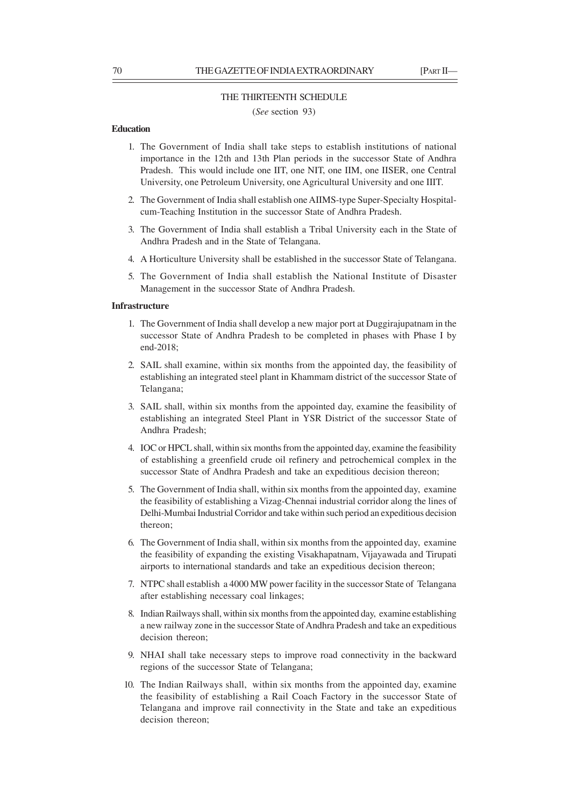#### THE THIRTEENTH SCHEDULE

(*See* section 93)

### **Education**

- 1. The Government of India shall take steps to establish institutions of national importance in the 12th and 13th Plan periods in the successor State of Andhra Pradesh. This would include one IIT, one NIT, one IIM, one IISER, one Central University, one Petroleum University, one Agricultural University and one IIIT.
- 2. The Government of India shall establish one AIIMS-type Super-Specialty Hospitalcum-Teaching Institution in the successor State of Andhra Pradesh.
- 3. The Government of India shall establish a Tribal University each in the State of Andhra Pradesh and in the State of Telangana.
- 4. A Horticulture University shall be established in the successor State of Telangana.
- 5. The Government of India shall establish the National Institute of Disaster Management in the successor State of Andhra Pradesh.

### **Infrastructure**

- 1. The Government of India shall develop a new major port at Duggirajupatnam in the successor State of Andhra Pradesh to be completed in phases with Phase I by end-2018;
- 2. SAIL shall examine, within six months from the appointed day, the feasibility of establishing an integrated steel plant in Khammam district of the successor State of Telangana;
- 3. SAIL shall, within six months from the appointed day, examine the feasibility of establishing an integrated Steel Plant in YSR District of the successor State of Andhra Pradesh;
- 4. IOC or HPCL shall, within six months from the appointed day, examine the feasibility of establishing a greenfield crude oil refinery and petrochemical complex in the successor State of Andhra Pradesh and take an expeditious decision thereon;
- 5. The Government of India shall, within six months from the appointed day, examine the feasibility of establishing a Vizag-Chennai industrial corridor along the lines of Delhi-Mumbai Industrial Corridor and take within such period an expeditious decision thereon;
- 6. The Government of India shall, within six months from the appointed day, examine the feasibility of expanding the existing Visakhapatnam, Vijayawada and Tirupati airports to international standards and take an expeditious decision thereon;
- 7. NTPC shall establish a 4000 MW power facility in the successor State of Telangana after establishing necessary coal linkages;
- 8. Indian Railways shall, within six months from the appointed day, examine establishing a new railway zone in the successor State of Andhra Pradesh and take an expeditious decision thereon;
- 9. NHAI shall take necessary steps to improve road connectivity in the backward regions of the successor State of Telangana;
- 10. The Indian Railways shall, within six months from the appointed day, examine the feasibility of establishing a Rail Coach Factory in the successor State of Telangana and improve rail connectivity in the State and take an expeditious decision thereon;